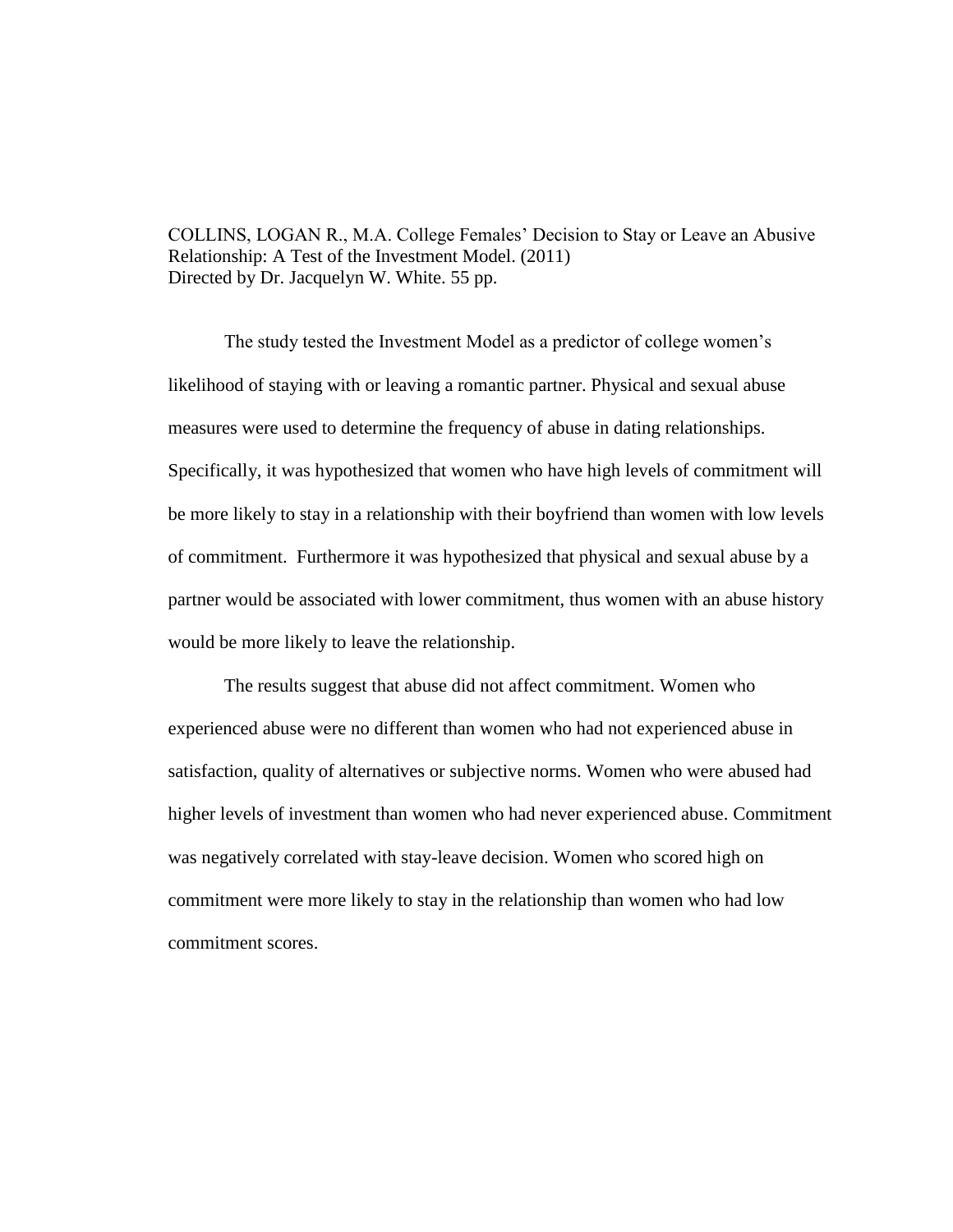COLLINS, LOGAN R., M.A. College Females" Decision to Stay or Leave an Abusive Relationship: A Test of the Investment Model. (2011) Directed by Dr. Jacquelyn W. White. 55 pp.

The study tested the Investment Model as a predictor of college women"s likelihood of staying with or leaving a romantic partner. Physical and sexual abuse measures were used to determine the frequency of abuse in dating relationships. Specifically, it was hypothesized that women who have high levels of commitment will be more likely to stay in a relationship with their boyfriend than women with low levels of commitment. Furthermore it was hypothesized that physical and sexual abuse by a partner would be associated with lower commitment, thus women with an abuse history would be more likely to leave the relationship.

The results suggest that abuse did not affect commitment. Women who experienced abuse were no different than women who had not experienced abuse in satisfaction, quality of alternatives or subjective norms. Women who were abused had higher levels of investment than women who had never experienced abuse. Commitment was negatively correlated with stay-leave decision. Women who scored high on commitment were more likely to stay in the relationship than women who had low commitment scores.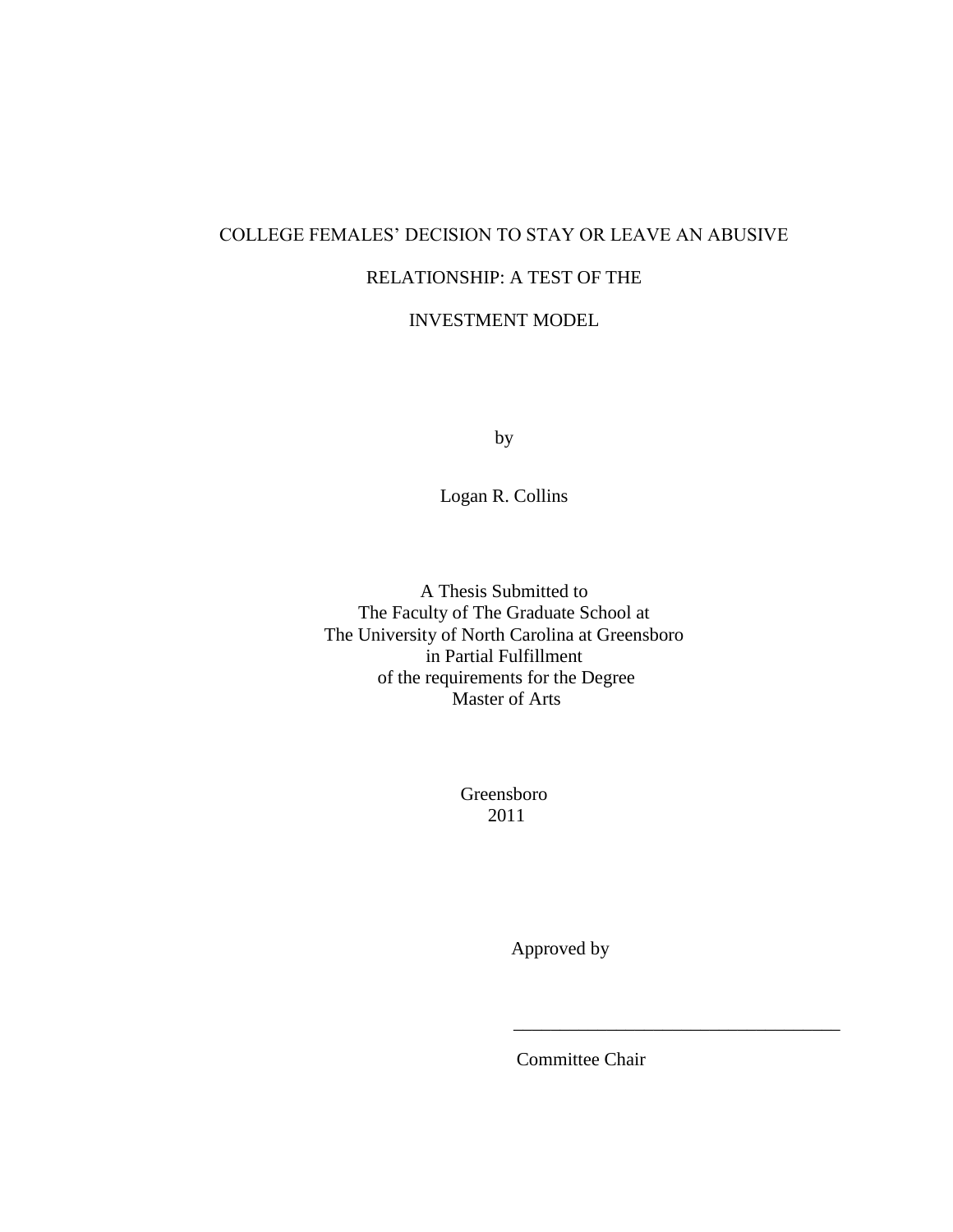# COLLEGE FEMALES" DECISION TO STAY OR LEAVE AN ABUSIVE

### RELATIONSHIP: A TEST OF THE

INVESTMENT MODEL

by

Logan R. Collins

A Thesis Submitted to The Faculty of The Graduate School at The University of North Carolina at Greensboro in Partial Fulfillment of the requirements for the Degree Master of Arts

> Greensboro 2011

> > Approved by

Committee Chair

\_\_\_\_\_\_\_\_\_\_\_\_\_\_\_\_\_\_\_\_\_\_\_\_\_\_\_\_\_\_\_\_\_\_\_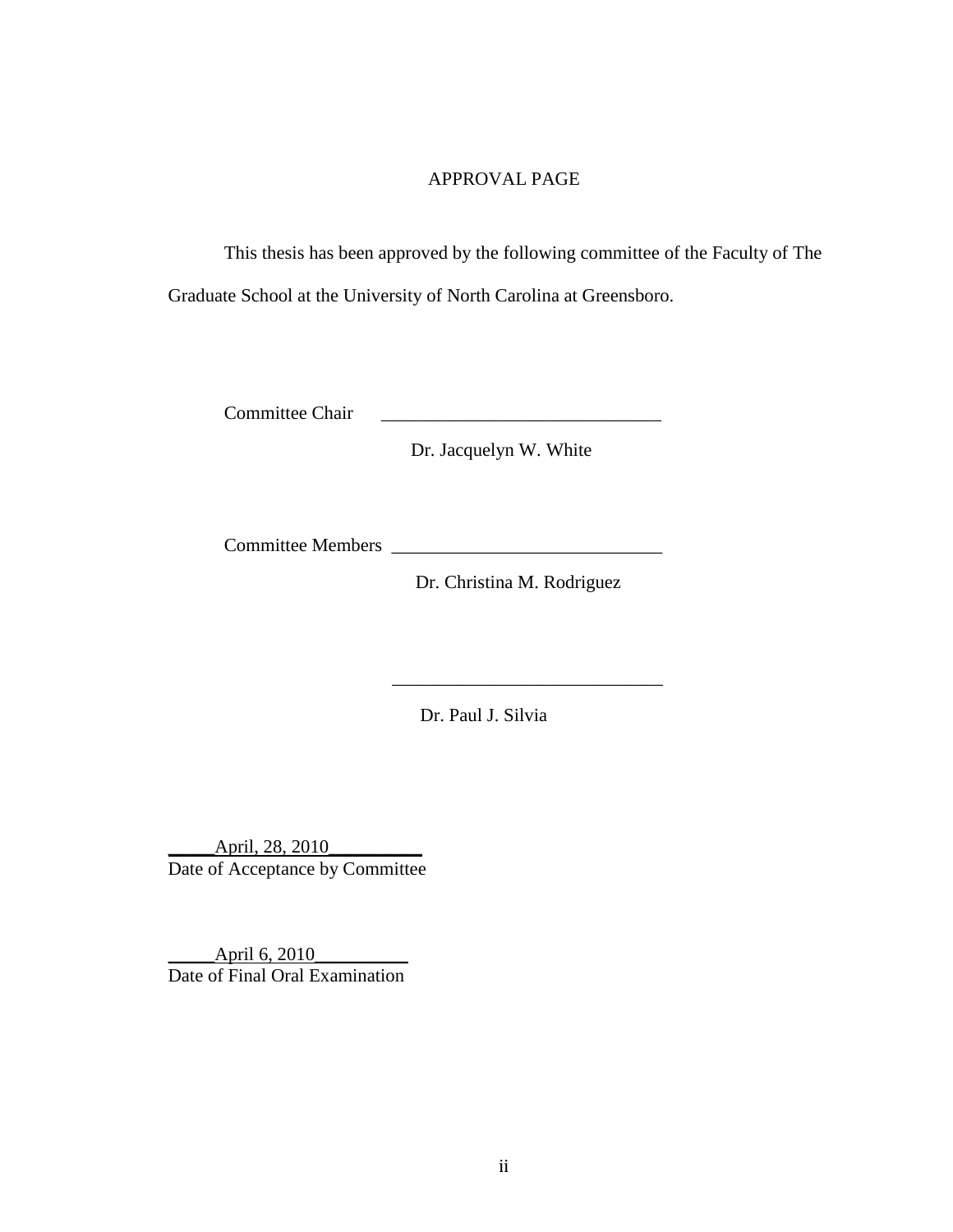### APPROVAL PAGE

This thesis has been approved by the following committee of the Faculty of The Graduate School at the University of North Carolina at Greensboro.

Committee Chair

Dr. Jacquelyn W. White

Committee Members \_\_\_\_\_\_\_\_\_\_\_\_\_\_\_\_\_\_\_\_\_\_\_\_\_\_\_\_\_

Dr. Christina M. Rodriguez

Dr. Paul J. Silvia

\_\_\_\_\_April, 28, 2010\_\_\_\_\_\_\_\_\_\_ Date of Acceptance by Committee

April 6, 2010 Date of Final Oral Examination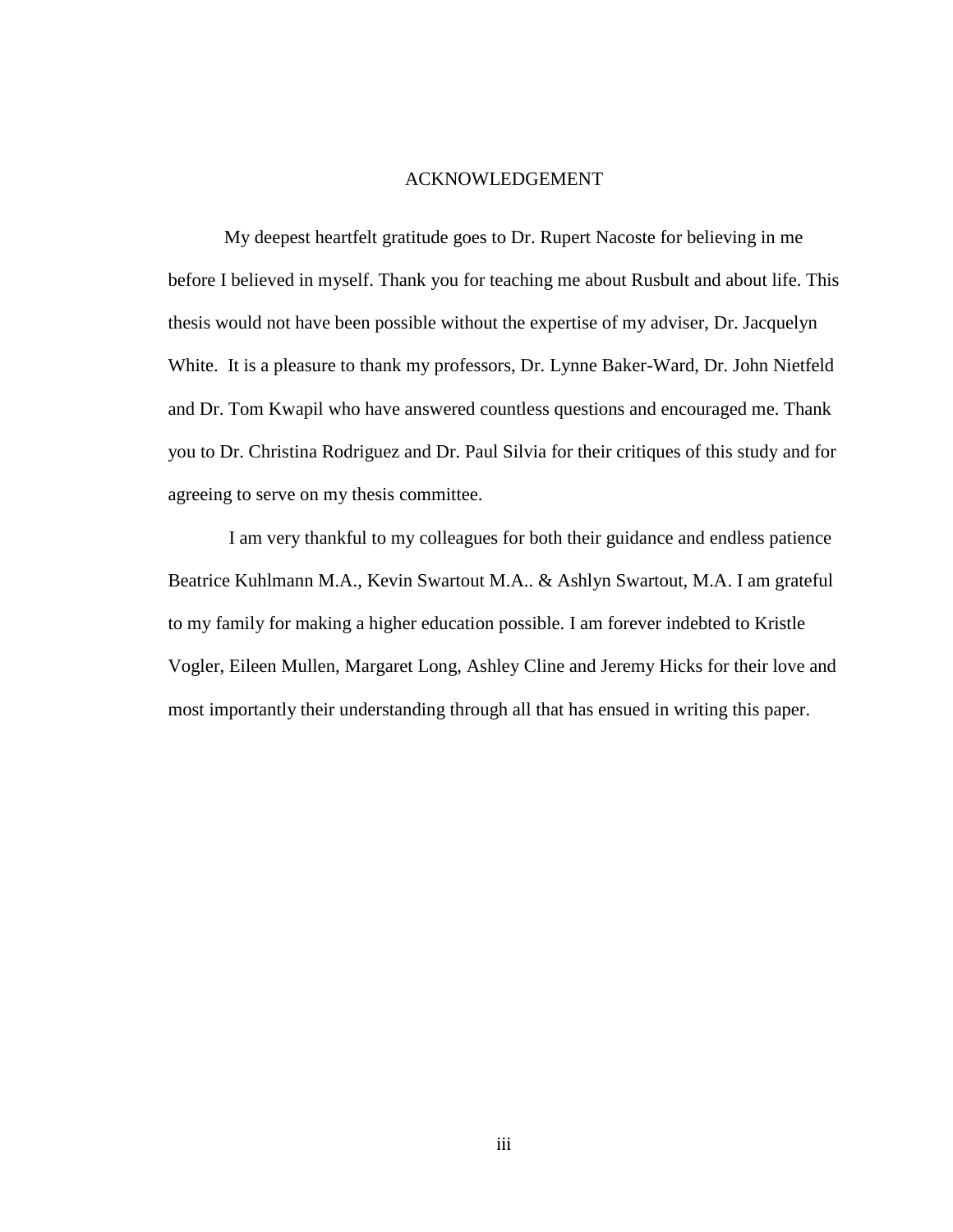### ACKNOWLEDGEMENT

My deepest heartfelt gratitude goes to Dr. Rupert Nacoste for believing in me before I believed in myself. Thank you for teaching me about Rusbult and about life. This thesis would not have been possible without the expertise of my adviser, Dr. Jacquelyn White. It is a pleasure to thank my professors, Dr. Lynne Baker-Ward, Dr. John Nietfeld and Dr. Tom Kwapil who have answered countless questions and encouraged me. Thank you to Dr. Christina Rodriguez and Dr. Paul Silvia for their critiques of this study and for agreeing to serve on my thesis committee.

I am very thankful to my colleagues for both their guidance and endless patience Beatrice Kuhlmann M.A., Kevin Swartout M.A.. & Ashlyn Swartout, M.A. I am grateful to my family for making a higher education possible. I am forever indebted to Kristle Vogler, Eileen Mullen, Margaret Long, Ashley Cline and Jeremy Hicks for their love and most importantly their understanding through all that has ensued in writing this paper.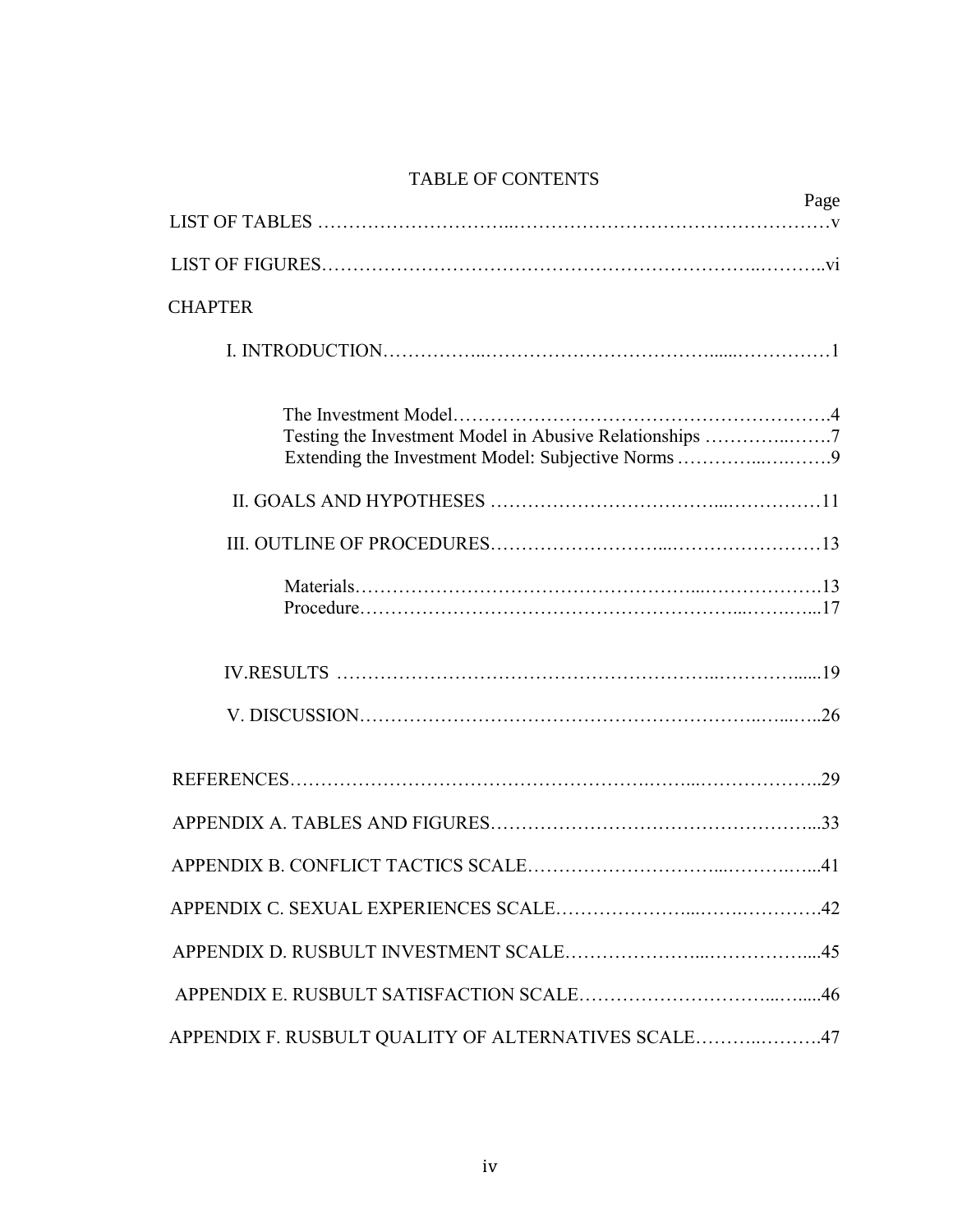# TABLE OF CONTENTS

| Page                                                                                                          |
|---------------------------------------------------------------------------------------------------------------|
|                                                                                                               |
|                                                                                                               |
| <b>CHAPTER</b>                                                                                                |
|                                                                                                               |
| Testing the Investment Model in Abusive Relationships 7<br>Extending the Investment Model: Subjective Norms 9 |
|                                                                                                               |
|                                                                                                               |
|                                                                                                               |
|                                                                                                               |
|                                                                                                               |
|                                                                                                               |
|                                                                                                               |
|                                                                                                               |
|                                                                                                               |
|                                                                                                               |
|                                                                                                               |
| APPENDIX F. RUSBULT QUALITY OF ALTERNATIVES SCALE47                                                           |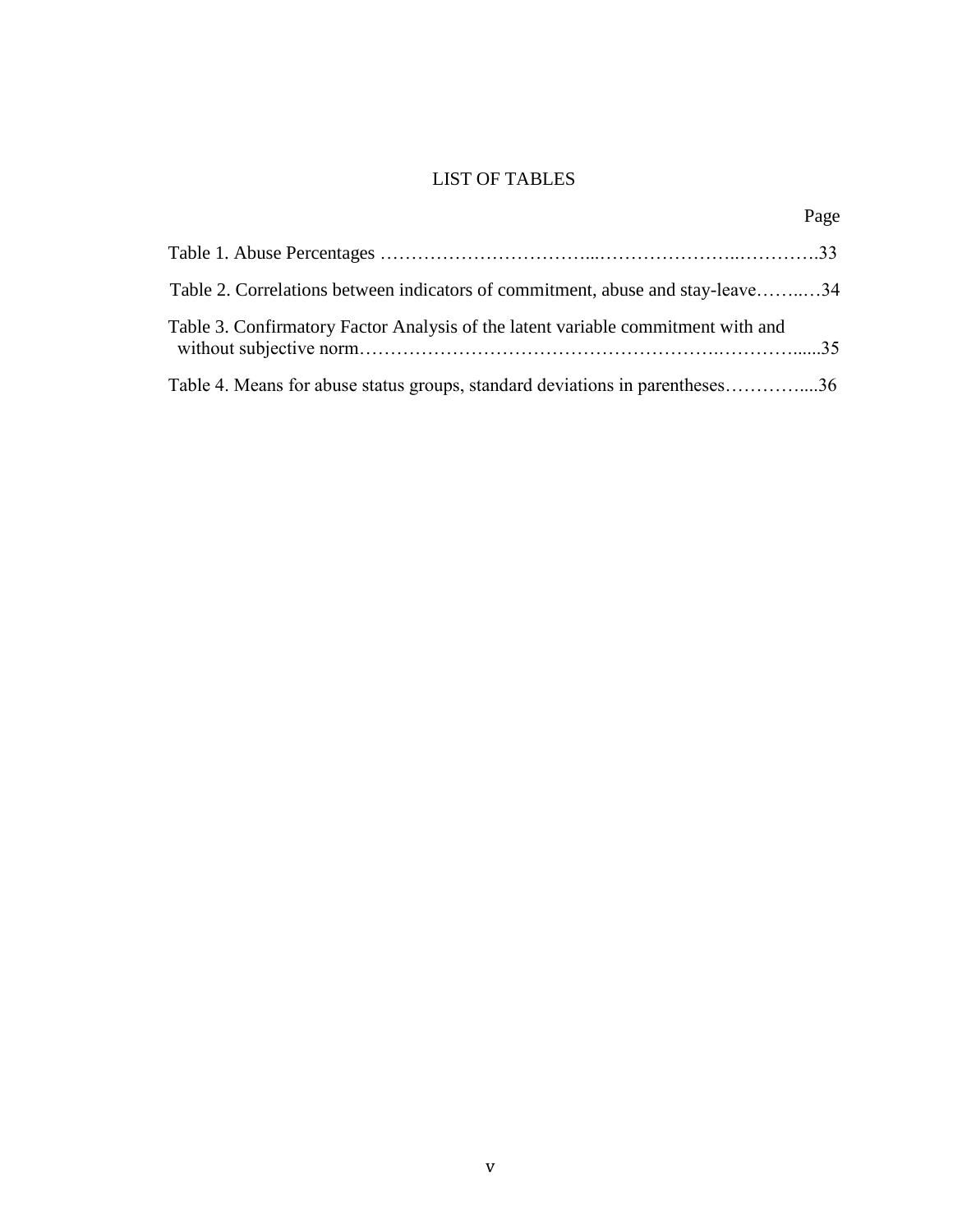# LIST OF TABLES

Page

| Table 2. Correlations between indicators of commitment, abuse and stay-leave34   |  |
|----------------------------------------------------------------------------------|--|
| Table 3. Confirmatory Factor Analysis of the latent variable commitment with and |  |
| Table 4. Means for abuse status groups, standard deviations in parentheses36     |  |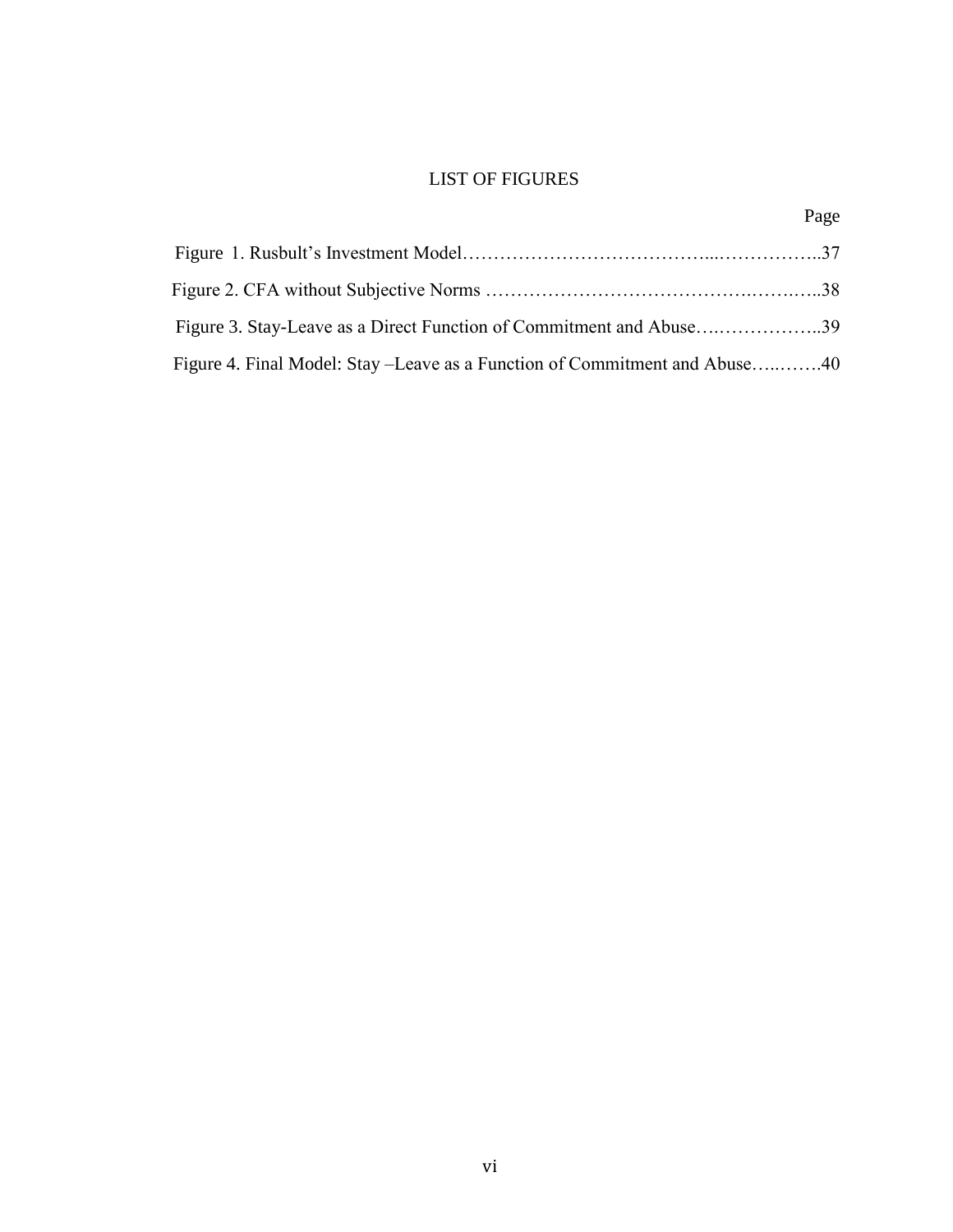# LIST OF FIGURES

Page

| Figure 4. Final Model: Stay –Leave as a Function of Commitment and Abuse40 |  |
|----------------------------------------------------------------------------|--|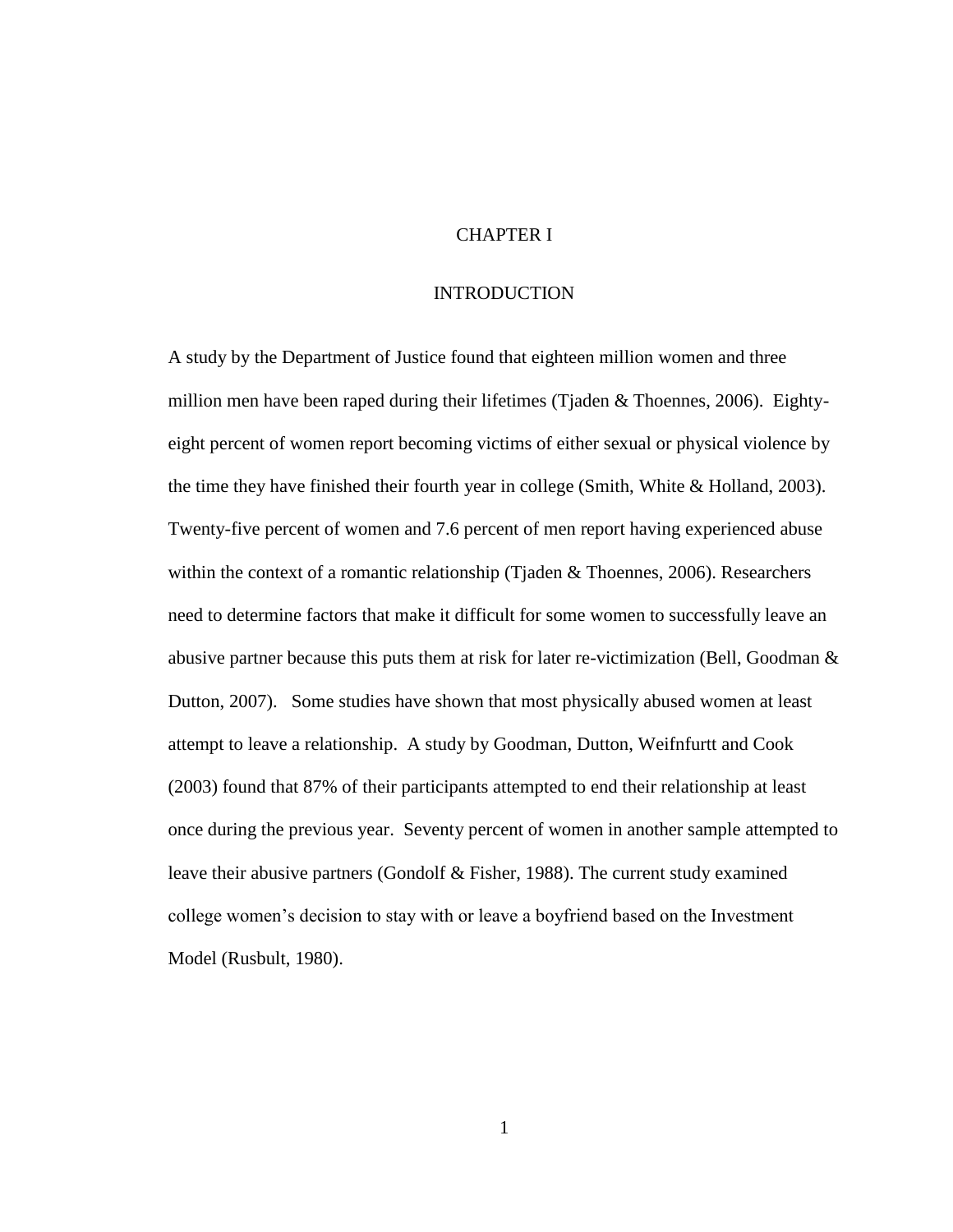### CHAPTER I

## INTRODUCTION

A study by the Department of Justice found that eighteen million women and three million men have been raped during their lifetimes (Tjaden & Thoennes, 2006). Eightyeight percent of women report becoming victims of either sexual or physical violence by the time they have finished their fourth year in college (Smith, White & Holland, 2003). Twenty-five percent of women and 7.6 percent of men report having experienced abuse within the context of a romantic relationship (Tjaden & Thoennes, 2006). Researchers need to determine factors that make it difficult for some women to successfully leave an abusive partner because this puts them at risk for later re-victimization (Bell, Goodman & Dutton, 2007). Some studies have shown that most physically abused women at least attempt to leave a relationship. A study by Goodman, Dutton, Weifnfurtt and Cook (2003) found that 87% of their participants attempted to end their relationship at least once during the previous year. Seventy percent of women in another sample attempted to leave their abusive partners (Gondolf & Fisher, 1988). The current study examined college women"s decision to stay with or leave a boyfriend based on the Investment Model (Rusbult, 1980).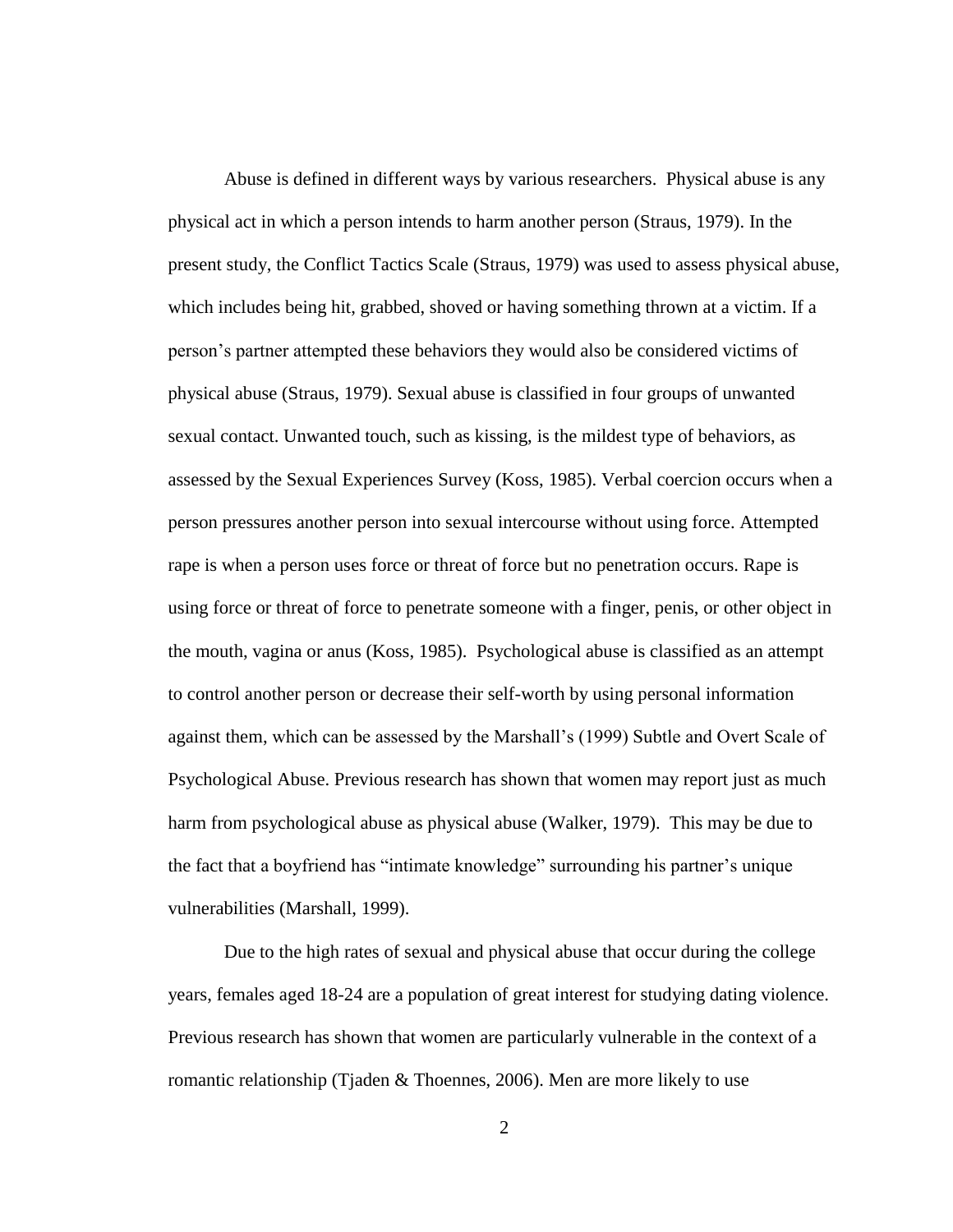Abuse is defined in different ways by various researchers. Physical abuse is any physical act in which a person intends to harm another person (Straus, 1979). In the present study, the Conflict Tactics Scale (Straus, 1979) was used to assess physical abuse, which includes being hit, grabbed, shoved or having something thrown at a victim. If a person"s partner attempted these behaviors they would also be considered victims of physical abuse (Straus, 1979). Sexual abuse is classified in four groups of unwanted sexual contact. Unwanted touch, such as kissing, is the mildest type of behaviors, as assessed by the Sexual Experiences Survey (Koss, 1985). Verbal coercion occurs when a person pressures another person into sexual intercourse without using force. Attempted rape is when a person uses force or threat of force but no penetration occurs. Rape is using force or threat of force to penetrate someone with a finger, penis, or other object in the mouth, vagina or anus (Koss, 1985). Psychological abuse is classified as an attempt to control another person or decrease their self-worth by using personal information against them, which can be assessed by the Marshall"s (1999) Subtle and Overt Scale of Psychological Abuse. Previous research has shown that women may report just as much harm from psychological abuse as physical abuse (Walker, 1979). This may be due to the fact that a boyfriend has "intimate knowledge" surrounding his partner"s unique vulnerabilities (Marshall, 1999).

Due to the high rates of sexual and physical abuse that occur during the college years, females aged 18-24 are a population of great interest for studying dating violence. Previous research has shown that women are particularly vulnerable in the context of a romantic relationship (Tjaden & Thoennes, 2006). Men are more likely to use

2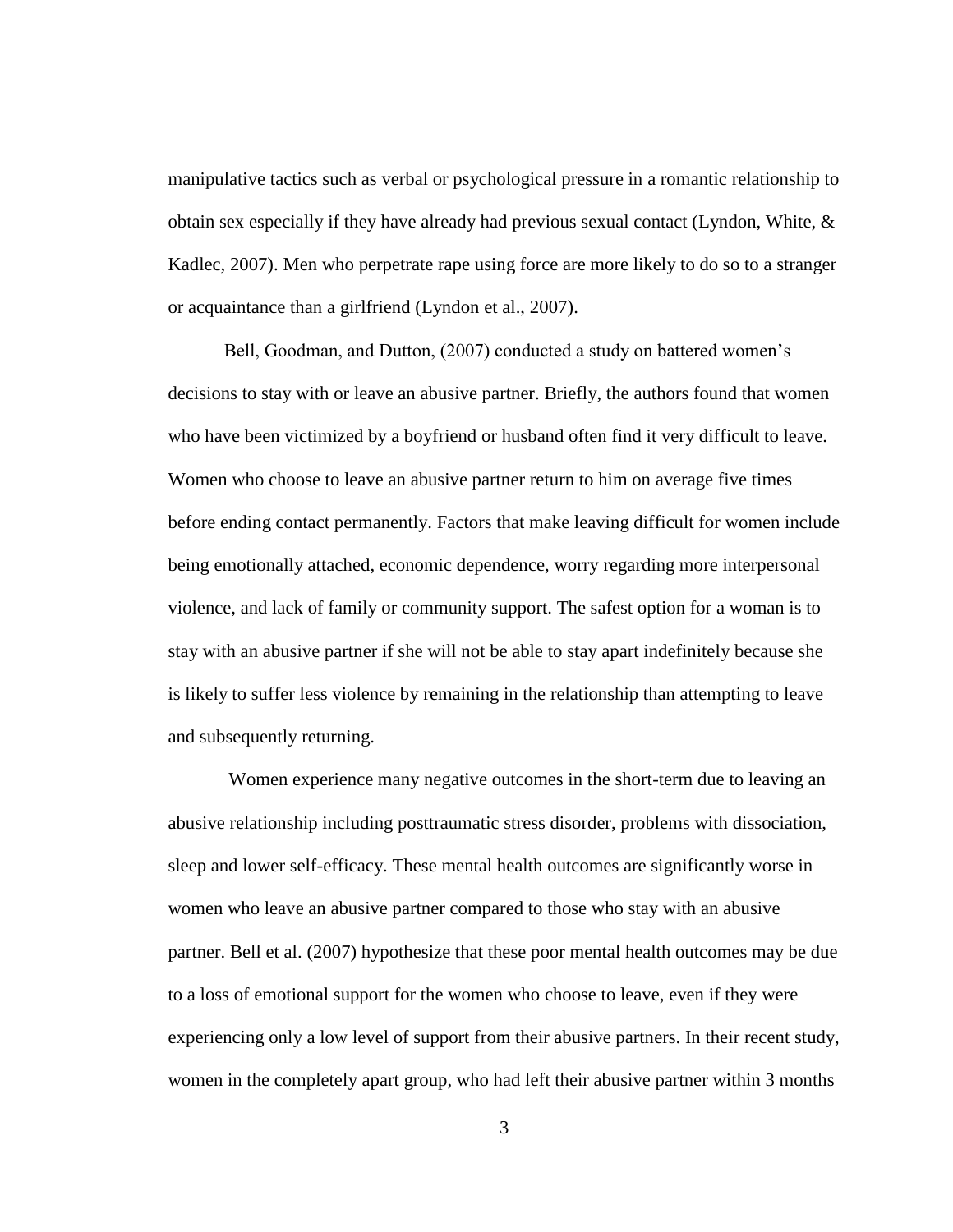manipulative tactics such as verbal or psychological pressure in a romantic relationship to obtain sex especially if they have already had previous sexual contact (Lyndon, White, & Kadlec, 2007). Men who perpetrate rape using force are more likely to do so to a stranger or acquaintance than a girlfriend (Lyndon et al., 2007).

Bell, Goodman, and Dutton, (2007) conducted a study on battered women's decisions to stay with or leave an abusive partner. Briefly, the authors found that women who have been victimized by a boyfriend or husband often find it very difficult to leave. Women who choose to leave an abusive partner return to him on average five times before ending contact permanently. Factors that make leaving difficult for women include being emotionally attached, economic dependence, worry regarding more interpersonal violence, and lack of family or community support. The safest option for a woman is to stay with an abusive partner if she will not be able to stay apart indefinitely because she is likely to suffer less violence by remaining in the relationship than attempting to leave and subsequently returning.

Women experience many negative outcomes in the short-term due to leaving an abusive relationship including posttraumatic stress disorder, problems with dissociation, sleep and lower self-efficacy. These mental health outcomes are significantly worse in women who leave an abusive partner compared to those who stay with an abusive partner. Bell et al. (2007) hypothesize that these poor mental health outcomes may be due to a loss of emotional support for the women who choose to leave, even if they were experiencing only a low level of support from their abusive partners. In their recent study, women in the completely apart group, who had left their abusive partner within 3 months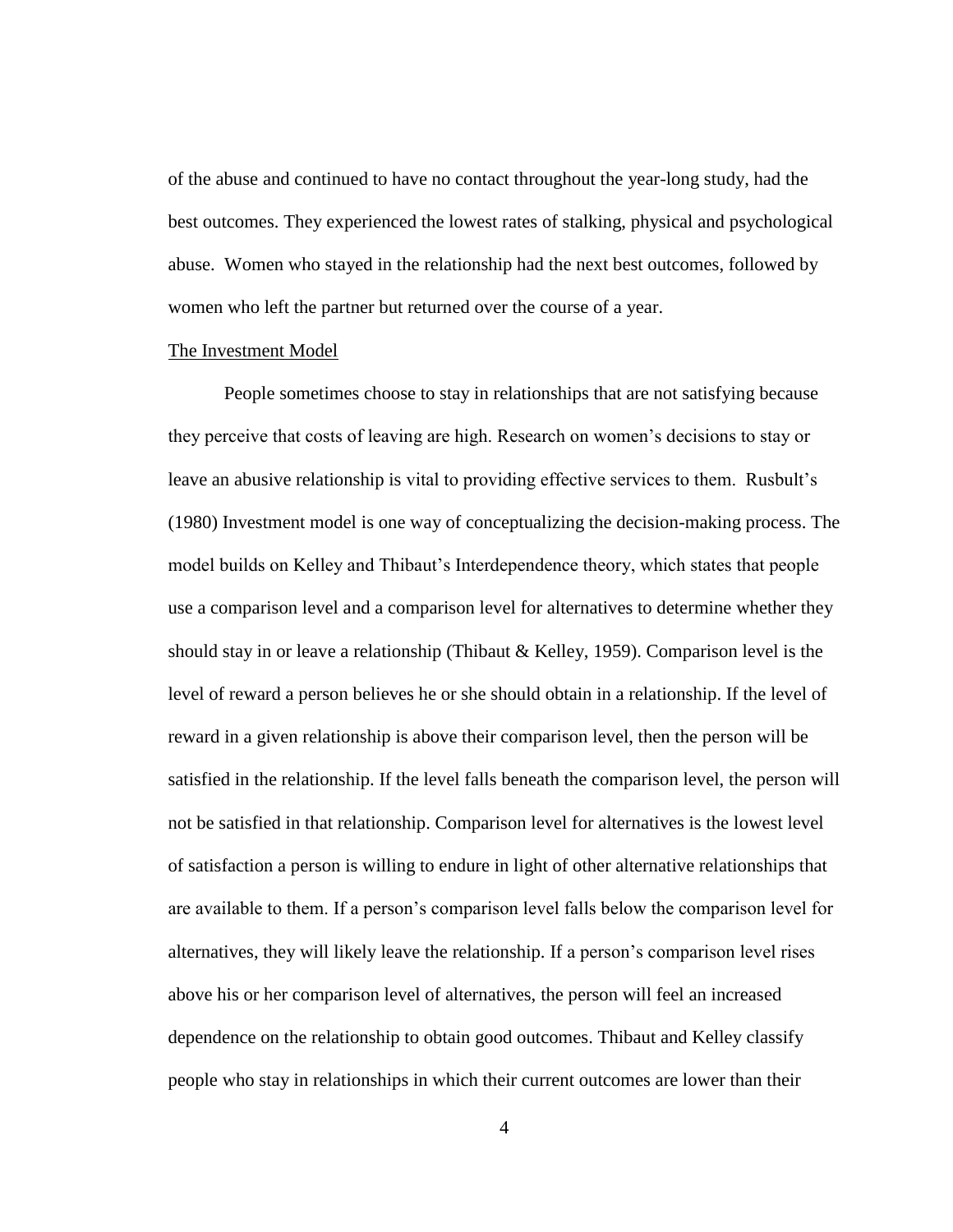of the abuse and continued to have no contact throughout the year-long study, had the best outcomes. They experienced the lowest rates of stalking, physical and psychological abuse. Women who stayed in the relationship had the next best outcomes, followed by women who left the partner but returned over the course of a year.

#### The Investment Model

People sometimes choose to stay in relationships that are not satisfying because they perceive that costs of leaving are high. Research on women"s decisions to stay or leave an abusive relationship is vital to providing effective services to them. Rusbult's (1980) Investment model is one way of conceptualizing the decision-making process. The model builds on Kelley and Thibaut"s Interdependence theory, which states that people use a comparison level and a comparison level for alternatives to determine whether they should stay in or leave a relationship (Thibaut & Kelley, 1959). Comparison level is the level of reward a person believes he or she should obtain in a relationship. If the level of reward in a given relationship is above their comparison level, then the person will be satisfied in the relationship. If the level falls beneath the comparison level, the person will not be satisfied in that relationship. Comparison level for alternatives is the lowest level of satisfaction a person is willing to endure in light of other alternative relationships that are available to them. If a person's comparison level falls below the comparison level for alternatives, they will likely leave the relationship. If a person"s comparison level rises above his or her comparison level of alternatives, the person will feel an increased dependence on the relationship to obtain good outcomes. Thibaut and Kelley classify people who stay in relationships in which their current outcomes are lower than their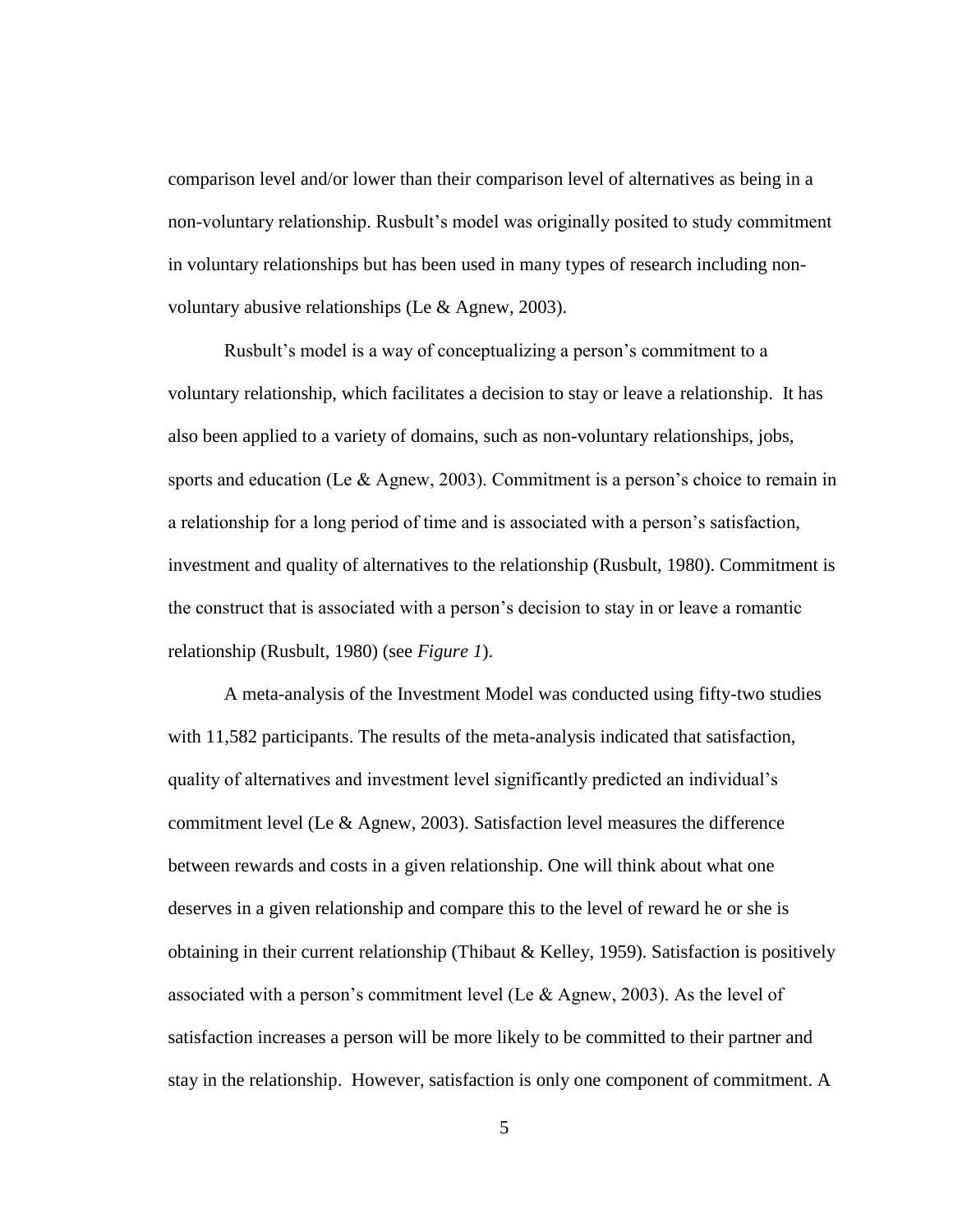comparison level and/or lower than their comparison level of alternatives as being in a non-voluntary relationship. Rusbult's model was originally posited to study commitment in voluntary relationships but has been used in many types of research including nonvoluntary abusive relationships (Le & Agnew, 2003).

Rusbult's model is a way of conceptualizing a person's commitment to a voluntary relationship, which facilitates a decision to stay or leave a relationship. It has also been applied to a variety of domains, such as non-voluntary relationships, jobs, sports and education (Le  $\&$  Agnew, 2003). Commitment is a person's choice to remain in a relationship for a long period of time and is associated with a person"s satisfaction, investment and quality of alternatives to the relationship (Rusbult, 1980). Commitment is the construct that is associated with a person"s decision to stay in or leave a romantic relationship (Rusbult, 1980) (see *Figure 1*).

A meta-analysis of the Investment Model was conducted using fifty-two studies with 11,582 participants. The results of the meta-analysis indicated that satisfaction, quality of alternatives and investment level significantly predicted an individual"s commitment level (Le & Agnew, 2003). Satisfaction level measures the difference between rewards and costs in a given relationship. One will think about what one deserves in a given relationship and compare this to the level of reward he or she is obtaining in their current relationship (Thibaut & Kelley, 1959). Satisfaction is positively associated with a person's commitment level (Le  $\&$  Agnew, 2003). As the level of satisfaction increases a person will be more likely to be committed to their partner and stay in the relationship. However, satisfaction is only one component of commitment. A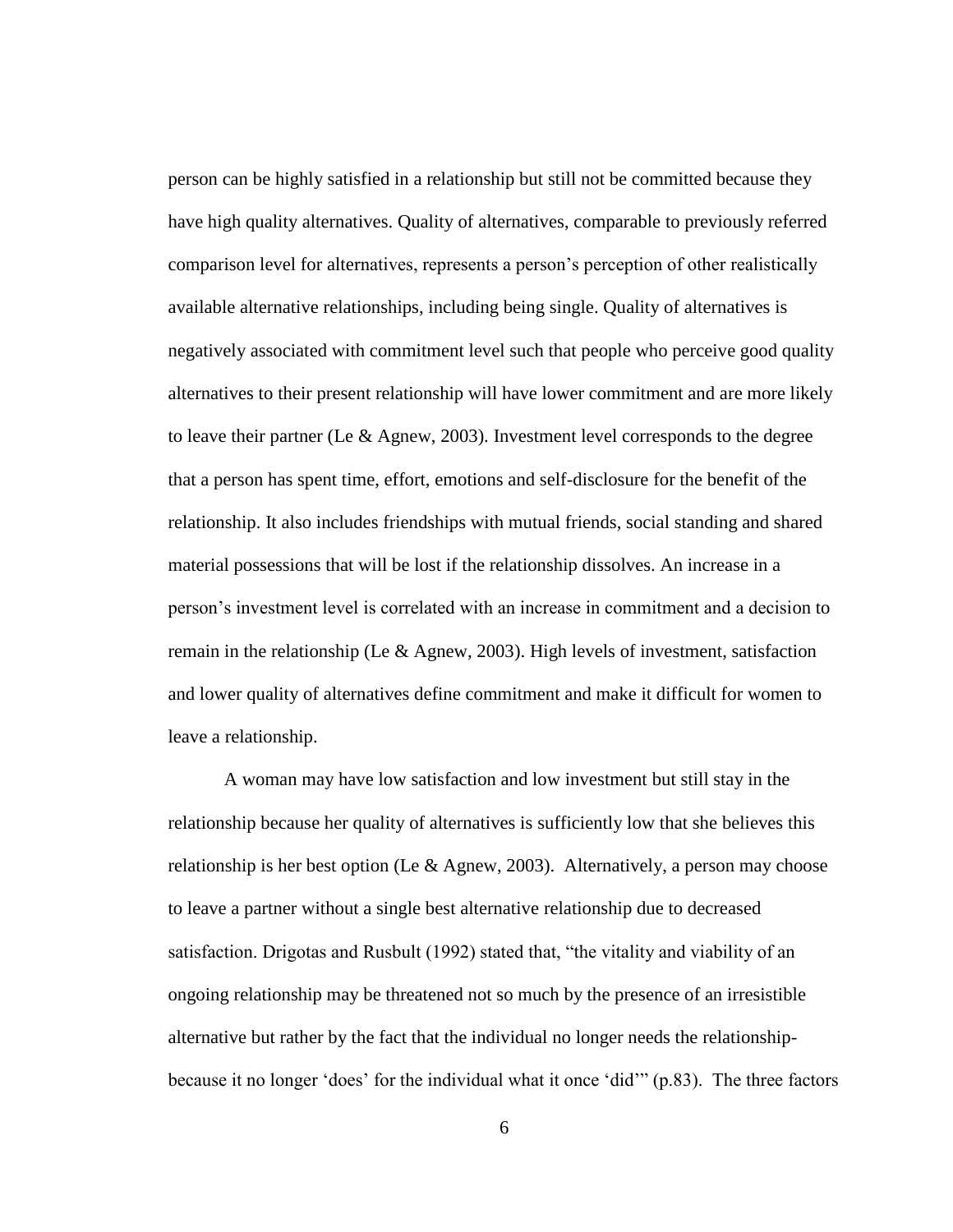person can be highly satisfied in a relationship but still not be committed because they have high quality alternatives. Quality of alternatives, comparable to previously referred comparison level for alternatives, represents a person"s perception of other realistically available alternative relationships, including being single. Quality of alternatives is negatively associated with commitment level such that people who perceive good quality alternatives to their present relationship will have lower commitment and are more likely to leave their partner (Le & Agnew, 2003). Investment level corresponds to the degree that a person has spent time, effort, emotions and self-disclosure for the benefit of the relationship. It also includes friendships with mutual friends, social standing and shared material possessions that will be lost if the relationship dissolves. An increase in a person"s investment level is correlated with an increase in commitment and a decision to remain in the relationship (Le & Agnew, 2003). High levels of investment, satisfaction and lower quality of alternatives define commitment and make it difficult for women to leave a relationship.

A woman may have low satisfaction and low investment but still stay in the relationship because her quality of alternatives is sufficiently low that she believes this relationship is her best option (Le & Agnew, 2003). Alternatively, a person may choose to leave a partner without a single best alternative relationship due to decreased satisfaction. Drigotas and Rusbult (1992) stated that, "the vitality and viability of an ongoing relationship may be threatened not so much by the presence of an irresistible alternative but rather by the fact that the individual no longer needs the relationshipbecause it no longer "does" for the individual what it once "did"" (p.83). The three factors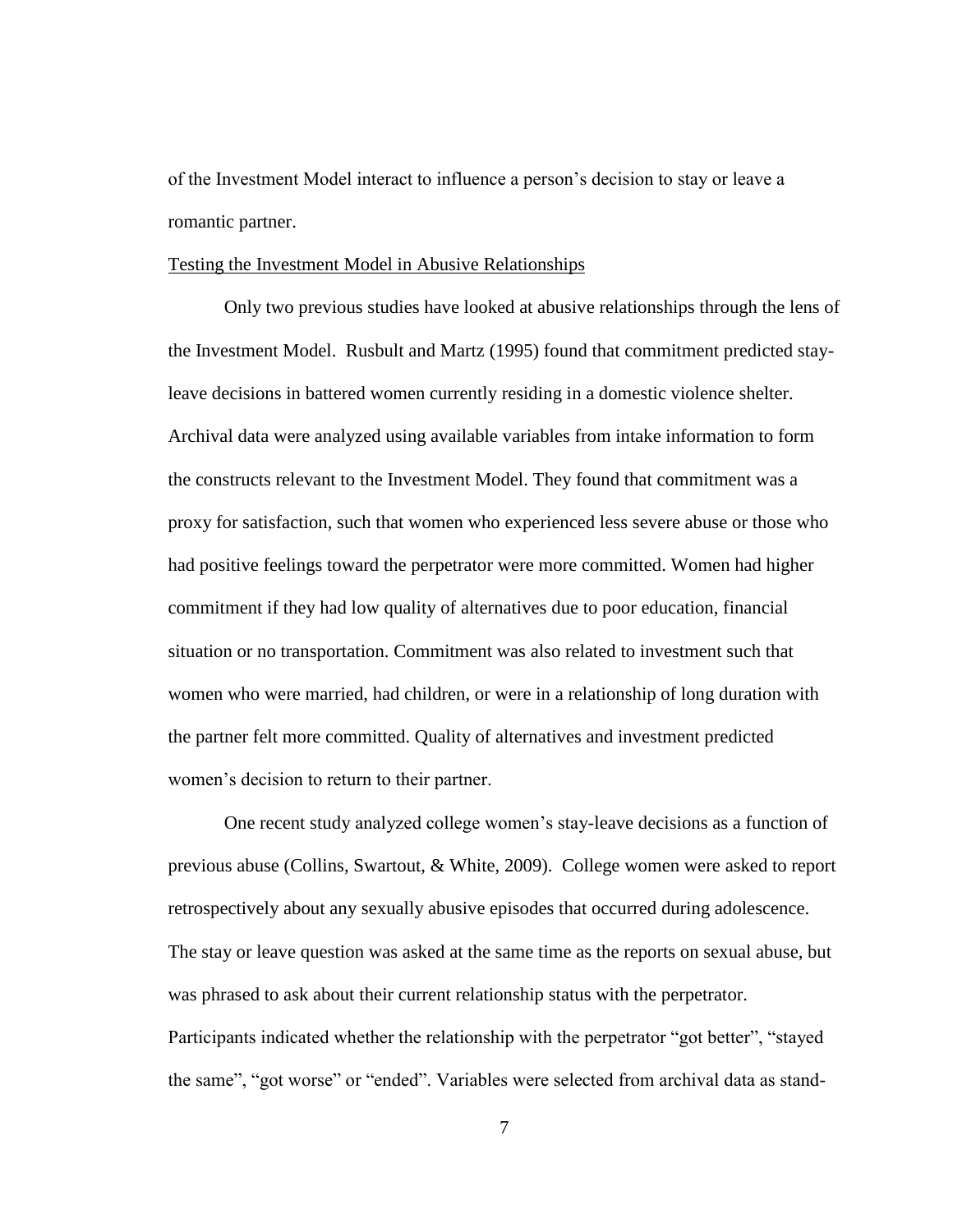of the Investment Model interact to influence a person"s decision to stay or leave a romantic partner.

#### Testing the Investment Model in Abusive Relationships

Only two previous studies have looked at abusive relationships through the lens of the Investment Model. Rusbult and Martz (1995) found that commitment predicted stayleave decisions in battered women currently residing in a domestic violence shelter. Archival data were analyzed using available variables from intake information to form the constructs relevant to the Investment Model. They found that commitment was a proxy for satisfaction, such that women who experienced less severe abuse or those who had positive feelings toward the perpetrator were more committed. Women had higher commitment if they had low quality of alternatives due to poor education, financial situation or no transportation. Commitment was also related to investment such that women who were married, had children, or were in a relationship of long duration with the partner felt more committed. Quality of alternatives and investment predicted women"s decision to return to their partner.

One recent study analyzed college women"s stay-leave decisions as a function of previous abuse (Collins, Swartout, & White, 2009). College women were asked to report retrospectively about any sexually abusive episodes that occurred during adolescence. The stay or leave question was asked at the same time as the reports on sexual abuse, but was phrased to ask about their current relationship status with the perpetrator. Participants indicated whether the relationship with the perpetrator "got better", "stayed the same", "got worse" or "ended". Variables were selected from archival data as stand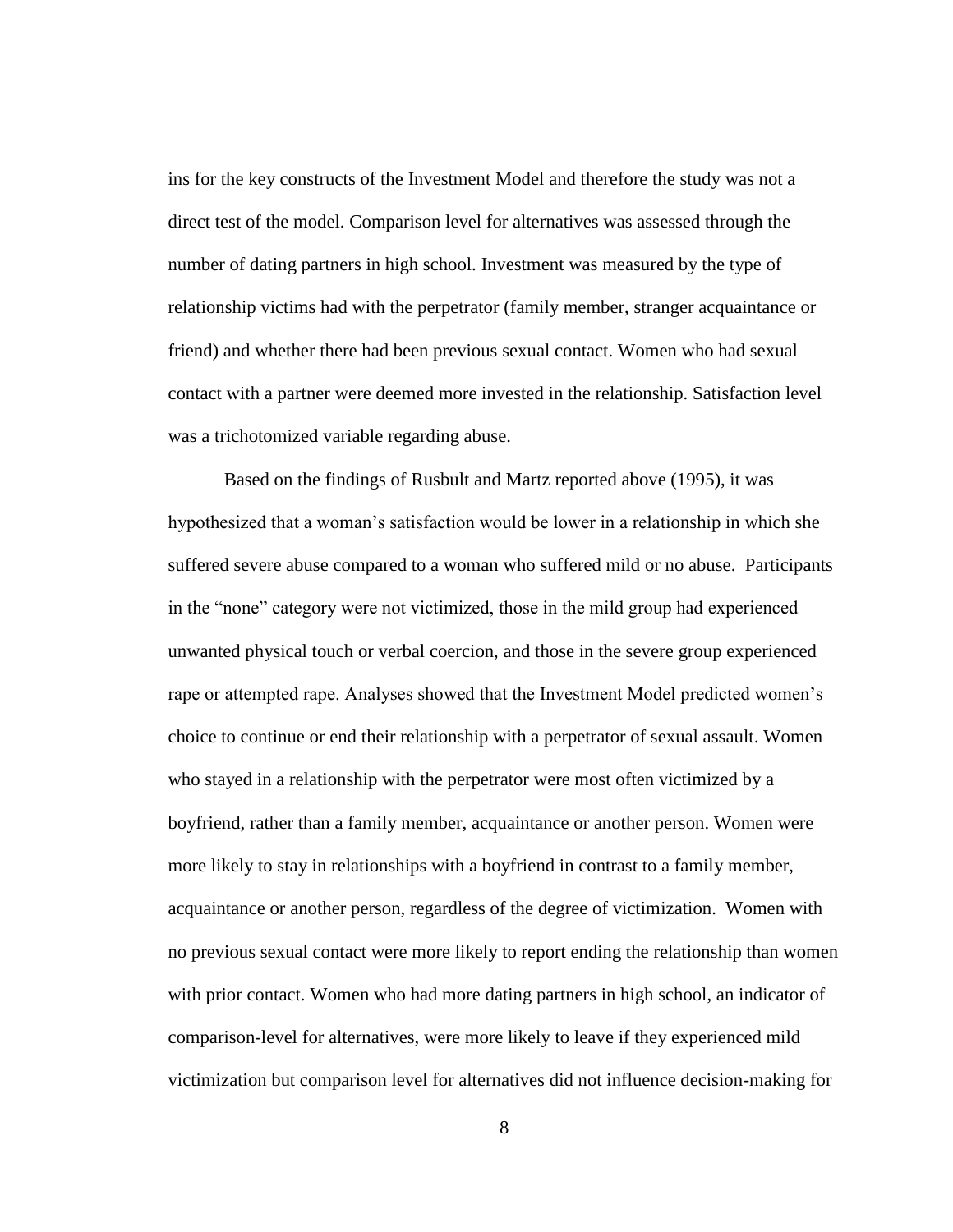ins for the key constructs of the Investment Model and therefore the study was not a direct test of the model. Comparison level for alternatives was assessed through the number of dating partners in high school. Investment was measured by the type of relationship victims had with the perpetrator (family member, stranger acquaintance or friend) and whether there had been previous sexual contact. Women who had sexual contact with a partner were deemed more invested in the relationship. Satisfaction level was a trichotomized variable regarding abuse.

Based on the findings of Rusbult and Martz reported above (1995), it was hypothesized that a woman"s satisfaction would be lower in a relationship in which she suffered severe abuse compared to a woman who suffered mild or no abuse. Participants in the "none" category were not victimized, those in the mild group had experienced unwanted physical touch or verbal coercion, and those in the severe group experienced rape or attempted rape. Analyses showed that the Investment Model predicted women"s choice to continue or end their relationship with a perpetrator of sexual assault. Women who stayed in a relationship with the perpetrator were most often victimized by a boyfriend, rather than a family member, acquaintance or another person. Women were more likely to stay in relationships with a boyfriend in contrast to a family member, acquaintance or another person, regardless of the degree of victimization. Women with no previous sexual contact were more likely to report ending the relationship than women with prior contact. Women who had more dating partners in high school, an indicator of comparison-level for alternatives, were more likely to leave if they experienced mild victimization but comparison level for alternatives did not influence decision-making for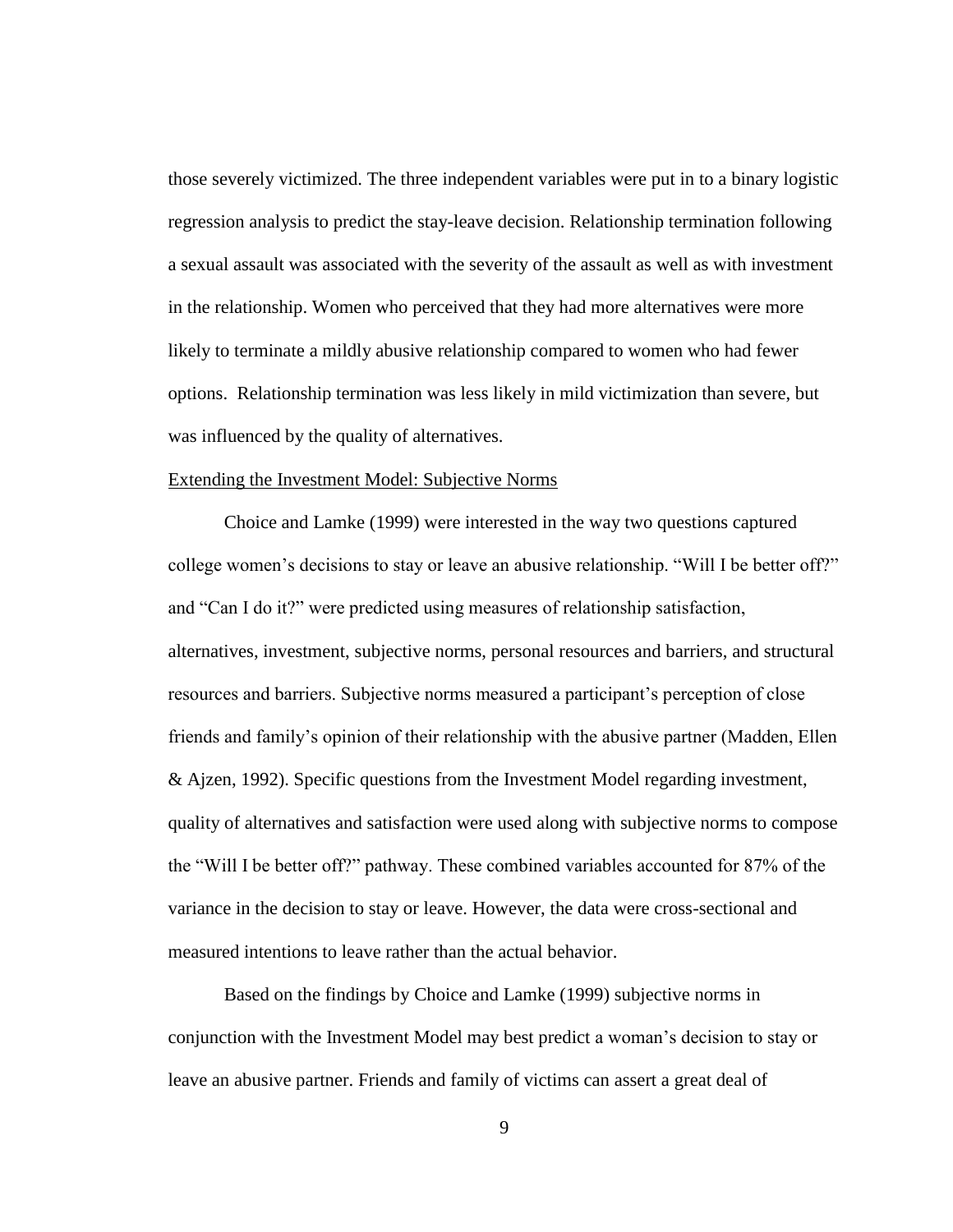those severely victimized. The three independent variables were put in to a binary logistic regression analysis to predict the stay-leave decision. Relationship termination following a sexual assault was associated with the severity of the assault as well as with investment in the relationship. Women who perceived that they had more alternatives were more likely to terminate a mildly abusive relationship compared to women who had fewer options. Relationship termination was less likely in mild victimization than severe, but was influenced by the quality of alternatives.

#### Extending the Investment Model: Subjective Norms

Choice and Lamke (1999) were interested in the way two questions captured college women"s decisions to stay or leave an abusive relationship. "Will I be better off?" and "Can I do it?" were predicted using measures of relationship satisfaction, alternatives, investment, subjective norms, personal resources and barriers, and structural resources and barriers. Subjective norms measured a participant"s perception of close friends and family"s opinion of their relationship with the abusive partner (Madden, Ellen & Ajzen, 1992). Specific questions from the Investment Model regarding investment, quality of alternatives and satisfaction were used along with subjective norms to compose the "Will I be better off?" pathway. These combined variables accounted for 87% of the variance in the decision to stay or leave. However, the data were cross-sectional and measured intentions to leave rather than the actual behavior.

Based on the findings by Choice and Lamke (1999) subjective norms in conjunction with the Investment Model may best predict a woman"s decision to stay or leave an abusive partner. Friends and family of victims can assert a great deal of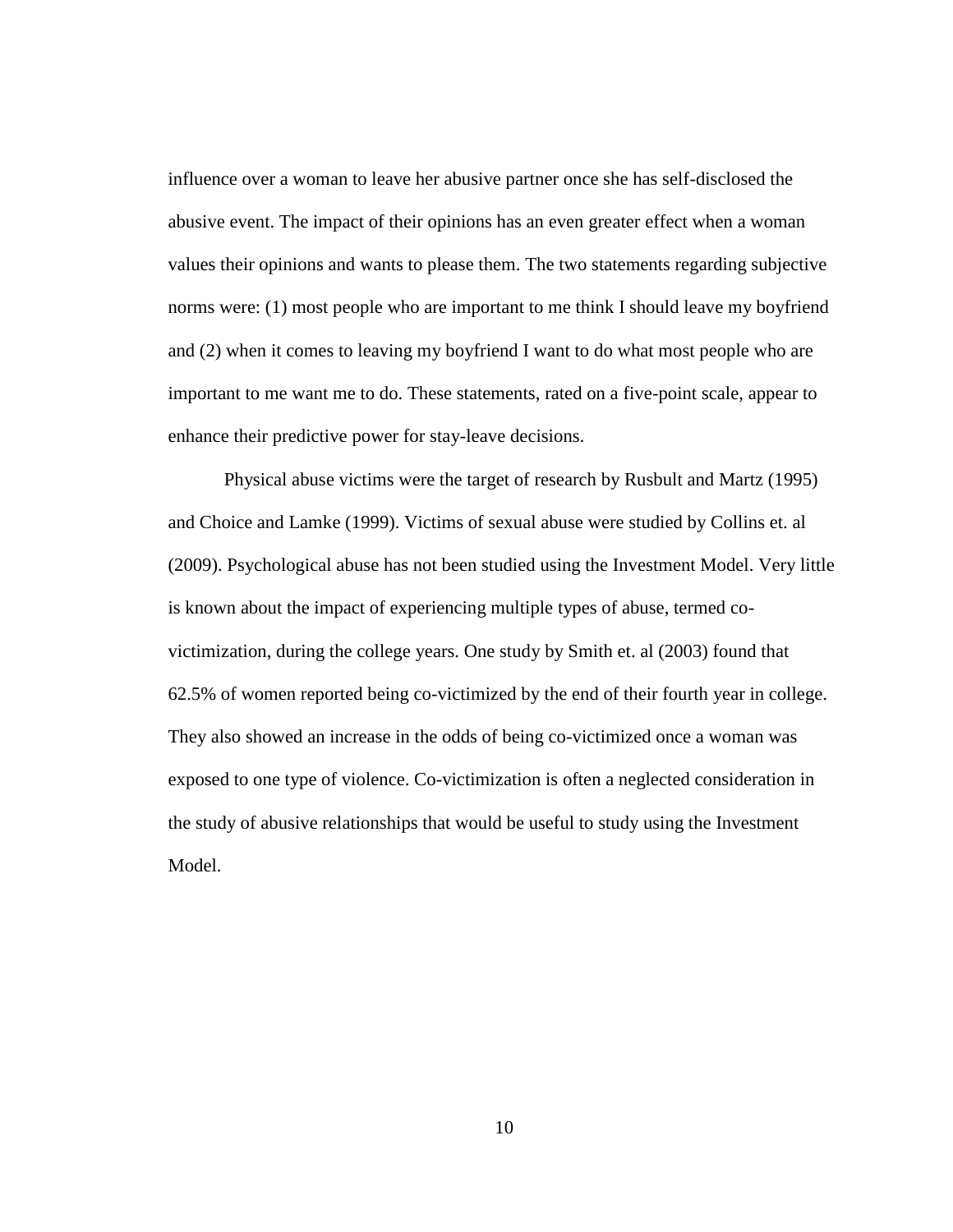influence over a woman to leave her abusive partner once she has self-disclosed the abusive event. The impact of their opinions has an even greater effect when a woman values their opinions and wants to please them. The two statements regarding subjective norms were: (1) most people who are important to me think I should leave my boyfriend and (2) when it comes to leaving my boyfriend I want to do what most people who are important to me want me to do. These statements, rated on a five-point scale, appear to enhance their predictive power for stay-leave decisions.

Physical abuse victims were the target of research by Rusbult and Martz (1995) and Choice and Lamke (1999). Victims of sexual abuse were studied by Collins et. al (2009). Psychological abuse has not been studied using the Investment Model. Very little is known about the impact of experiencing multiple types of abuse, termed covictimization, during the college years. One study by Smith et. al (2003) found that 62.5% of women reported being co-victimized by the end of their fourth year in college. They also showed an increase in the odds of being co-victimized once a woman was exposed to one type of violence. Co-victimization is often a neglected consideration in the study of abusive relationships that would be useful to study using the Investment Model.

10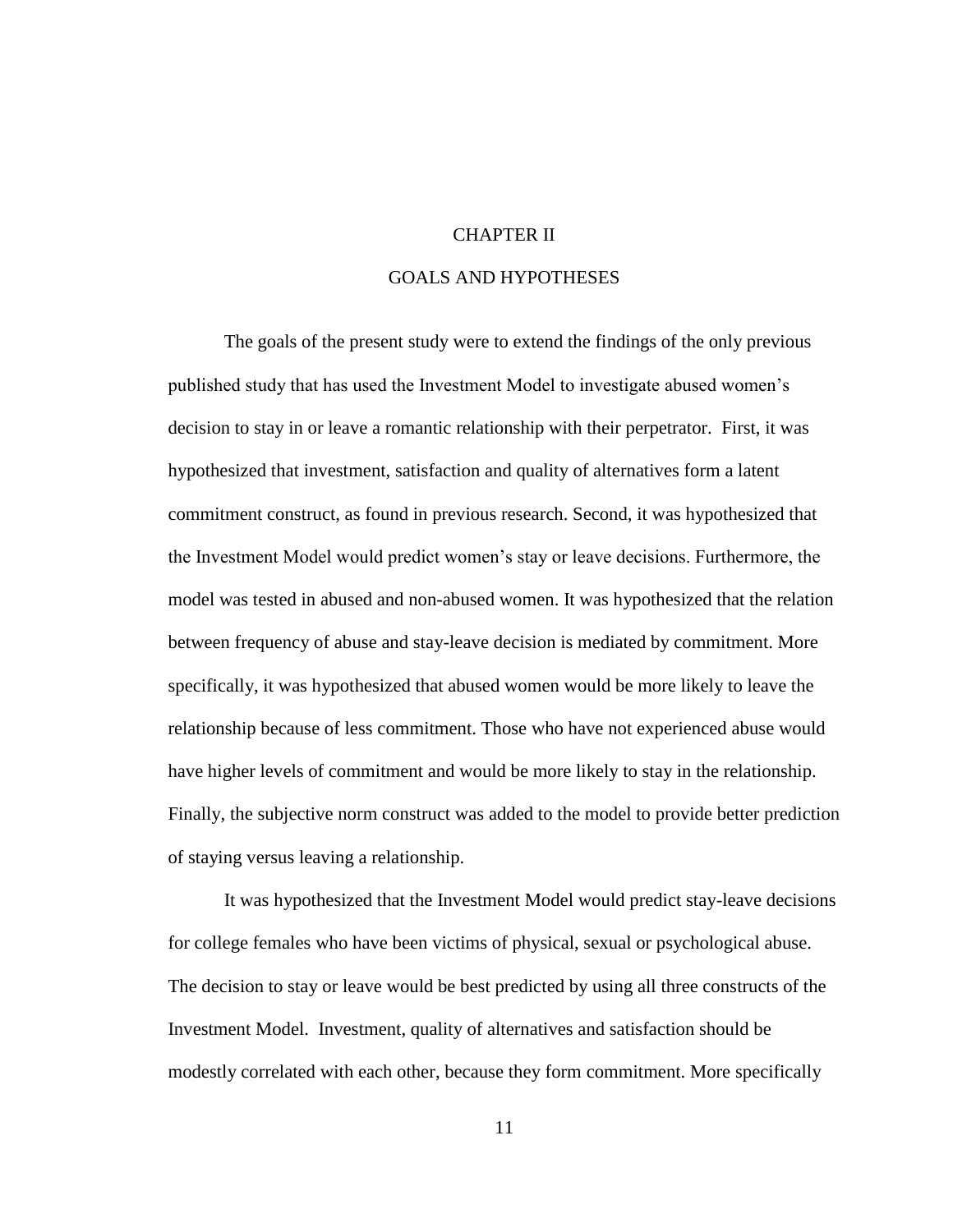### CHAPTER II

### GOALS AND HYPOTHESES

The goals of the present study were to extend the findings of the only previous published study that has used the Investment Model to investigate abused women"s decision to stay in or leave a romantic relationship with their perpetrator. First, it was hypothesized that investment, satisfaction and quality of alternatives form a latent commitment construct, as found in previous research. Second, it was hypothesized that the Investment Model would predict women"s stay or leave decisions. Furthermore, the model was tested in abused and non-abused women. It was hypothesized that the relation between frequency of abuse and stay-leave decision is mediated by commitment. More specifically, it was hypothesized that abused women would be more likely to leave the relationship because of less commitment. Those who have not experienced abuse would have higher levels of commitment and would be more likely to stay in the relationship. Finally, the subjective norm construct was added to the model to provide better prediction of staying versus leaving a relationship.

It was hypothesized that the Investment Model would predict stay-leave decisions for college females who have been victims of physical, sexual or psychological abuse. The decision to stay or leave would be best predicted by using all three constructs of the Investment Model. Investment, quality of alternatives and satisfaction should be modestly correlated with each other, because they form commitment. More specifically

11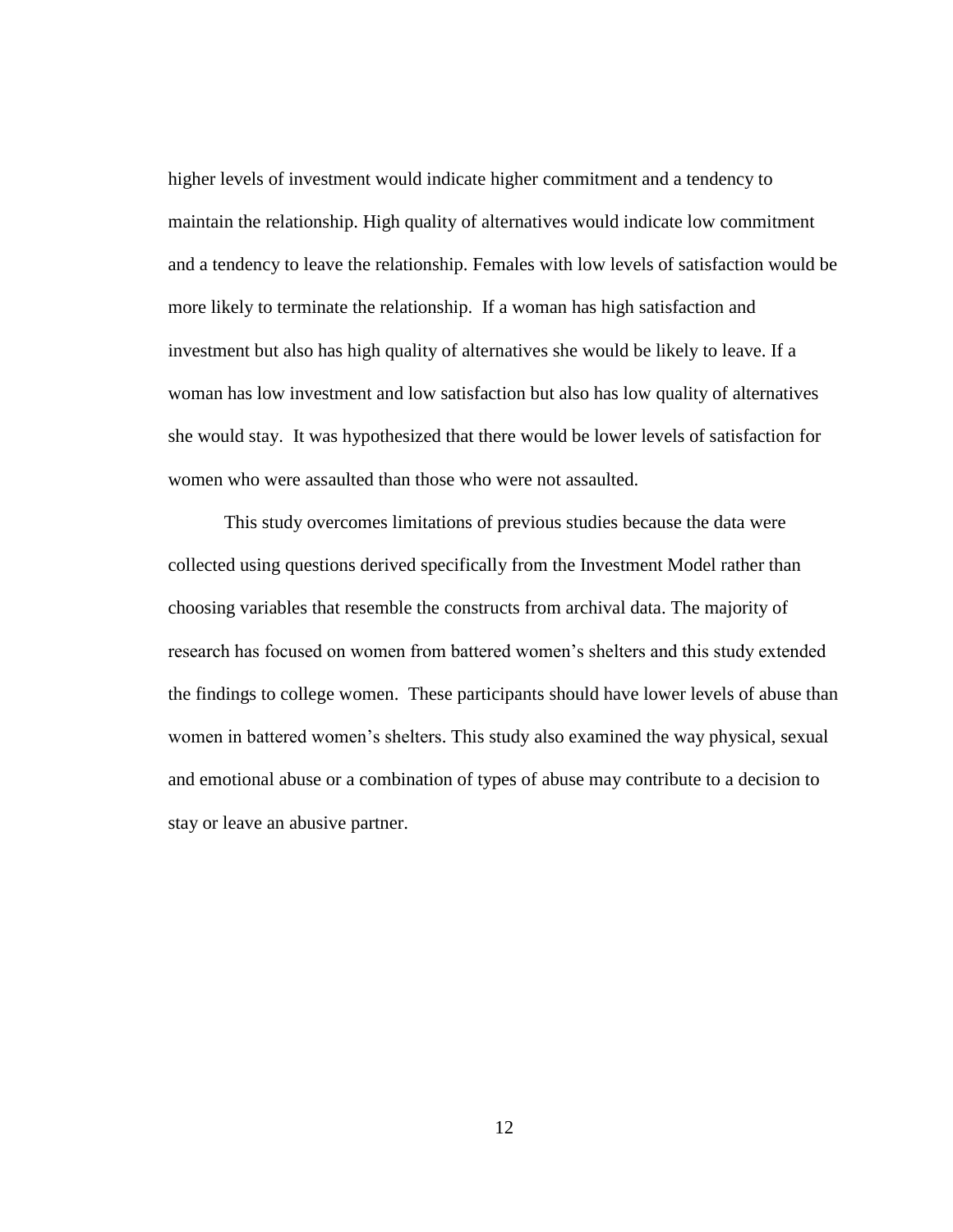higher levels of investment would indicate higher commitment and a tendency to maintain the relationship. High quality of alternatives would indicate low commitment and a tendency to leave the relationship. Females with low levels of satisfaction would be more likely to terminate the relationship. If a woman has high satisfaction and investment but also has high quality of alternatives she would be likely to leave. If a woman has low investment and low satisfaction but also has low quality of alternatives she would stay. It was hypothesized that there would be lower levels of satisfaction for women who were assaulted than those who were not assaulted.

This study overcomes limitations of previous studies because the data were collected using questions derived specifically from the Investment Model rather than choosing variables that resemble the constructs from archival data. The majority of research has focused on women from battered women"s shelters and this study extended the findings to college women. These participants should have lower levels of abuse than women in battered women's shelters. This study also examined the way physical, sexual and emotional abuse or a combination of types of abuse may contribute to a decision to stay or leave an abusive partner.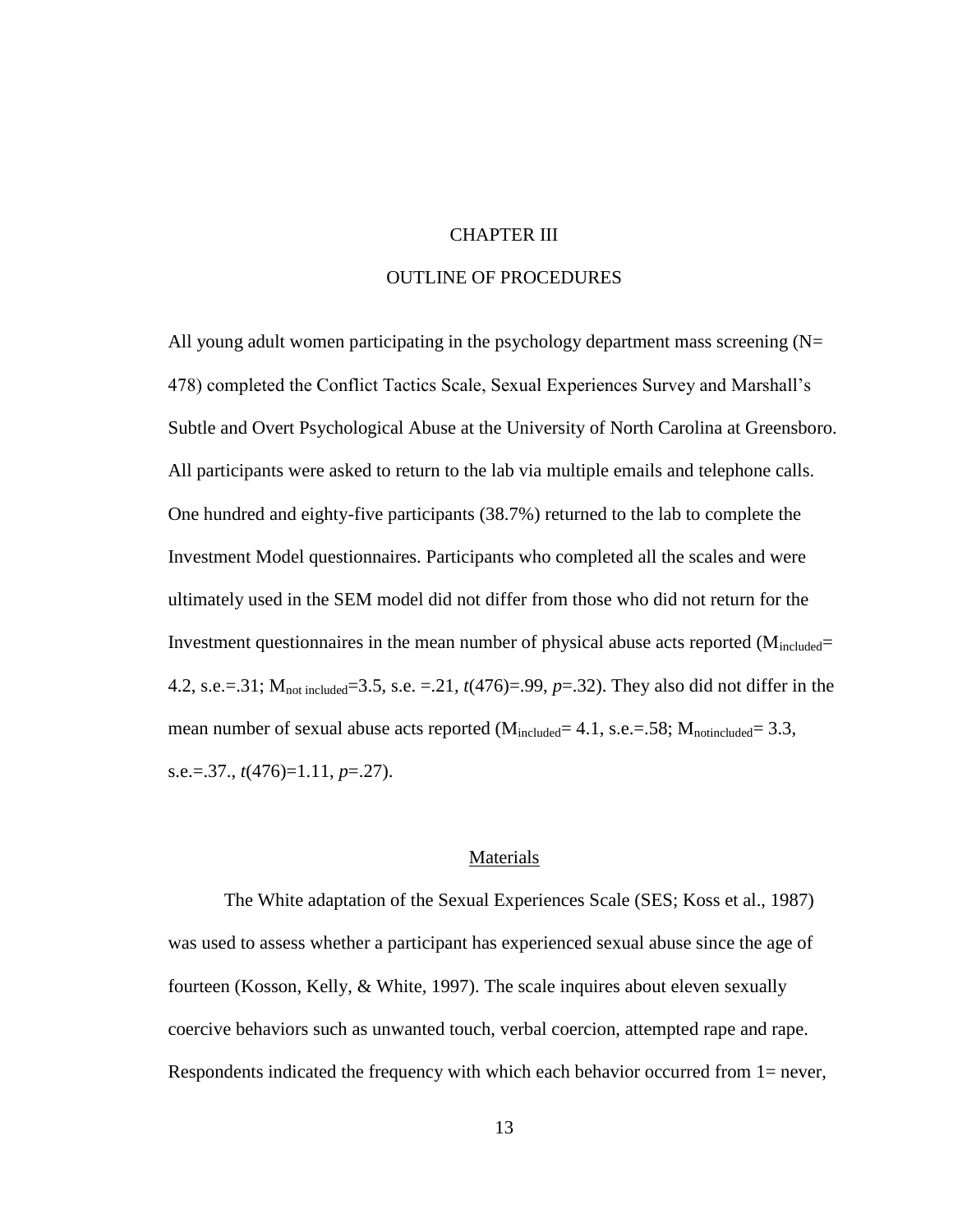## CHAPTER III

# OUTLINE OF PROCEDURES

All young adult women participating in the psychology department mass screening  $(N=$ 478) completed the Conflict Tactics Scale, Sexual Experiences Survey and Marshall"s Subtle and Overt Psychological Abuse at the University of North Carolina at Greensboro. All participants were asked to return to the lab via multiple emails and telephone calls. One hundred and eighty-five participants (38.7%) returned to the lab to complete the Investment Model questionnaires. Participants who completed all the scales and were ultimately used in the SEM model did not differ from those who did not return for the Investment questionnaires in the mean number of physical abuse acts reported  $(M_{\text{included}} =$ 4.2, s.e.=.31; Mnot included=3.5, s.e. =.21, *t*(476)=.99, *p*=.32). They also did not differ in the mean number of sexual abuse acts reported  $(M_{\text{included}}= 4.1, s.e.=0.58; M_{\text{notincluded}}= 3.3,$ s.e.=.37., *t*(476)=1.11, *p*=.27).

#### Materials

The White adaptation of the Sexual Experiences Scale (SES; Koss et al., 1987) was used to assess whether a participant has experienced sexual abuse since the age of fourteen (Kosson, Kelly, & White, 1997). The scale inquires about eleven sexually coercive behaviors such as unwanted touch, verbal coercion, attempted rape and rape. Respondents indicated the frequency with which each behavior occurred from 1= never,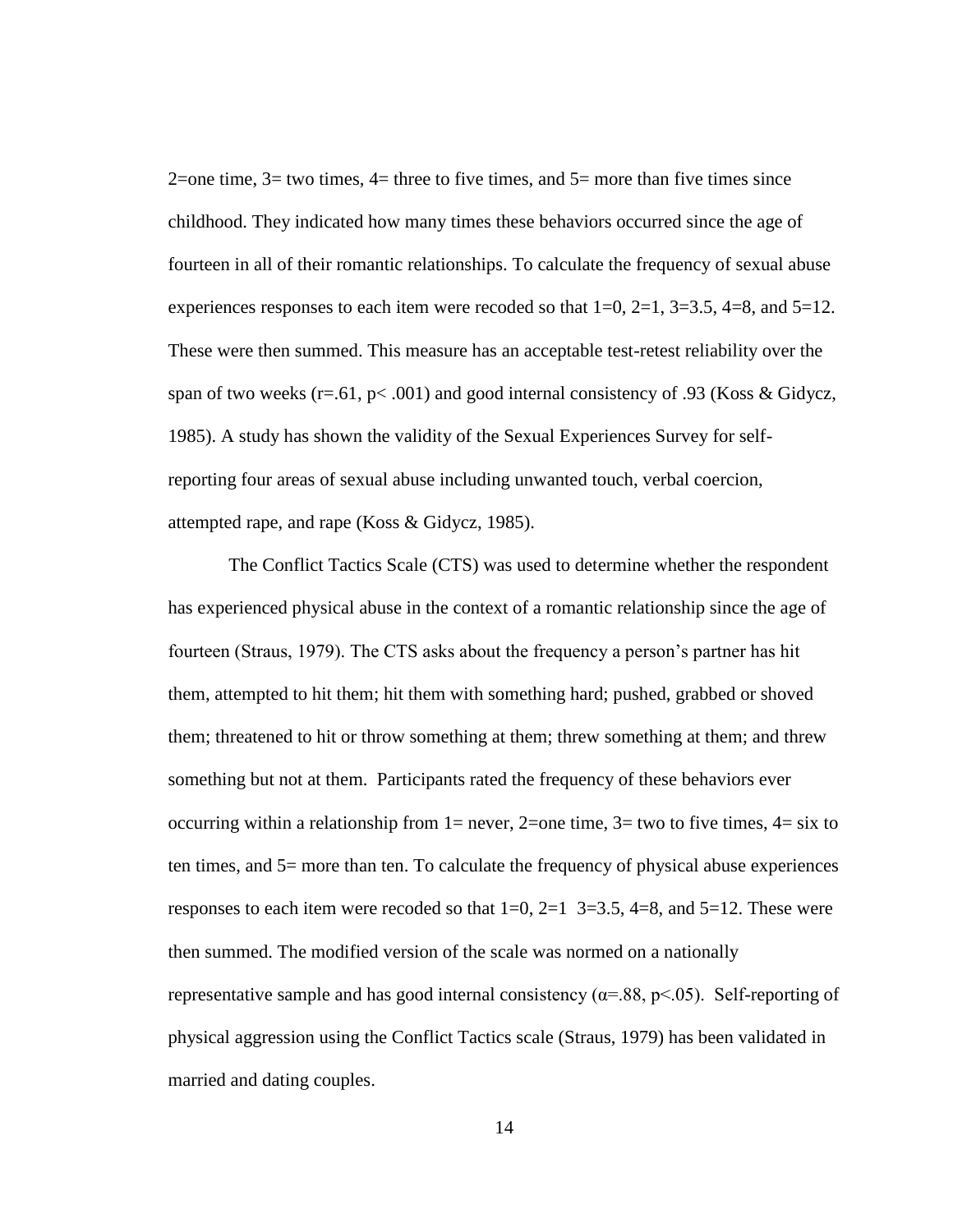2=one time,  $3$  = two times,  $4$  = three to five times, and  $5$  = more than five times since childhood. They indicated how many times these behaviors occurred since the age of fourteen in all of their romantic relationships. To calculate the frequency of sexual abuse experiences responses to each item were recoded so that  $1=0$ ,  $2=1$ ,  $3=3.5$ ,  $4=8$ , and  $5=12$ . These were then summed. This measure has an acceptable test-retest reliability over the span of two weeks ( $r = .61$ ,  $p < .001$ ) and good internal consistency of .93 (Koss & Gidycz, 1985). A study has shown the validity of the Sexual Experiences Survey for selfreporting four areas of sexual abuse including unwanted touch, verbal coercion, attempted rape, and rape (Koss & Gidycz, 1985).

The Conflict Tactics Scale (CTS) was used to determine whether the respondent has experienced physical abuse in the context of a romantic relationship since the age of fourteen (Straus, 1979). The CTS asks about the frequency a person"s partner has hit them, attempted to hit them; hit them with something hard; pushed, grabbed or shoved them; threatened to hit or throw something at them; threw something at them; and threw something but not at them. Participants rated the frequency of these behaviors ever occurring within a relationship from  $1=$  never,  $2=$  one time,  $3=$  two to five times,  $4=$  six to ten times, and 5= more than ten. To calculate the frequency of physical abuse experiences responses to each item were recoded so that  $1=0$ ,  $2=1$  3=3.5, 4=8, and 5=12. These were then summed. The modified version of the scale was normed on a nationally representative sample and has good internal consistency ( $\alpha$ =.88,  $p$ <.05). Self-reporting of physical aggression using the Conflict Tactics scale (Straus, 1979) has been validated in married and dating couples.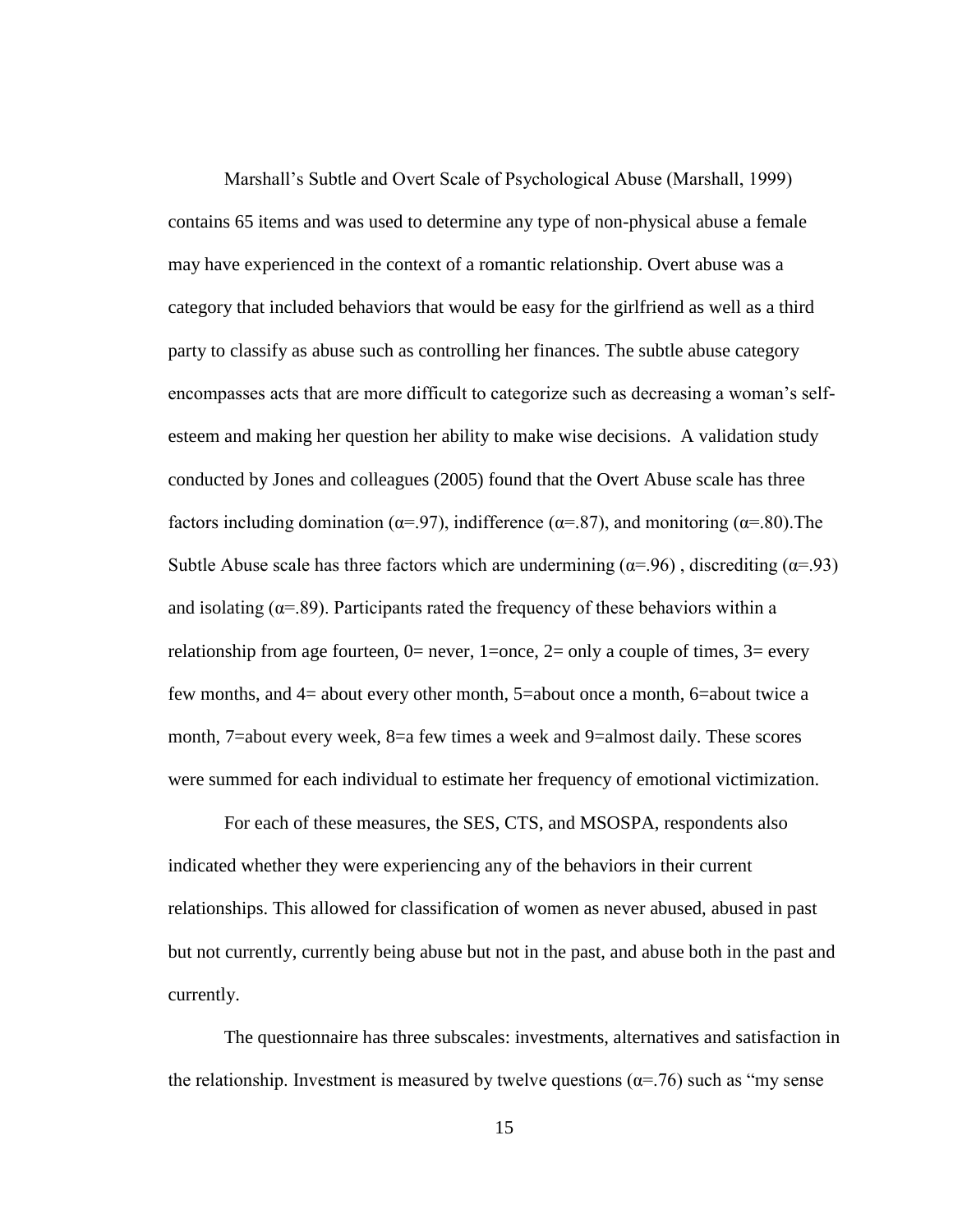Marshall"s Subtle and Overt Scale of Psychological Abuse (Marshall, 1999) contains 65 items and was used to determine any type of non-physical abuse a female may have experienced in the context of a romantic relationship. Overt abuse was a category that included behaviors that would be easy for the girlfriend as well as a third party to classify as abuse such as controlling her finances. The subtle abuse category encompasses acts that are more difficult to categorize such as decreasing a woman"s selfesteem and making her question her ability to make wise decisions. A validation study conducted by Jones and colleagues (2005) found that the Overt Abuse scale has three factors including domination ( $\alpha$ =.97), indifference ( $\alpha$ =.87), and monitoring ( $\alpha$ =.80). The Subtle Abuse scale has three factors which are undermining ( $\alpha$ =.96), discrediting ( $\alpha$ =.93) and isolating ( $\alpha$ =.89). Participants rated the frequency of these behaviors within a relationship from age fourteen,  $0=$  never,  $1=$  once,  $2=$  only a couple of times,  $3=$  every few months, and 4= about every other month, 5=about once a month, 6=about twice a month, 7=about every week, 8=a few times a week and 9=almost daily. These scores were summed for each individual to estimate her frequency of emotional victimization.

For each of these measures, the SES, CTS, and MSOSPA, respondents also indicated whether they were experiencing any of the behaviors in their current relationships. This allowed for classification of women as never abused, abused in past but not currently, currently being abuse but not in the past, and abuse both in the past and currently.

The questionnaire has three subscales: investments, alternatives and satisfaction in the relationship. Investment is measured by twelve questions ( $\alpha$ =.76) such as "my sense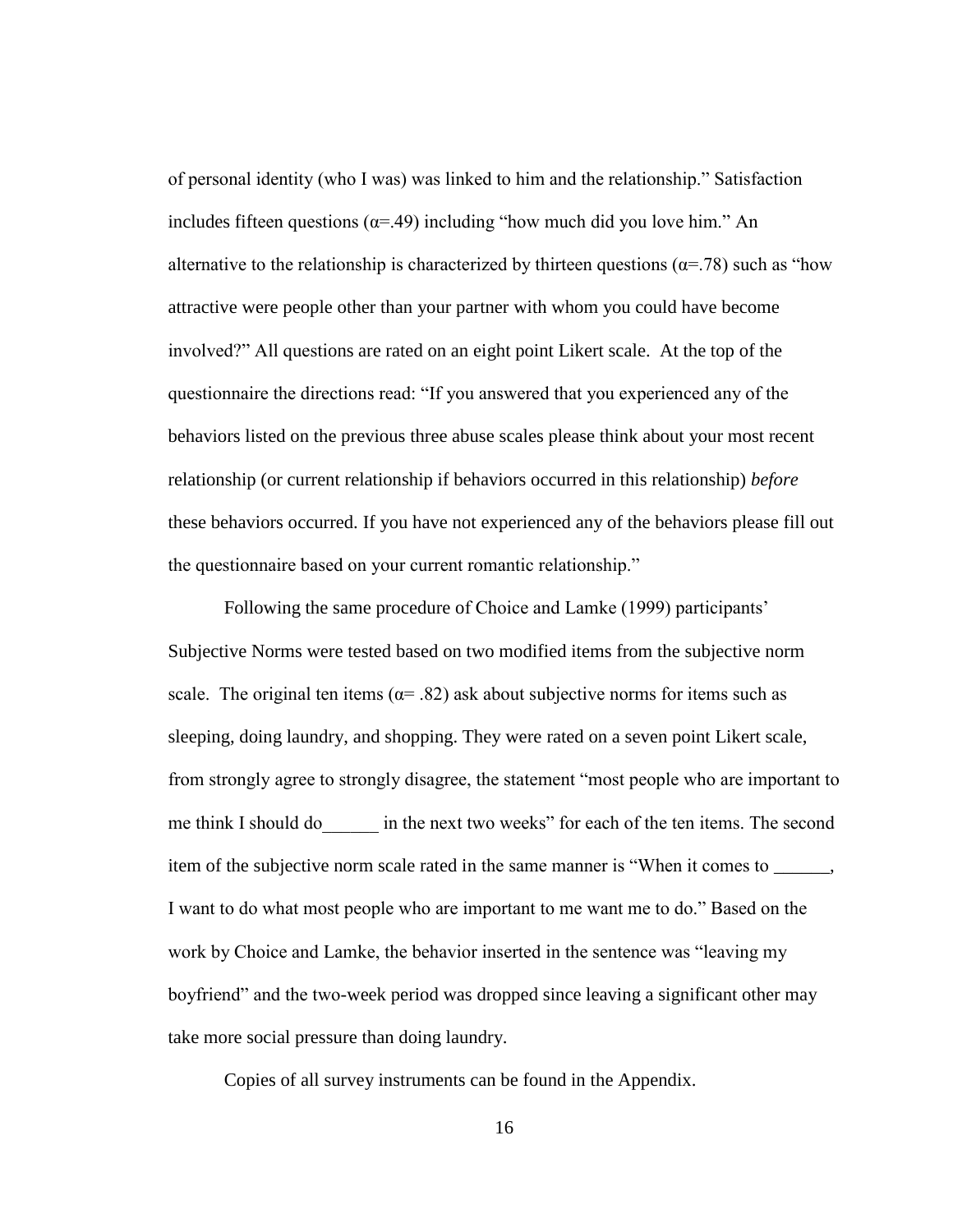of personal identity (who I was) was linked to him and the relationship." Satisfaction includes fifteen questions ( $\alpha$ =.49) including "how much did you love him." An alternative to the relationship is characterized by thirteen questions ( $\alpha$ =.78) such as "how attractive were people other than your partner with whom you could have become involved?" All questions are rated on an eight point Likert scale. At the top of the questionnaire the directions read: "If you answered that you experienced any of the behaviors listed on the previous three abuse scales please think about your most recent relationship (or current relationship if behaviors occurred in this relationship) *before* these behaviors occurred. If you have not experienced any of the behaviors please fill out the questionnaire based on your current romantic relationship."

Following the same procedure of Choice and Lamke (1999) participants' Subjective Norms were tested based on two modified items from the subjective norm scale. The original ten items ( $\alpha$ = .82) ask about subjective norms for items such as sleeping, doing laundry, and shopping. They were rated on a seven point Likert scale, from strongly agree to strongly disagree, the statement "most people who are important to me think I should do in the next two weeks" for each of the ten items. The second item of the subjective norm scale rated in the same manner is "When it comes to \_\_\_\_\_, I want to do what most people who are important to me want me to do." Based on the work by Choice and Lamke, the behavior inserted in the sentence was "leaving my boyfriend" and the two-week period was dropped since leaving a significant other may take more social pressure than doing laundry.

Copies of all survey instruments can be found in the Appendix.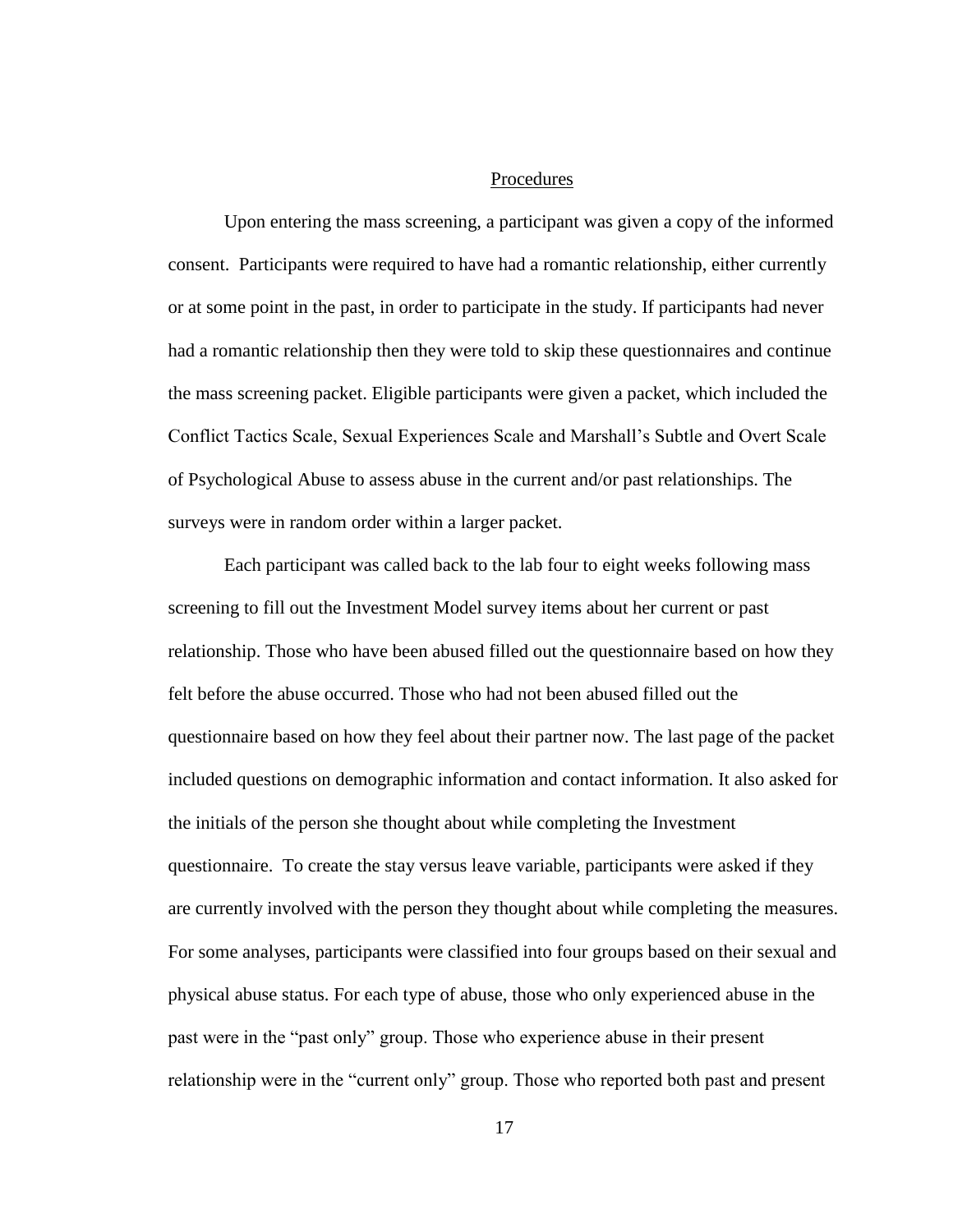#### Procedures

Upon entering the mass screening, a participant was given a copy of the informed consent. Participants were required to have had a romantic relationship, either currently or at some point in the past, in order to participate in the study. If participants had never had a romantic relationship then they were told to skip these questionnaires and continue the mass screening packet. Eligible participants were given a packet, which included the Conflict Tactics Scale, Sexual Experiences Scale and Marshall"s Subtle and Overt Scale of Psychological Abuse to assess abuse in the current and/or past relationships. The surveys were in random order within a larger packet.

Each participant was called back to the lab four to eight weeks following mass screening to fill out the Investment Model survey items about her current or past relationship. Those who have been abused filled out the questionnaire based on how they felt before the abuse occurred. Those who had not been abused filled out the questionnaire based on how they feel about their partner now. The last page of the packet included questions on demographic information and contact information. It also asked for the initials of the person she thought about while completing the Investment questionnaire. To create the stay versus leave variable, participants were asked if they are currently involved with the person they thought about while completing the measures. For some analyses, participants were classified into four groups based on their sexual and physical abuse status. For each type of abuse, those who only experienced abuse in the past were in the "past only" group. Those who experience abuse in their present relationship were in the "current only" group. Those who reported both past and present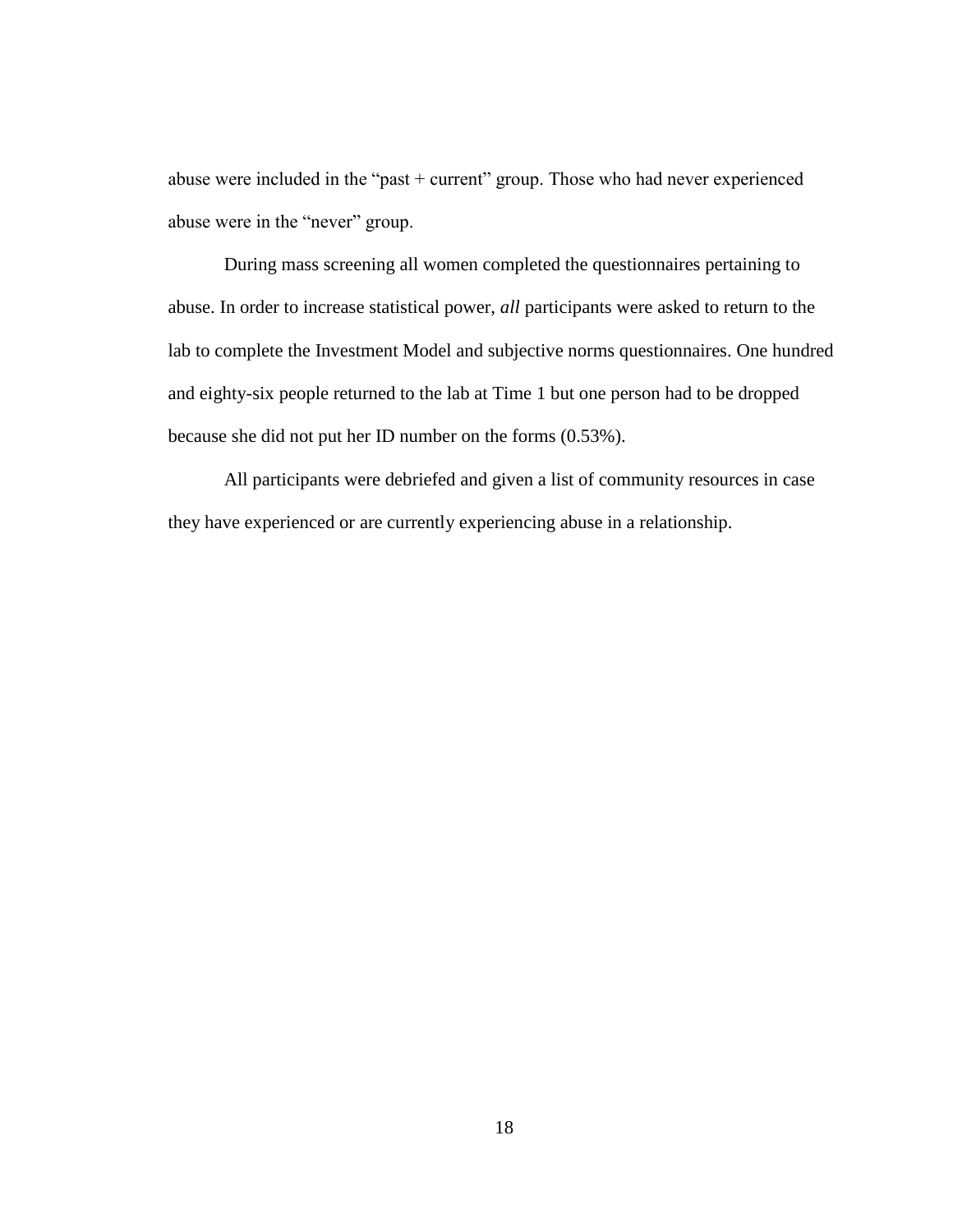abuse were included in the "past + current" group. Those who had never experienced abuse were in the "never" group.

During mass screening all women completed the questionnaires pertaining to abuse. In order to increase statistical power, *all* participants were asked to return to the lab to complete the Investment Model and subjective norms questionnaires. One hundred and eighty-six people returned to the lab at Time 1 but one person had to be dropped because she did not put her ID number on the forms (0.53%).

All participants were debriefed and given a list of community resources in case they have experienced or are currently experiencing abuse in a relationship.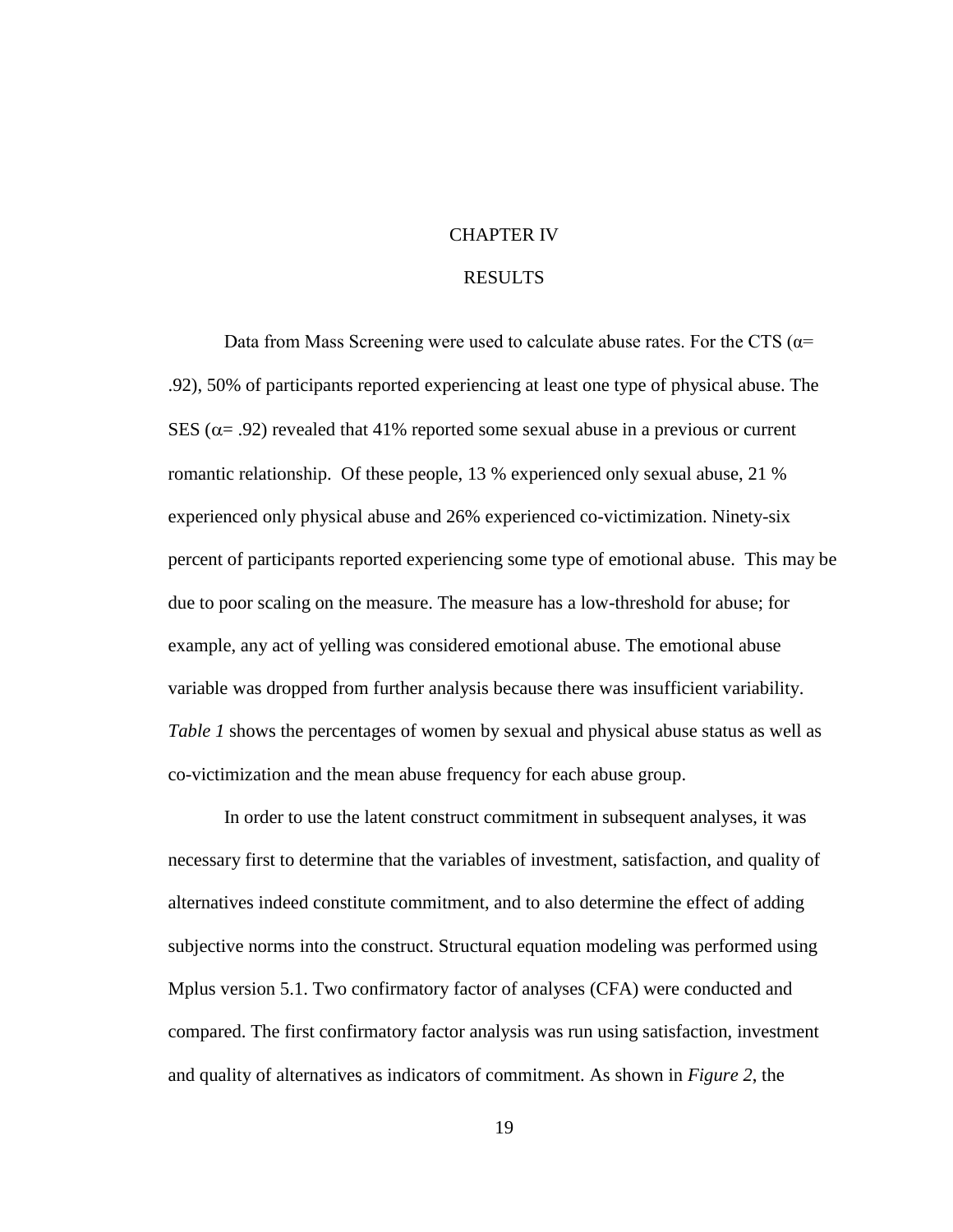#### CHAPTER IV

#### RESULTS

Data from Mass Screening were used to calculate abuse rates. For the CTS ( $\alpha$ = .92), 50% of participants reported experiencing at least one type of physical abuse. The SES ( $\alpha$  = .92) revealed that 41% reported some sexual abuse in a previous or current romantic relationship. Of these people, 13 % experienced only sexual abuse, 21 % experienced only physical abuse and 26% experienced co-victimization. Ninety-six percent of participants reported experiencing some type of emotional abuse. This may be due to poor scaling on the measure. The measure has a low-threshold for abuse; for example, any act of yelling was considered emotional abuse. The emotional abuse variable was dropped from further analysis because there was insufficient variability. *Table 1* shows the percentages of women by sexual and physical abuse status as well as co-victimization and the mean abuse frequency for each abuse group.

In order to use the latent construct commitment in subsequent analyses, it was necessary first to determine that the variables of investment, satisfaction, and quality of alternatives indeed constitute commitment, and to also determine the effect of adding subjective norms into the construct. Structural equation modeling was performed using Mplus version 5.1. Two confirmatory factor of analyses (CFA) were conducted and compared. The first confirmatory factor analysis was run using satisfaction, investment and quality of alternatives as indicators of commitment. As shown in *Figure 2*, the

19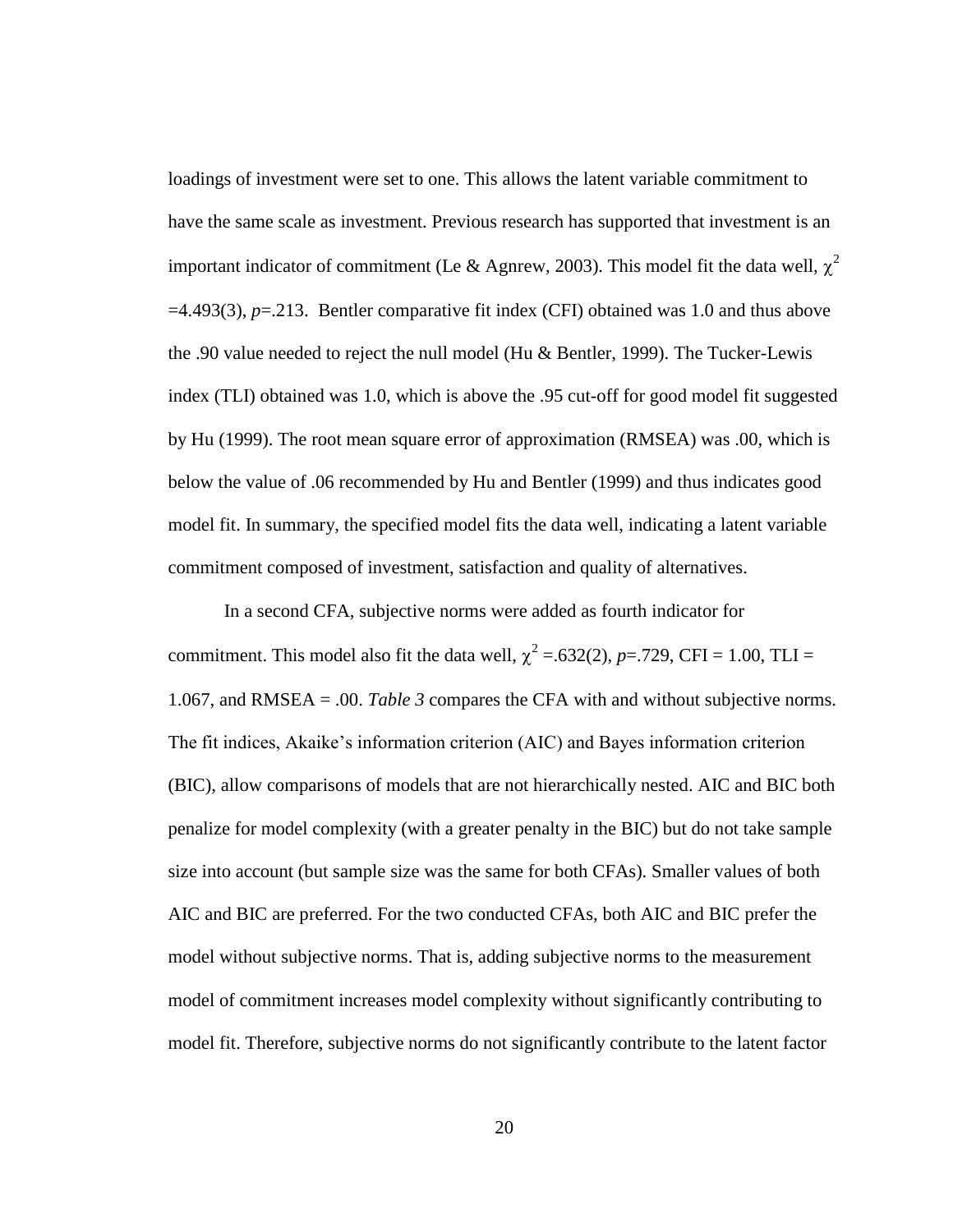loadings of investment were set to one. This allows the latent variable commitment to have the same scale as investment. Previous research has supported that investment is an important indicator of commitment (Le & Agnrew, 2003). This model fit the data well,  $\chi^2$  $=4.493(3)$ ,  $p=.213$ . Bentler comparative fit index (CFI) obtained was 1.0 and thus above the .90 value needed to reject the null model (Hu & Bentler, 1999). The Tucker-Lewis index (TLI) obtained was 1.0, which is above the .95 cut-off for good model fit suggested by Hu (1999). The root mean square error of approximation (RMSEA) was .00, which is below the value of .06 recommended by Hu and Bentler (1999) and thus indicates good model fit. In summary, the specified model fits the data well, indicating a latent variable commitment composed of investment, satisfaction and quality of alternatives.

In a second CFA, subjective norms were added as fourth indicator for commitment. This model also fit the data well,  $\chi^2 = .632(2)$ , *p*=.729, CFI = 1.00, TLI = 1.067, and RMSEA = .00. *Table 3* compares the CFA with and without subjective norms. The fit indices, Akaike"s information criterion (AIC) and Bayes information criterion (BIC), allow comparisons of models that are not hierarchically nested. AIC and BIC both penalize for model complexity (with a greater penalty in the BIC) but do not take sample size into account (but sample size was the same for both CFAs). Smaller values of both AIC and BIC are preferred. For the two conducted CFAs, both AIC and BIC prefer the model without subjective norms. That is, adding subjective norms to the measurement model of commitment increases model complexity without significantly contributing to model fit. Therefore, subjective norms do not significantly contribute to the latent factor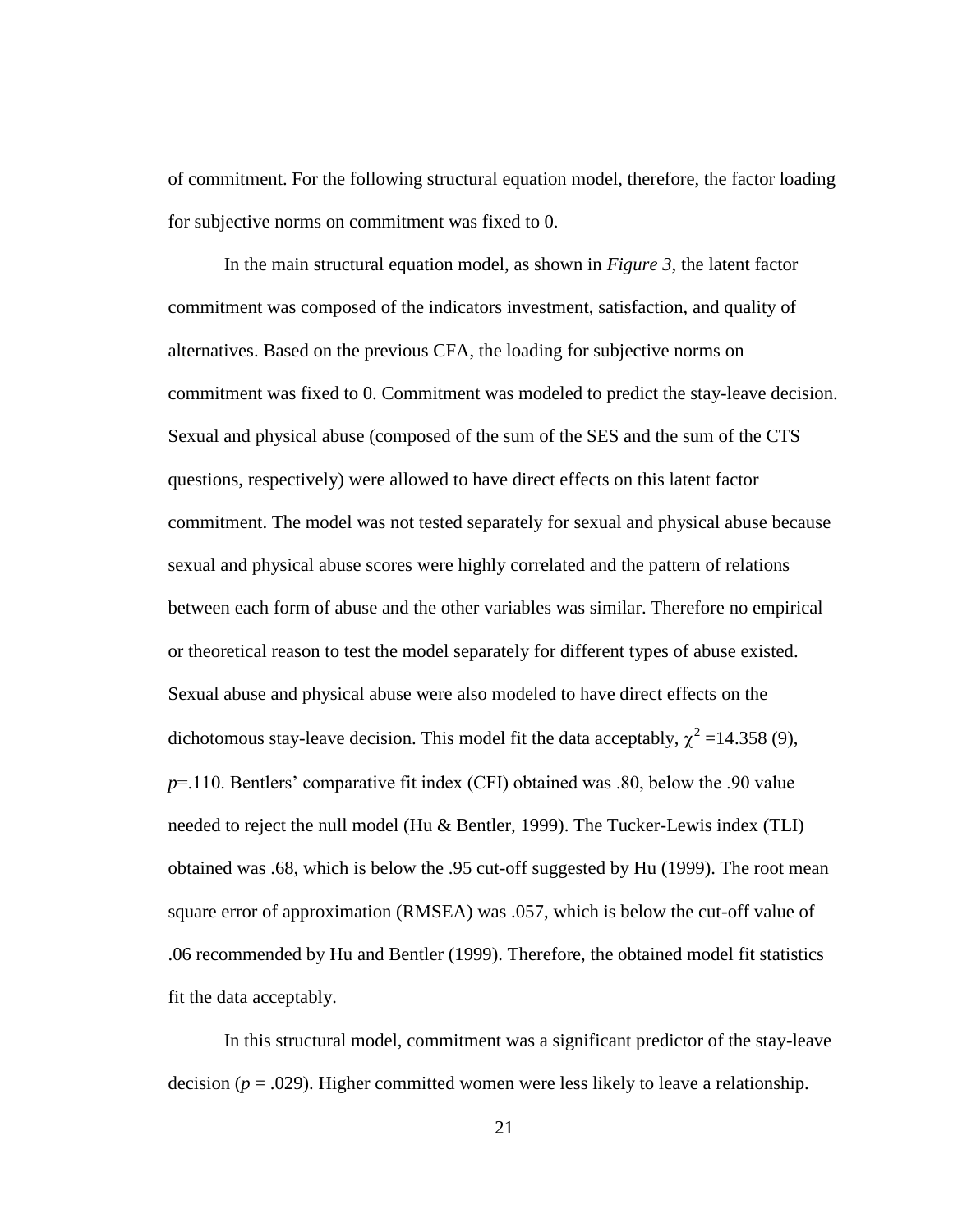of commitment. For the following structural equation model, therefore, the factor loading for subjective norms on commitment was fixed to 0.

In the main structural equation model, as shown in *Figure 3*, the latent factor commitment was composed of the indicators investment, satisfaction, and quality of alternatives. Based on the previous CFA, the loading for subjective norms on commitment was fixed to 0. Commitment was modeled to predict the stay-leave decision. Sexual and physical abuse (composed of the sum of the SES and the sum of the CTS questions, respectively) were allowed to have direct effects on this latent factor commitment. The model was not tested separately for sexual and physical abuse because sexual and physical abuse scores were highly correlated and the pattern of relations between each form of abuse and the other variables was similar. Therefore no empirical or theoretical reason to test the model separately for different types of abuse existed. Sexual abuse and physical abuse were also modeled to have direct effects on the dichotomous stay-leave decision. This model fit the data acceptably,  $\chi^2$  =14.358 (9),  $p=110$ . Bentlers' comparative fit index (CFI) obtained was .80, below the .90 value needed to reject the null model (Hu & Bentler, 1999). The Tucker-Lewis index (TLI) obtained was .68, which is below the .95 cut-off suggested by Hu (1999). The root mean square error of approximation (RMSEA) was .057, which is below the cut-off value of .06 recommended by Hu and Bentler (1999). Therefore, the obtained model fit statistics fit the data acceptably.

In this structural model, commitment was a significant predictor of the stay-leave decision  $(p = .029)$ . Higher committed women were less likely to leave a relationship.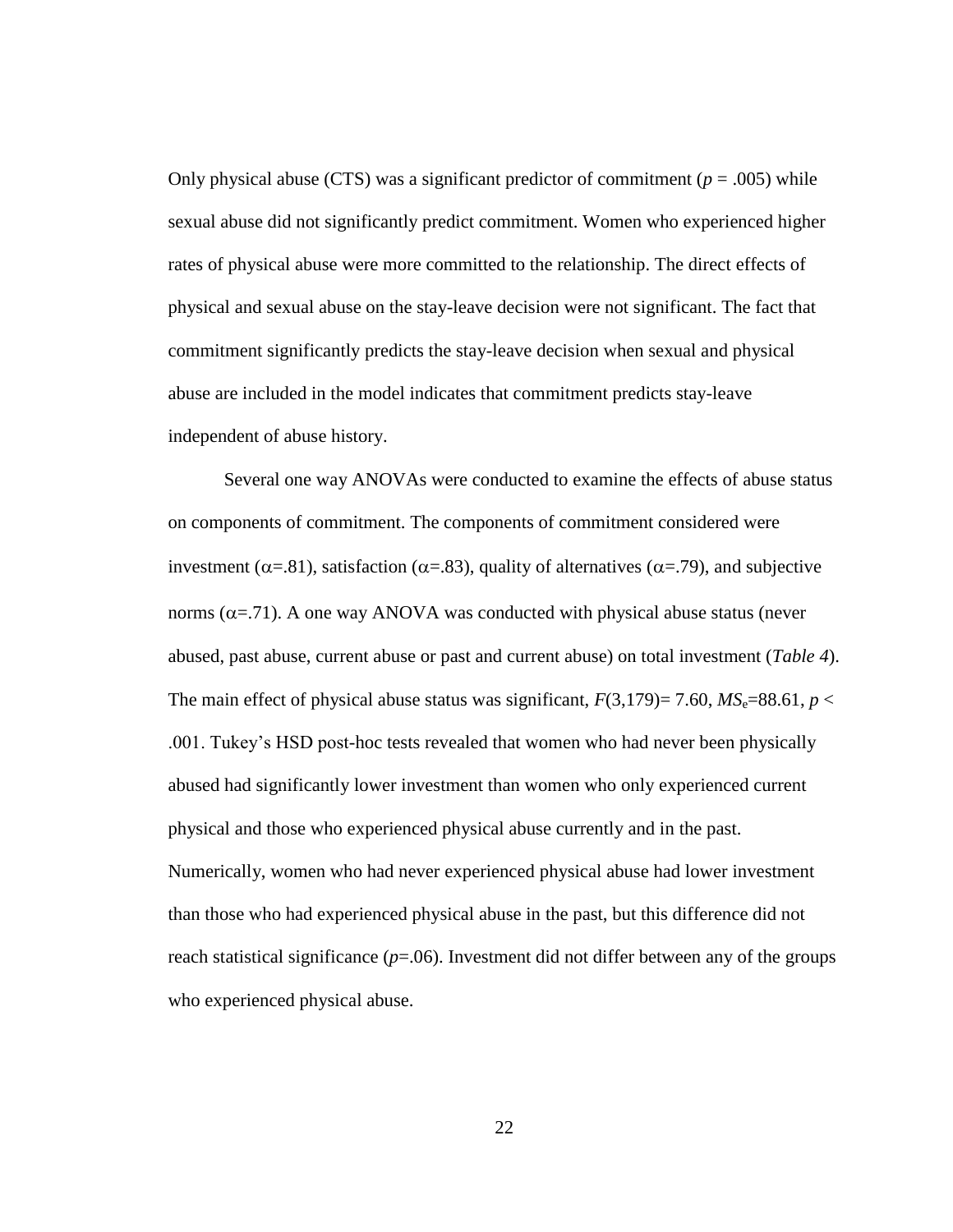Only physical abuse (CTS) was a significant predictor of commitment ( $p = .005$ ) while sexual abuse did not significantly predict commitment. Women who experienced higher rates of physical abuse were more committed to the relationship. The direct effects of physical and sexual abuse on the stay-leave decision were not significant. The fact that commitment significantly predicts the stay-leave decision when sexual and physical abuse are included in the model indicates that commitment predicts stay-leave independent of abuse history.

Several one way ANOVAs were conducted to examine the effects of abuse status on components of commitment. The components of commitment considered were investment ( $\alpha$ =.81), satisfaction ( $\alpha$ =.83), quality of alternatives ( $\alpha$ =.79), and subjective norms  $(\alpha = .71)$ . A one way ANOVA was conducted with physical abuse status (never abused, past abuse, current abuse or past and current abuse) on total investment (*Table 4*). The main effect of physical abuse status was significant,  $F(3,179) = 7.60$ ,  $MS_e = 88.61$ ,  $p <$ .001. Tukey"s HSD post-hoc tests revealed that women who had never been physically abused had significantly lower investment than women who only experienced current physical and those who experienced physical abuse currently and in the past. Numerically, women who had never experienced physical abuse had lower investment than those who had experienced physical abuse in the past, but this difference did not reach statistical significance  $(p=0.06)$ . Investment did not differ between any of the groups who experienced physical abuse.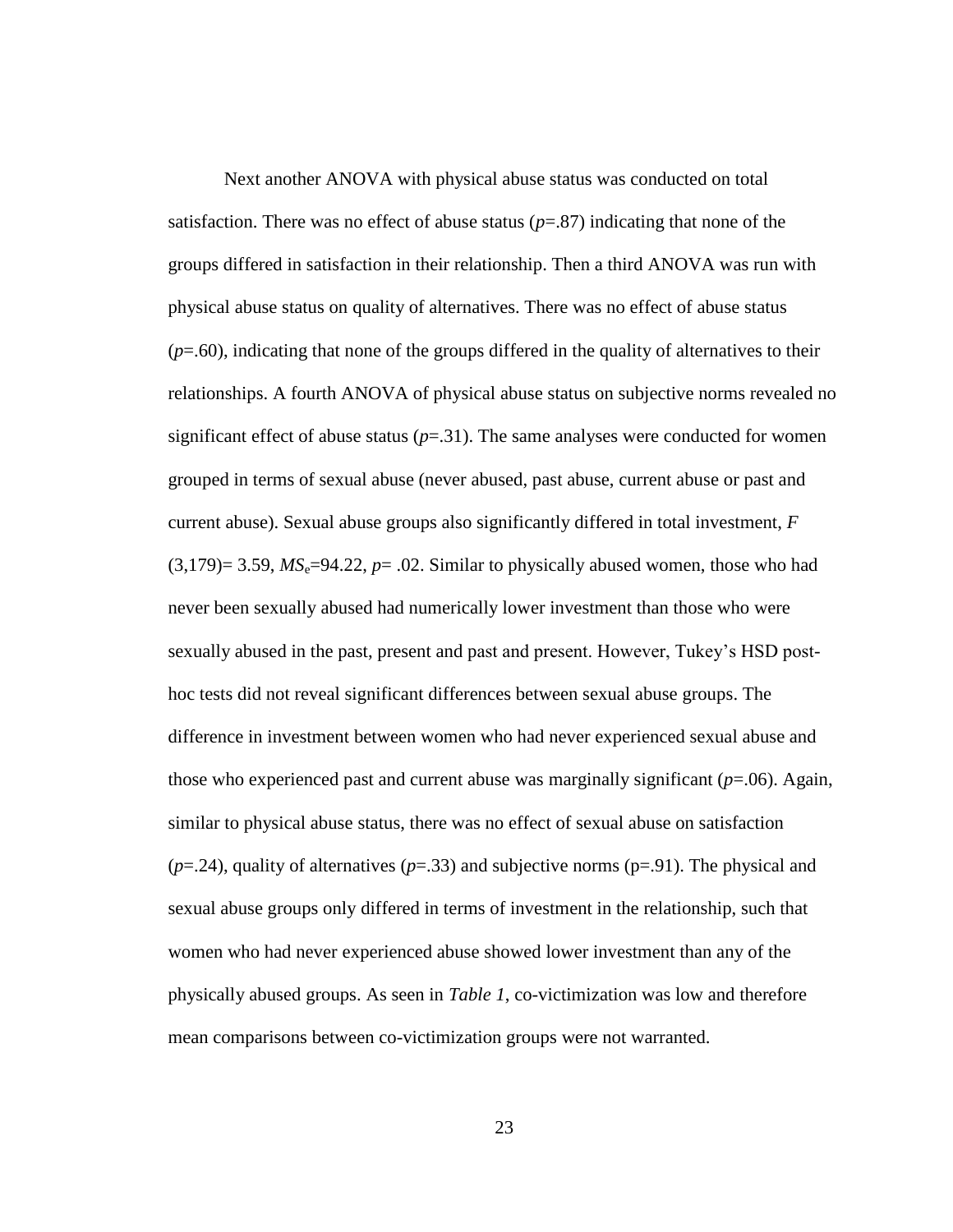Next another ANOVA with physical abuse status was conducted on total satisfaction. There was no effect of abuse status  $(p=.87)$  indicating that none of the groups differed in satisfaction in their relationship. Then a third ANOVA was run with physical abuse status on quality of alternatives. There was no effect of abuse status  $(p=0.60)$ , indicating that none of the groups differed in the quality of alternatives to their relationships. A fourth ANOVA of physical abuse status on subjective norms revealed no significant effect of abuse status  $(p=0.31)$ . The same analyses were conducted for women grouped in terms of sexual abuse (never abused, past abuse, current abuse or past and current abuse). Sexual abuse groups also significantly differed in total investment, *F*   $(3,179)$ = 3.59,  $MS_e$ =94.22,  $p$ = .02. Similar to physically abused women, those who had never been sexually abused had numerically lower investment than those who were sexually abused in the past, present and past and present. However, Tukey"s HSD posthoc tests did not reveal significant differences between sexual abuse groups. The difference in investment between women who had never experienced sexual abuse and those who experienced past and current abuse was marginally significant  $(p=0.06)$ . Again, similar to physical abuse status, there was no effect of sexual abuse on satisfaction  $(p=0.24)$ , quality of alternatives  $(p=0.33)$  and subjective norms  $(p=0.91)$ . The physical and sexual abuse groups only differed in terms of investment in the relationship, such that women who had never experienced abuse showed lower investment than any of the physically abused groups. As seen in *Table 1*, co-victimization was low and therefore mean comparisons between co-victimization groups were not warranted.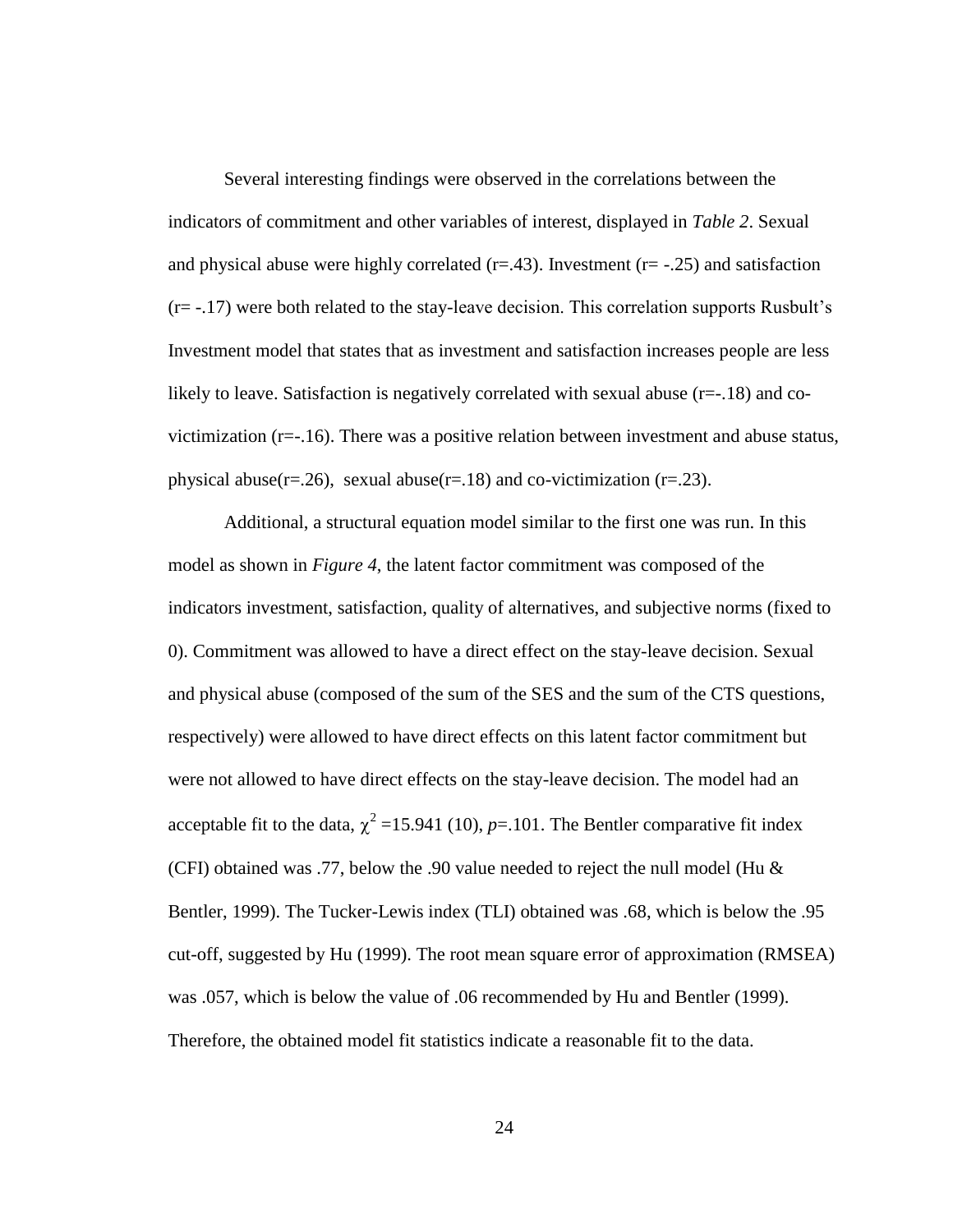Several interesting findings were observed in the correlations between the indicators of commitment and other variables of interest, displayed in *Table 2*. Sexual and physical abuse were highly correlated  $(r=.43)$ . Investment  $(r=.25)$  and satisfaction  $(r=-.17)$  were both related to the stay-leave decision. This correlation supports Rusbult's Investment model that states that as investment and satisfaction increases people are less likely to leave. Satisfaction is negatively correlated with sexual abuse (r=-.18) and covictimization (r=-.16). There was a positive relation between investment and abuse status, physical abuse( $r=0.26$ ), sexual abuse( $r=0.18$ ) and co-victimization ( $r=0.23$ ).

Additional, a structural equation model similar to the first one was run. In this model as shown in *Figure 4*, the latent factor commitment was composed of the indicators investment, satisfaction, quality of alternatives, and subjective norms (fixed to 0). Commitment was allowed to have a direct effect on the stay-leave decision. Sexual and physical abuse (composed of the sum of the SES and the sum of the CTS questions, respectively) were allowed to have direct effects on this latent factor commitment but were not allowed to have direct effects on the stay-leave decision. The model had an acceptable fit to the data,  $\chi^2$  =15.941 (10), *p*=.101. The Bentler comparative fit index (CFI) obtained was .77, below the .90 value needed to reject the null model (Hu  $\&$ Bentler, 1999). The Tucker-Lewis index (TLI) obtained was .68, which is below the .95 cut-off, suggested by Hu (1999). The root mean square error of approximation (RMSEA) was .057, which is below the value of .06 recommended by Hu and Bentler (1999). Therefore, the obtained model fit statistics indicate a reasonable fit to the data.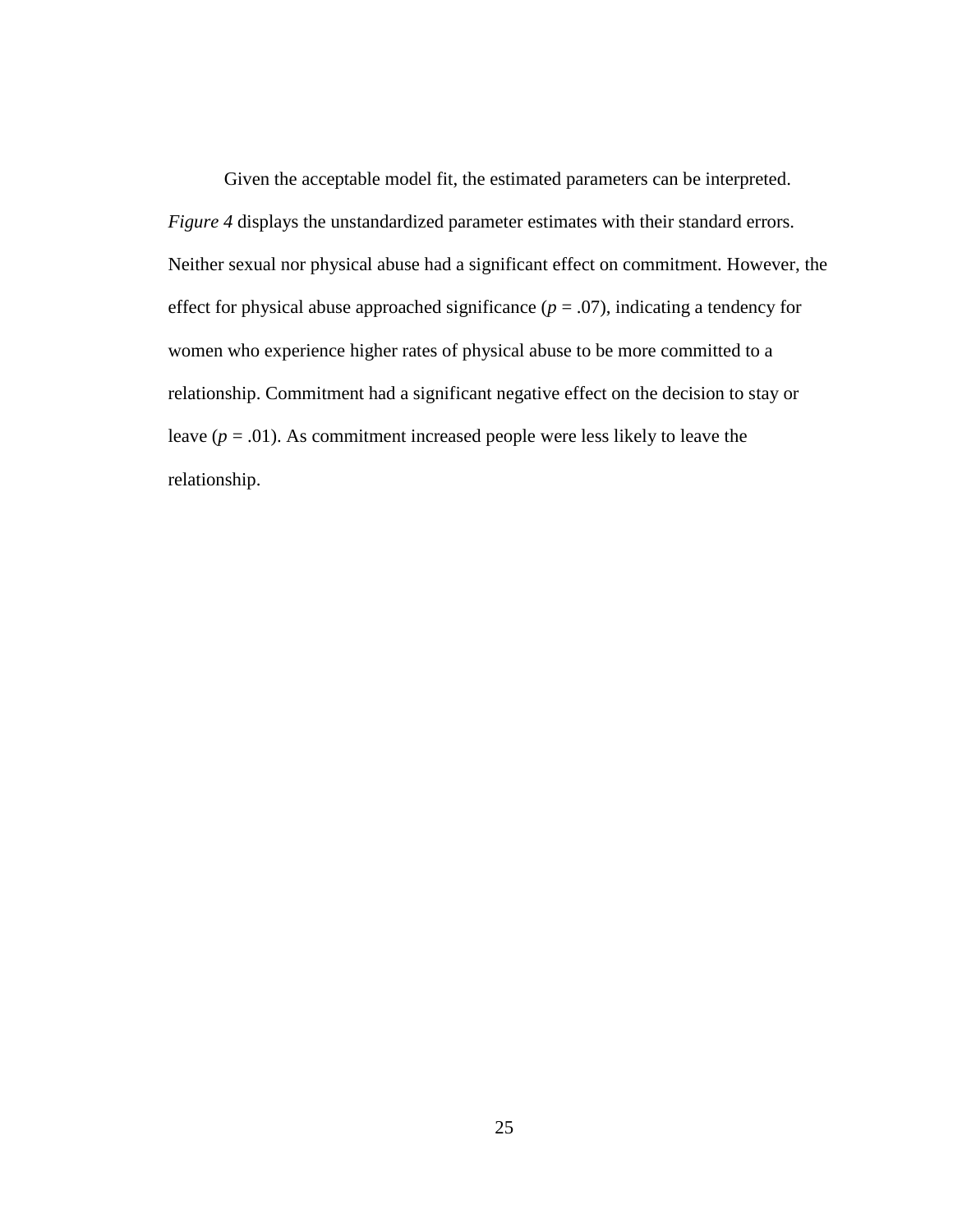Given the acceptable model fit, the estimated parameters can be interpreted. *Figure 4* displays the unstandardized parameter estimates with their standard errors. Neither sexual nor physical abuse had a significant effect on commitment. However, the effect for physical abuse approached significance  $(p = .07)$ , indicating a tendency for women who experience higher rates of physical abuse to be more committed to a relationship. Commitment had a significant negative effect on the decision to stay or leave  $(p = .01)$ . As commitment increased people were less likely to leave the relationship.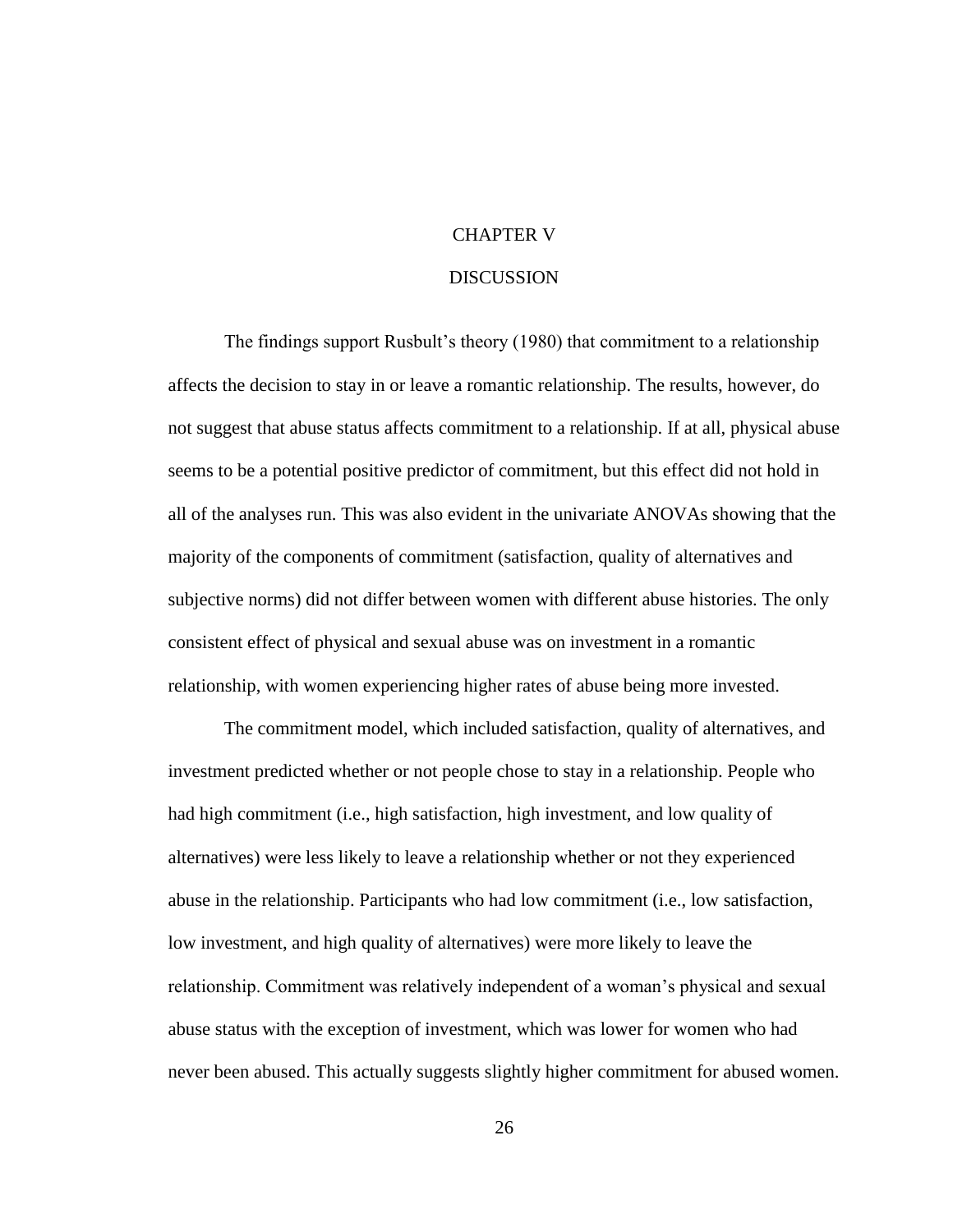## CHAPTER V

#### **DISCUSSION**

The findings support Rusbult's theory (1980) that commitment to a relationship affects the decision to stay in or leave a romantic relationship. The results, however, do not suggest that abuse status affects commitment to a relationship. If at all, physical abuse seems to be a potential positive predictor of commitment, but this effect did not hold in all of the analyses run. This was also evident in the univariate ANOVAs showing that the majority of the components of commitment (satisfaction, quality of alternatives and subjective norms) did not differ between women with different abuse histories. The only consistent effect of physical and sexual abuse was on investment in a romantic relationship, with women experiencing higher rates of abuse being more invested.

The commitment model, which included satisfaction, quality of alternatives, and investment predicted whether or not people chose to stay in a relationship. People who had high commitment (i.e., high satisfaction, high investment, and low quality of alternatives) were less likely to leave a relationship whether or not they experienced abuse in the relationship. Participants who had low commitment (i.e., low satisfaction, low investment, and high quality of alternatives) were more likely to leave the relationship. Commitment was relatively independent of a woman"s physical and sexual abuse status with the exception of investment, which was lower for women who had never been abused. This actually suggests slightly higher commitment for abused women.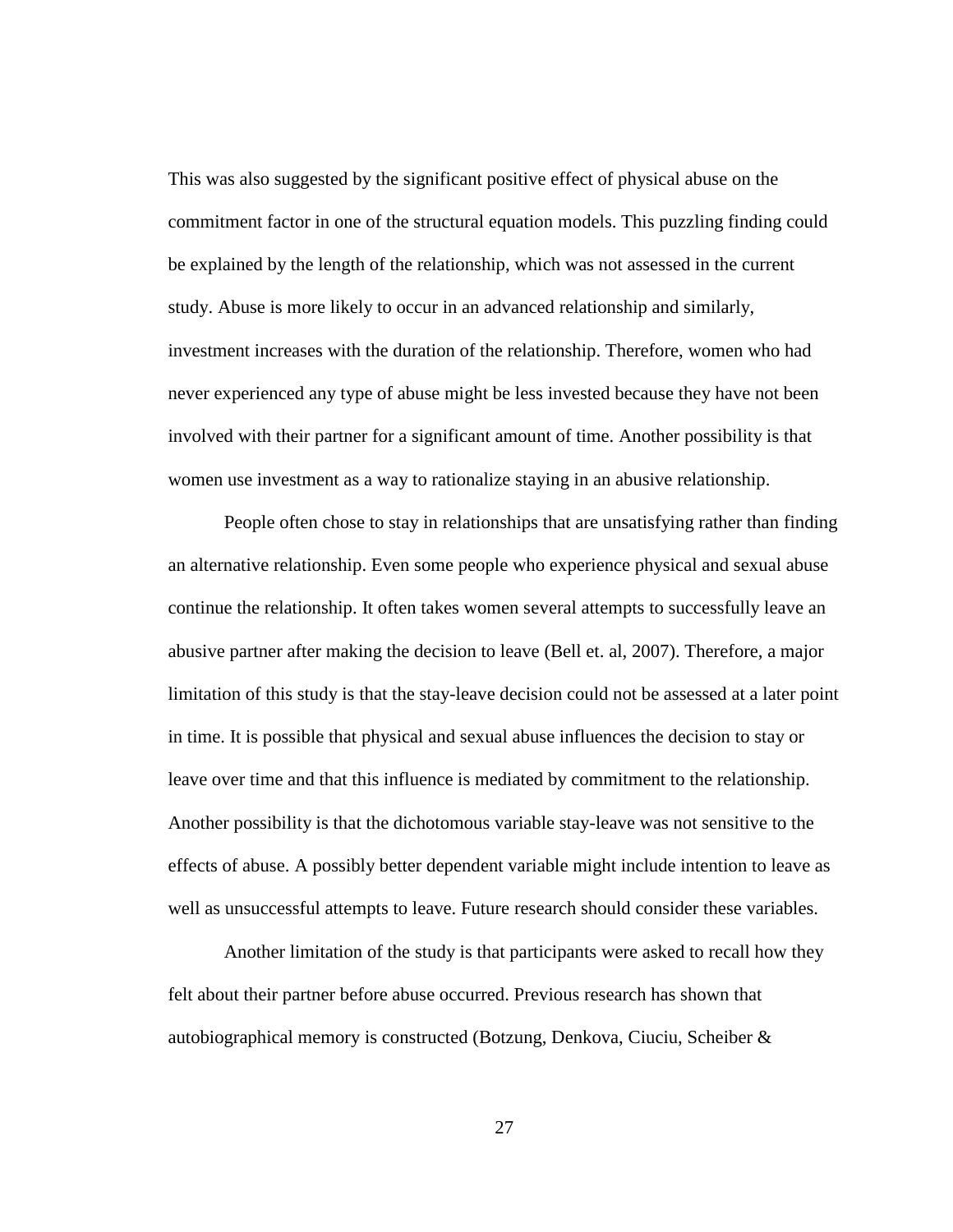This was also suggested by the significant positive effect of physical abuse on the commitment factor in one of the structural equation models. This puzzling finding could be explained by the length of the relationship, which was not assessed in the current study. Abuse is more likely to occur in an advanced relationship and similarly, investment increases with the duration of the relationship. Therefore, women who had never experienced any type of abuse might be less invested because they have not been involved with their partner for a significant amount of time. Another possibility is that women use investment as a way to rationalize staying in an abusive relationship.

People often chose to stay in relationships that are unsatisfying rather than finding an alternative relationship. Even some people who experience physical and sexual abuse continue the relationship. It often takes women several attempts to successfully leave an abusive partner after making the decision to leave (Bell et. al, 2007). Therefore, a major limitation of this study is that the stay-leave decision could not be assessed at a later point in time. It is possible that physical and sexual abuse influences the decision to stay or leave over time and that this influence is mediated by commitment to the relationship. Another possibility is that the dichotomous variable stay-leave was not sensitive to the effects of abuse. A possibly better dependent variable might include intention to leave as well as unsuccessful attempts to leave. Future research should consider these variables.

Another limitation of the study is that participants were asked to recall how they felt about their partner before abuse occurred. Previous research has shown that autobiographical memory is constructed (Botzung, Denkova, Ciuciu, Scheiber &

27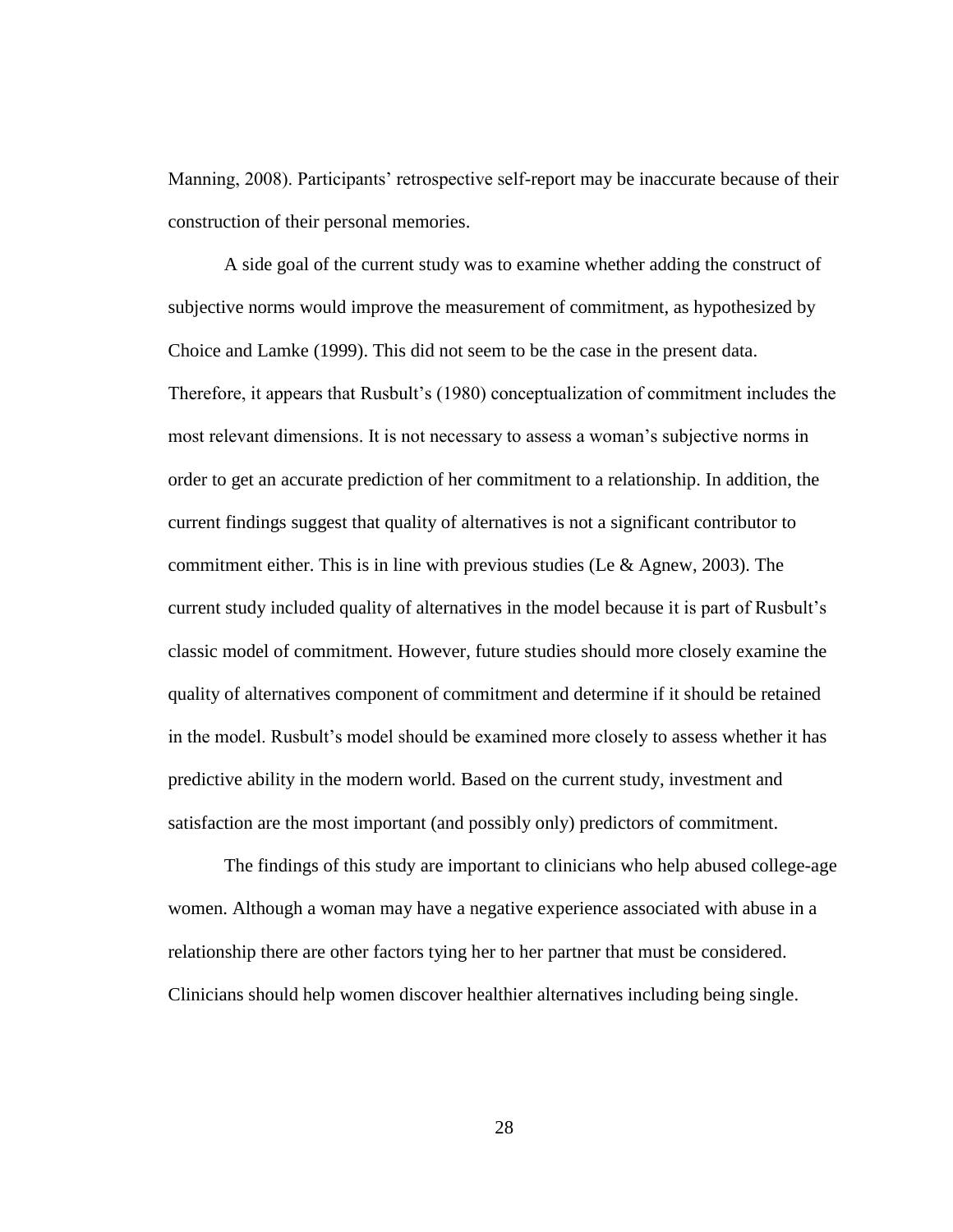Manning, 2008). Participants' retrospective self-report may be inaccurate because of their construction of their personal memories.

A side goal of the current study was to examine whether adding the construct of subjective norms would improve the measurement of commitment, as hypothesized by Choice and Lamke (1999). This did not seem to be the case in the present data. Therefore, it appears that Rusbult's (1980) conceptualization of commitment includes the most relevant dimensions. It is not necessary to assess a woman"s subjective norms in order to get an accurate prediction of her commitment to a relationship. In addition, the current findings suggest that quality of alternatives is not a significant contributor to commitment either. This is in line with previous studies (Le  $\&$  Agnew, 2003). The current study included quality of alternatives in the model because it is part of Rusbult"s classic model of commitment. However, future studies should more closely examine the quality of alternatives component of commitment and determine if it should be retained in the model. Rusbult"s model should be examined more closely to assess whether it has predictive ability in the modern world. Based on the current study, investment and satisfaction are the most important (and possibly only) predictors of commitment.

The findings of this study are important to clinicians who help abused college-age women. Although a woman may have a negative experience associated with abuse in a relationship there are other factors tying her to her partner that must be considered. Clinicians should help women discover healthier alternatives including being single.

28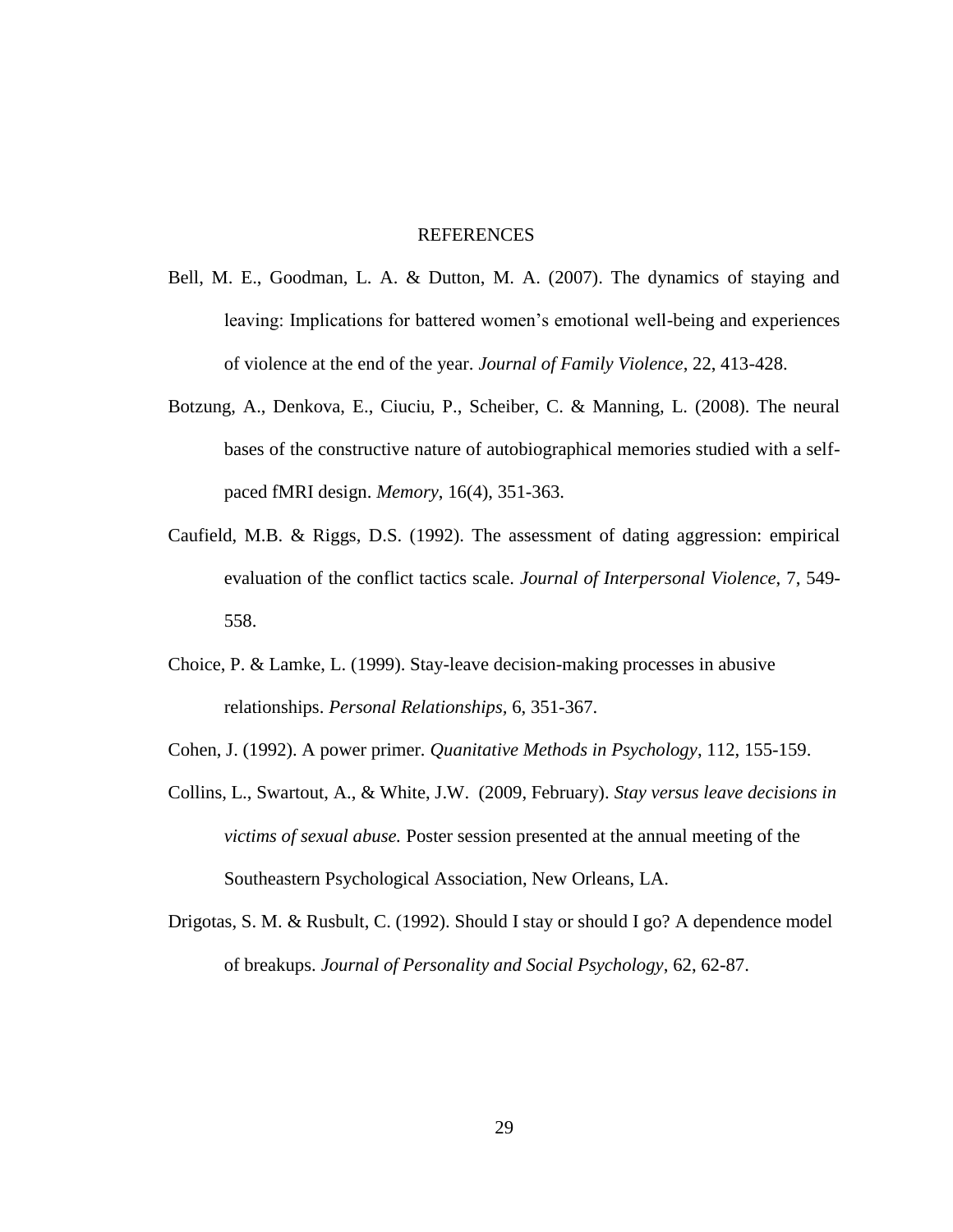#### REFERENCES

- Bell, M. E., Goodman, L. A. & Dutton, M. A. (2007). The dynamics of staying and leaving: Implications for battered women"s emotional well-being and experiences of violence at the end of the year. *Journal of Family Violence*, 22, 413-428.
- Botzung, A., Denkova, E., Ciuciu, P., Scheiber, C. & Manning, L. (2008). The neural bases of the constructive nature of autobiographical memories studied with a selfpaced fMRI design. *Memory*, 16(4), 351-363.
- Caufield, M.B. & Riggs, D.S. (1992). The assessment of dating aggression: empirical evaluation of the conflict tactics scale. *Journal of Interpersonal Violence*, 7, 549- 558.
- Choice, P. & Lamke, L. (1999). Stay-leave decision-making processes in abusive relationships. *Personal Relationships,* 6, 351-367.
- Cohen, J. (1992). A power primer*. Quanitative Methods in Psychology*, 112, 155-159.
- Collins, L., Swartout, A., & White, J.W. (2009, February). *Stay versus leave decisions in victims of sexual abuse.* Poster session presented at the annual meeting of the Southeastern Psychological Association, New Orleans, LA.
- Drigotas, S. M. & Rusbult, C. (1992). Should I stay or should I go? A dependence model of breakups. *Journal of Personality and Social Psychology*, 62, 62-87.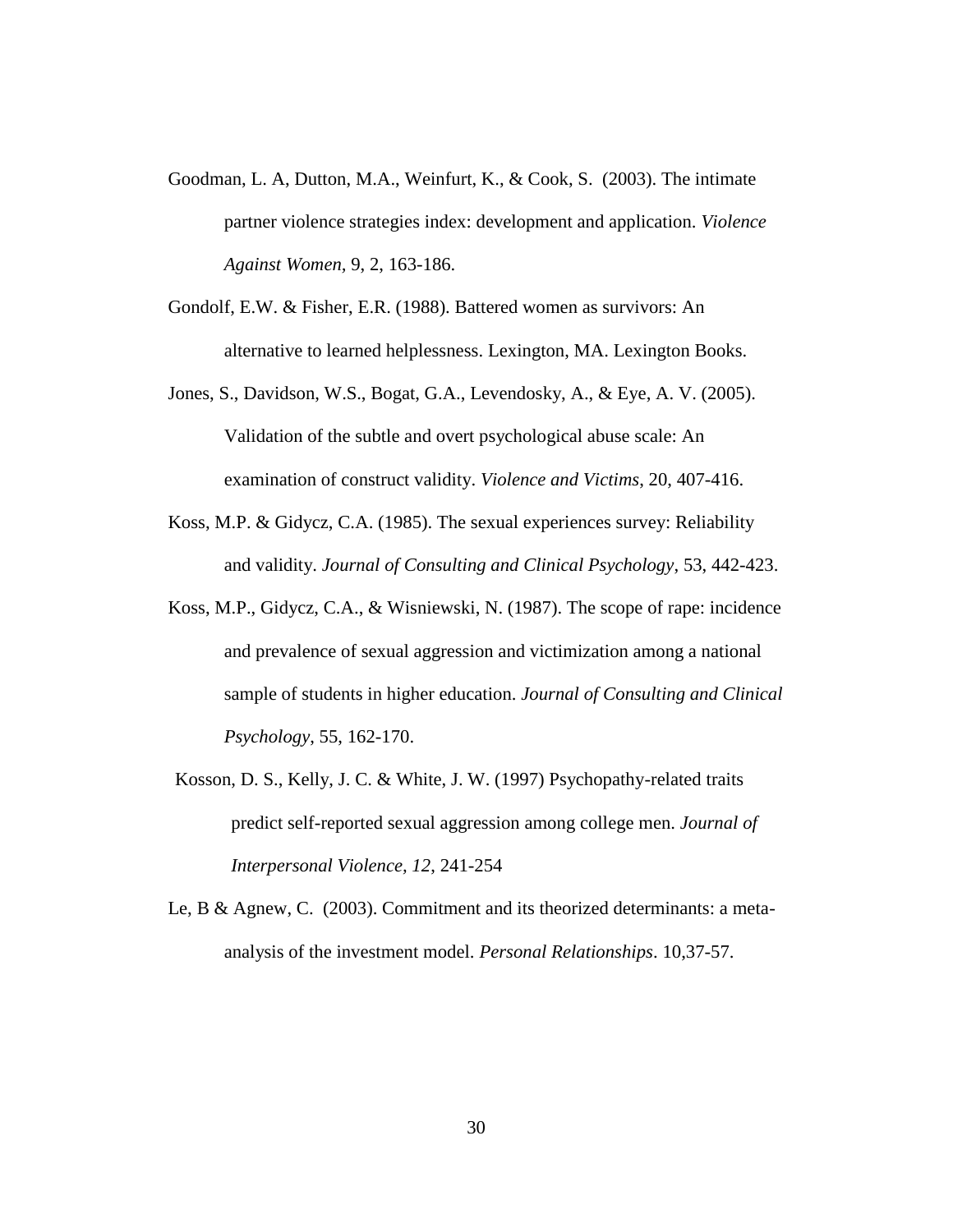- Goodman, L. A, Dutton, M.A., Weinfurt, K., & Cook, S. (2003). The intimate partner violence strategies index: development and application. *Violence Against Women,* 9, 2, 163-186.
- Gondolf, E.W. & Fisher, E.R. (1988). Battered women as survivors: An alternative to learned helplessness. Lexington, MA. Lexington Books.
- Jones, S., Davidson, W.S., Bogat, G.A., Levendosky, A., & Eye, A. V. (2005). Validation of the subtle and overt psychological abuse scale: An examination of construct validity. *Violence and Victims*, 20, 407-416.
- Koss, M.P. & Gidycz, C.A. (1985). The sexual experiences survey: Reliability and validity. *Journal of Consulting and Clinical Psychology*, 53, 442-423.
- Koss, M.P., Gidycz, C.A., & Wisniewski, N. (1987). The scope of rape: incidence and prevalence of sexual aggression and victimization among a national sample of students in higher education. *Journal of Consulting and Clinical Psychology*, 55, 162-170.
- Kosson, D. S., Kelly, J. C. & White, J. W. (1997) Psychopathy-related traits predict self-reported sexual aggression among college men. *Journal of Interpersonal Violence, 12*, 241-254
- Le, B & Agnew, C. (2003). Commitment and its theorized determinants: a metaanalysis of the investment model. *Personal Relationships*. 10,37-57.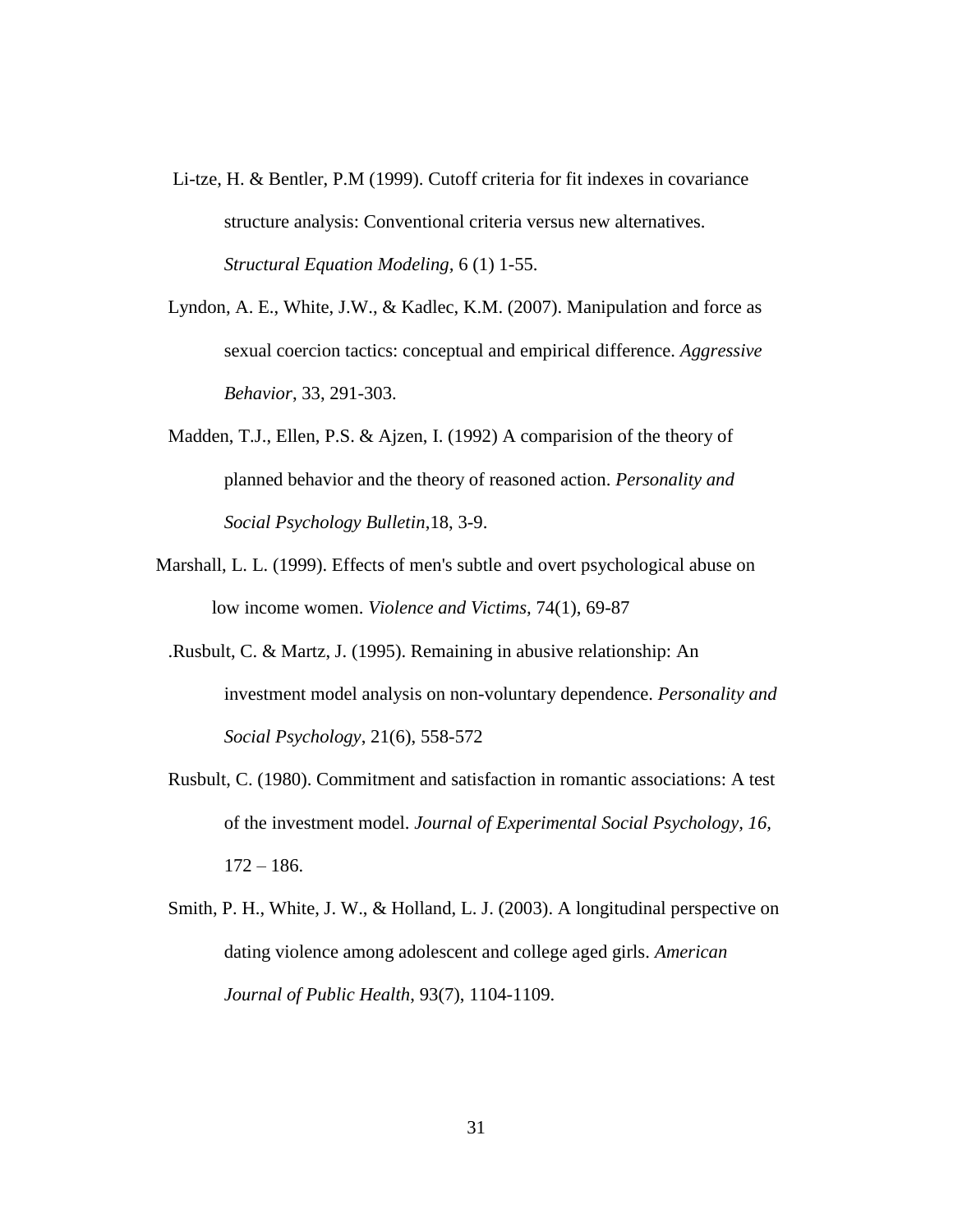- Li-tze, H. & Bentler, P.M (1999). Cutoff criteria for fit indexes in covariance structure analysis: Conventional criteria versus new alternatives. *Structural Equation Modeling,* 6 (1) 1-55.
- Lyndon, A. E., White, J.W., & Kadlec, K.M. (2007). Manipulation and force as sexual coercion tactics: conceptual and empirical difference. *Aggressive Behavior*, 33, 291-303.
- Madden, T.J., Ellen, P.S. & Ajzen, I. (1992) A comparision of the theory of planned behavior and the theory of reasoned action. *Personality and Social Psychology Bulletin*,18, 3-9.
- Marshall, L. L. (1999). Effects of men's subtle and overt psychological abuse on low income women. *Violence and Victims,* 74(1), 69-87
	- .Rusbult, C. & Martz, J. (1995). Remaining in abusive relationship: An investment model analysis on non-voluntary dependence. *Personality and Social Psychology*, 21(6), 558-572
	- Rusbult, C. (1980). Commitment and satisfaction in romantic associations: A test of the investment model. *Journal of Experimental Social Psychology, 16,*   $172 - 186.$
	- Smith, P. H., White, J. W., & Holland, L. J. (2003). A longitudinal perspective on dating violence among adolescent and college aged girls. *American Journal of Public Health*, 93(7), 1104-1109.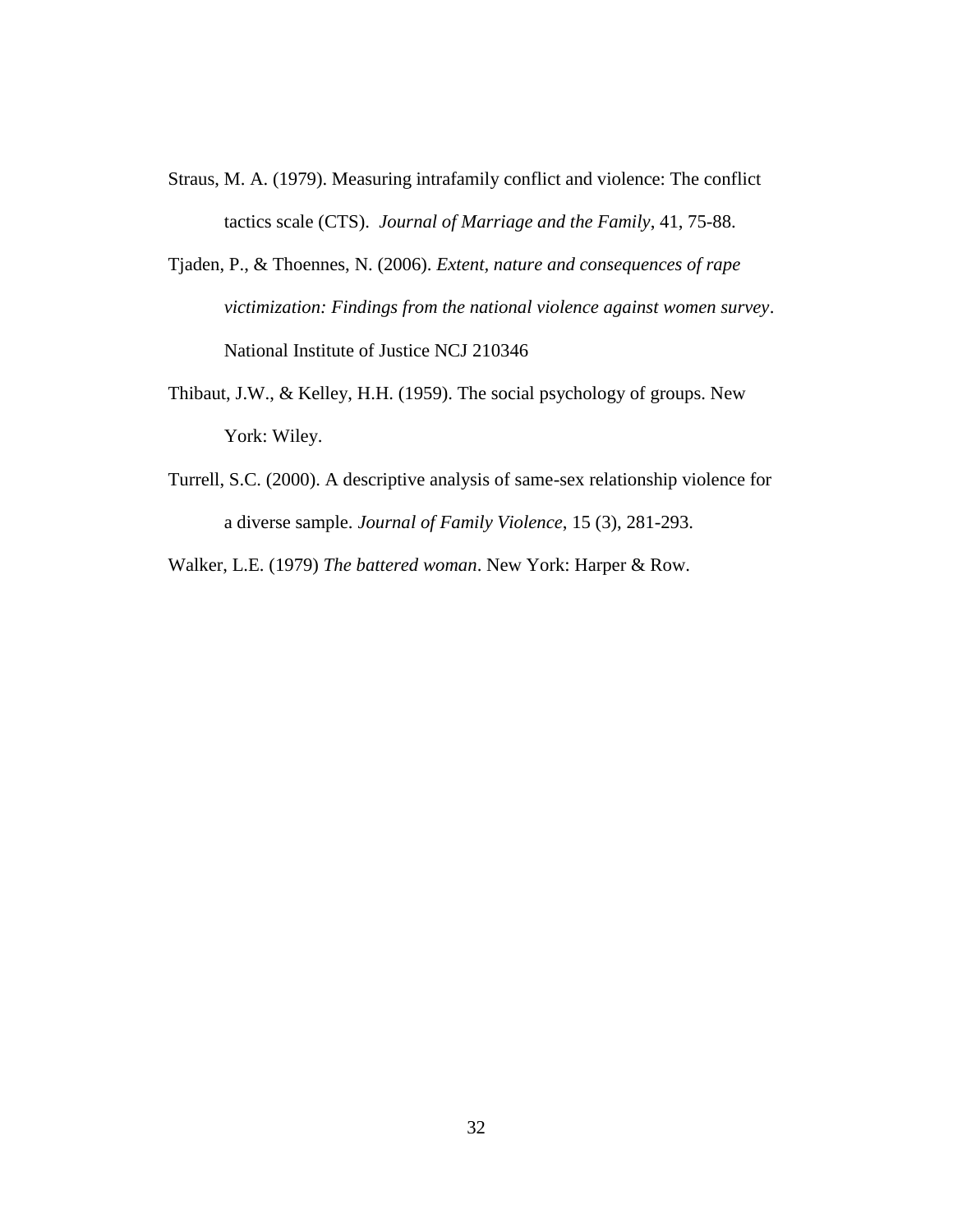- Straus, M. A. (1979). Measuring intrafamily conflict and violence: The conflict tactics scale (CTS). *Journal of Marriage and the Family*, 41, 75-88.
- Tjaden, P., & Thoennes, N. (2006). *Extent, nature and consequences of rape victimization: Findings from the national violence against women survey*. National Institute of Justice NCJ 210346
- Thibaut, J.W., & Kelley, H.H. (1959). The social psychology of groups. New York: Wiley.
- Turrell, S.C. (2000). A descriptive analysis of same-sex relationship violence for a diverse sample. *Journal of Family Violence*, 15 (3), 281-293.

Walker, L.E. (1979) *The battered woman*. New York: Harper & Row.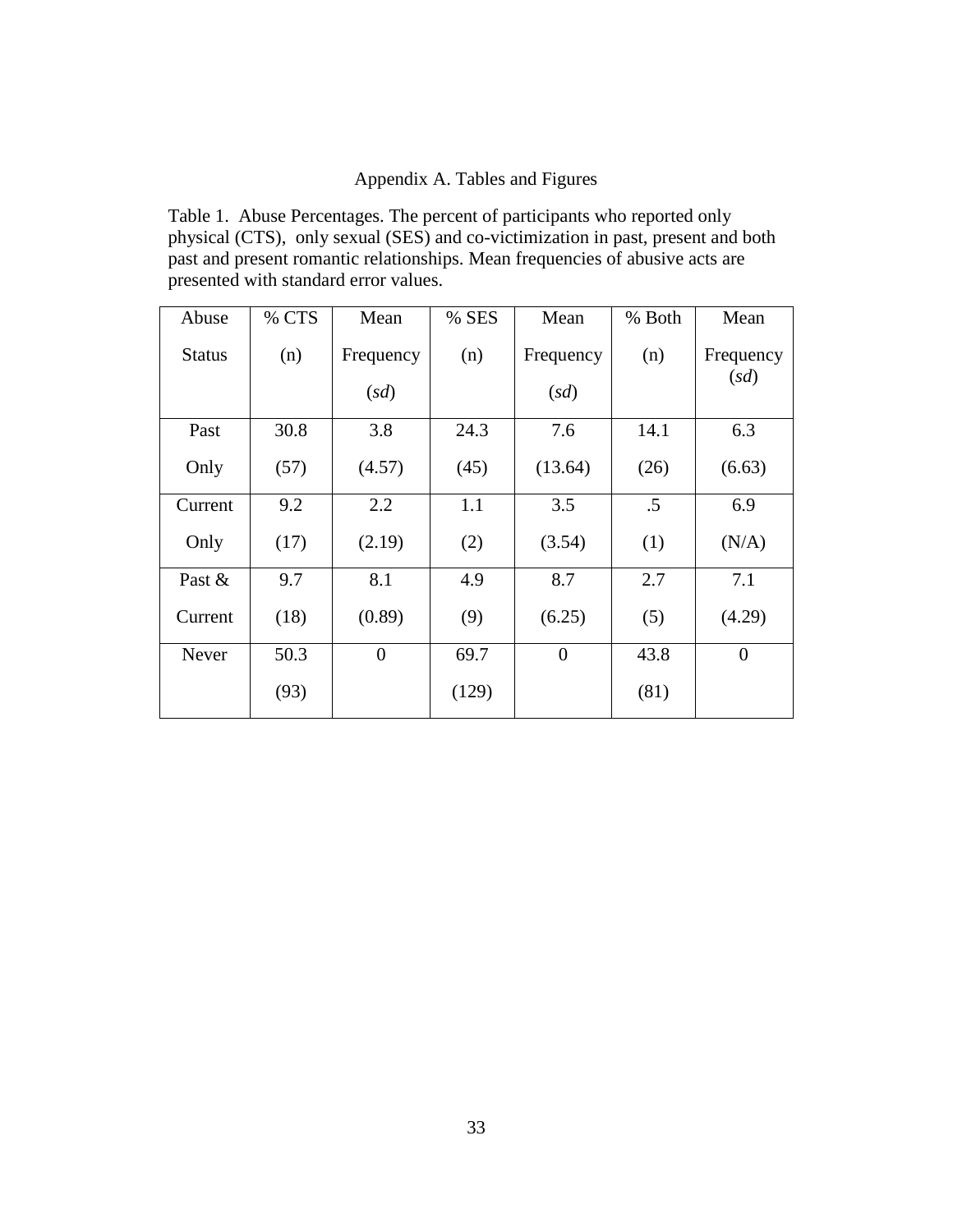# Appendix A. Tables and Figures

Table 1. Abuse Percentages. The percent of participants who reported only physical (CTS), only sexual (SES) and co-victimization in past, present and both past and present romantic relationships. Mean frequencies of abusive acts are presented with standard error values.

| Abuse         | % CTS | Mean           | % SES | Mean           | % Both | Mean           |
|---------------|-------|----------------|-------|----------------|--------|----------------|
| <b>Status</b> | (n)   | Frequency      | (n)   | Frequency      | (n)    | Frequency      |
|               |       | (sd)           |       | (sd)           |        | (sd)           |
| Past          | 30.8  | 3.8            | 24.3  | 7.6            | 14.1   | 6.3            |
| Only          | (57)  | (4.57)         | (45)  | (13.64)        | (26)   | (6.63)         |
| Current       | 9.2   | 2.2            | 1.1   | 3.5            | $.5\,$ | 6.9            |
| Only          | (17)  | (2.19)         | (2)   | (3.54)         | (1)    | (N/A)          |
| Past &        | 9.7   | 8.1            | 4.9   | 8.7            | 2.7    | 7.1            |
| Current       | (18)  | (0.89)         | (9)   | (6.25)         | (5)    | (4.29)         |
| Never         | 50.3  | $\overline{0}$ | 69.7  | $\overline{0}$ | 43.8   | $\overline{0}$ |
|               | (93)  |                | (129) |                | (81)   |                |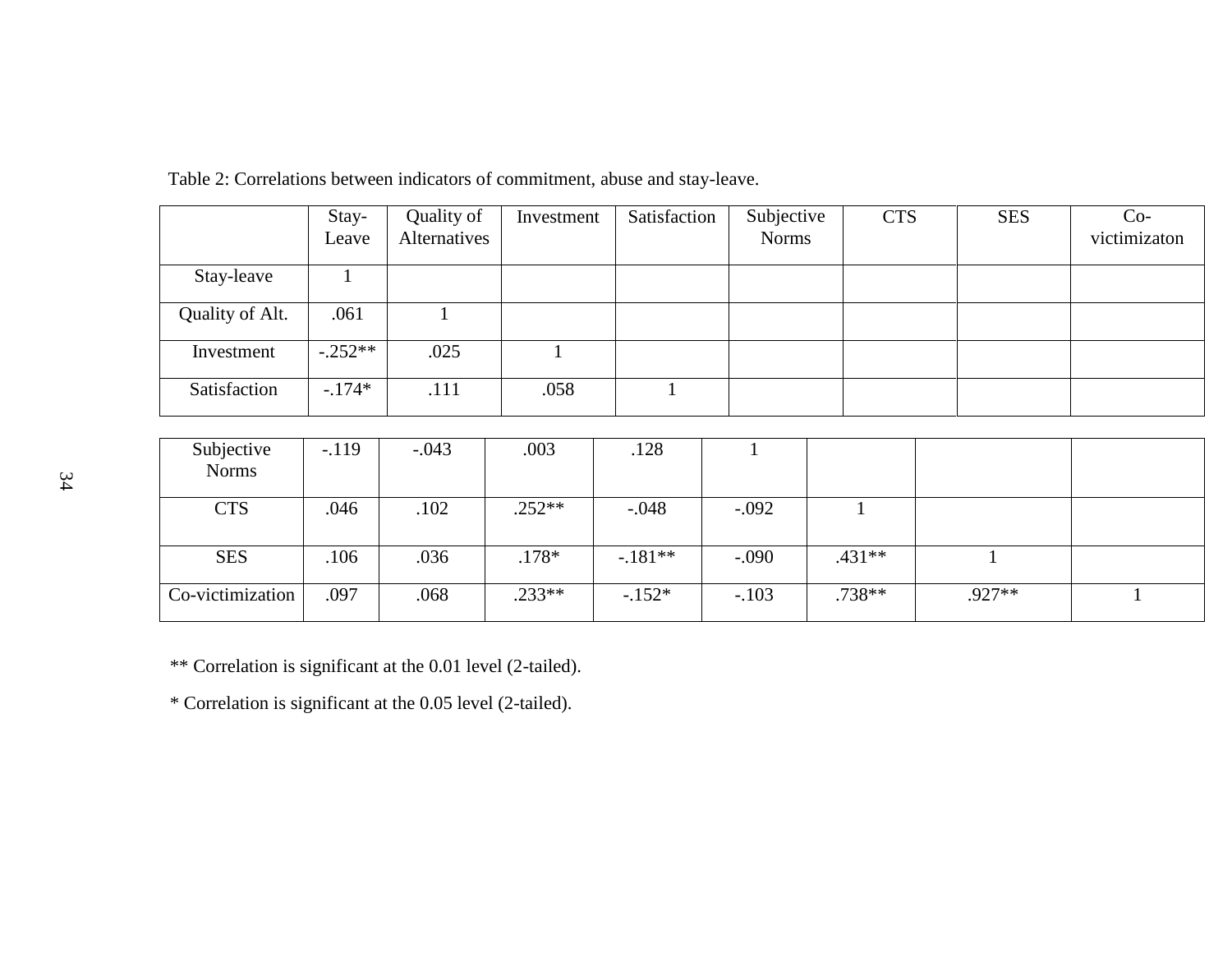|                            | Stay-<br>Leave | Quality of<br>Alternatives | Investment | Satisfaction | Subjective<br><b>Norms</b> | <b>CTS</b> | <b>SES</b> | $Co-$<br>victimizaton |
|----------------------------|----------------|----------------------------|------------|--------------|----------------------------|------------|------------|-----------------------|
| Stay-leave                 |                |                            |            |              |                            |            |            |                       |
| Quality of Alt.            | .061           |                            |            |              |                            |            |            |                       |
| Investment                 | $-.252**$      | .025                       |            |              |                            |            |            |                       |
| Satisfaction               | $-.174*$       | .111                       | .058       |              |                            |            |            |                       |
|                            |                |                            |            |              |                            |            |            |                       |
| Subjective<br><b>Norms</b> | $-.119$        | $-.043$                    | .003       | .128         |                            |            |            |                       |
| <b>CTS</b>                 | .046           | .102                       | $.252**$   | $-.048$      | $-.092$                    | 1          |            |                       |
| <b>SES</b>                 | .106           | .036                       | $.178*$    | $-.181**$    | $-.090$                    | $.431**$   |            |                       |
| Co-victimization           | .097           | .068                       | $.233**$   | $-.152*$     | $-.103$                    | .738**     | .927**     |                       |

Table 2: Correlations between indicators of commitment, abuse and stay-leave.

\*\* Correlation is significant at the 0.01 level (2-tailed).

\* Correlation is significant at the 0.05 level (2-tailed).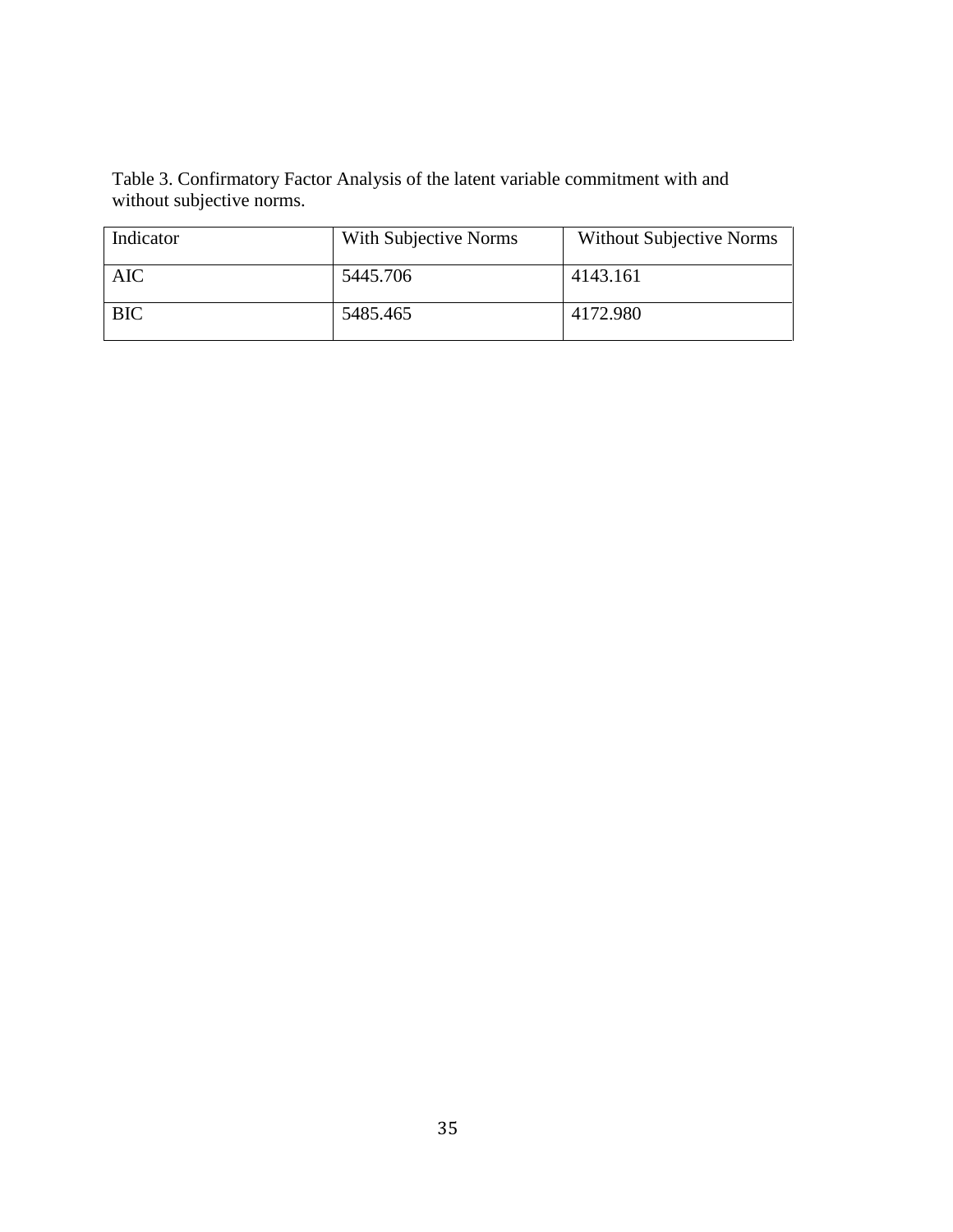Table 3. Confirmatory Factor Analysis of the latent variable commitment with and without subjective norms.

| Indicator  | With Subjective Norms | <b>Without Subjective Norms</b> |
|------------|-----------------------|---------------------------------|
| <b>AIC</b> | 5445.706              | 4143.161                        |
| <b>BIC</b> | 5485.465              | 4172.980                        |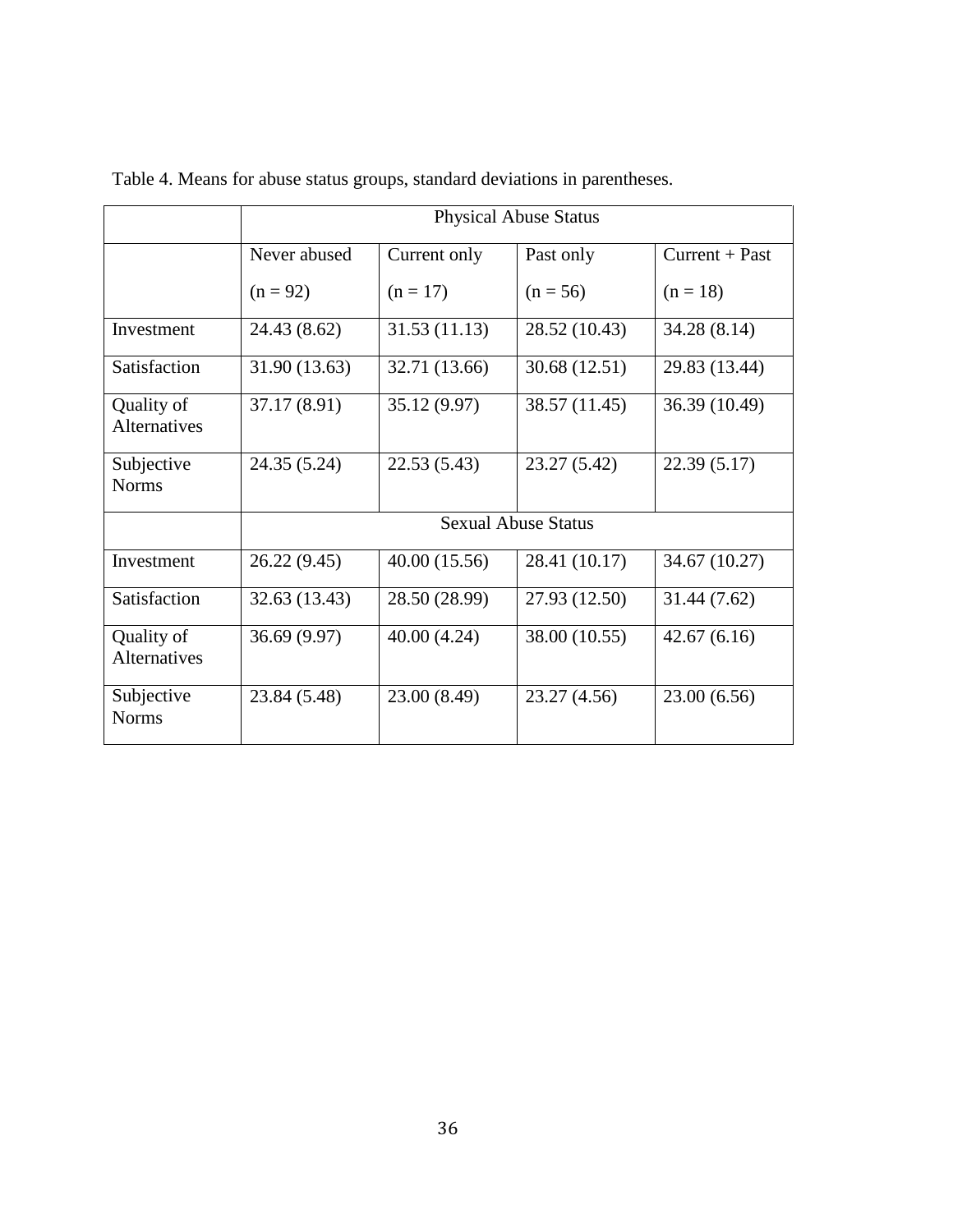|                                   | <b>Physical Abuse Status</b> |               |               |                  |  |  |  |
|-----------------------------------|------------------------------|---------------|---------------|------------------|--|--|--|
|                                   | Never abused                 | Current only  | Past only     | $Current + Past$ |  |  |  |
|                                   | $(n = 92)$                   | $(n = 17)$    | $(n = 56)$    | $(n = 18)$       |  |  |  |
| Investment                        | 24.43 (8.62)                 | 31.53 (11.13) | 28.52 (10.43) | 34.28 (8.14)     |  |  |  |
| Satisfaction                      | 31.90 (13.63)                | 32.71 (13.66) | 30.68 (12.51) | 29.83 (13.44)    |  |  |  |
| Quality of<br><b>Alternatives</b> | 37.17 (8.91)                 | 35.12 (9.97)  | 38.57 (11.45) | 36.39 (10.49)    |  |  |  |
| Subjective<br><b>Norms</b>        | 24.35 (5.24)                 | 22.53(5.43)   | 23.27 (5.42)  | 22.39(5.17)      |  |  |  |
|                                   | <b>Sexual Abuse Status</b>   |               |               |                  |  |  |  |
| Investment                        | 26.22 (9.45)                 | 40.00 (15.56) | 28.41 (10.17) | 34.67 (10.27)    |  |  |  |
| Satisfaction                      | 32.63 (13.43)                | 28.50 (28.99) | 27.93 (12.50) | 31.44 (7.62)     |  |  |  |
| Quality of<br>Alternatives        | 36.69 (9.97)                 | 40.00 (4.24)  | 38.00 (10.55) | 42.67(6.16)      |  |  |  |
| Subjective<br><b>Norms</b>        | 23.84 (5.48)                 | 23.00 (8.49)  | 23.27 (4.56)  | 23.00 (6.56)     |  |  |  |

Table 4. Means for abuse status groups, standard deviations in parentheses.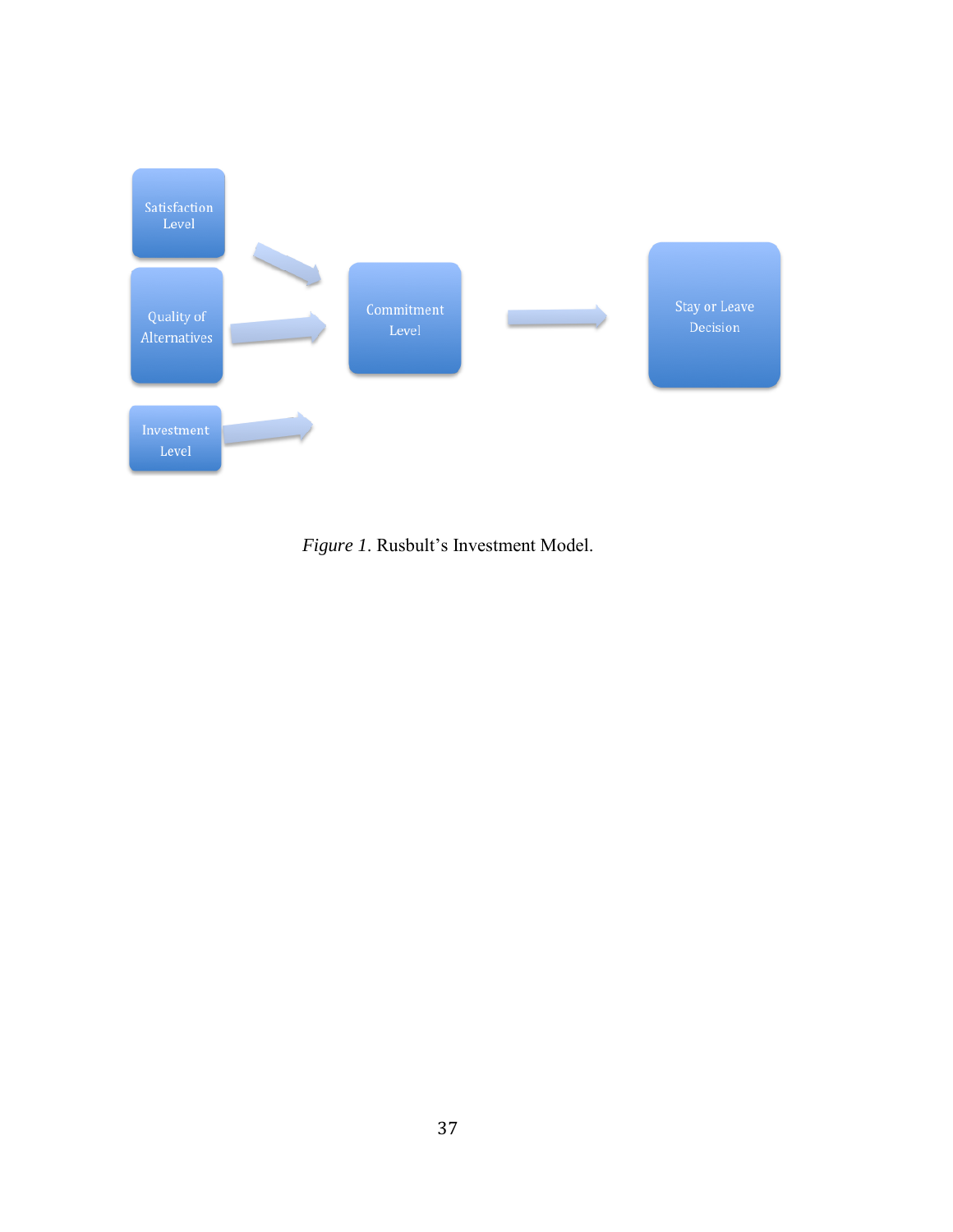

*Figure 1*. Rusbult"s Investment Model.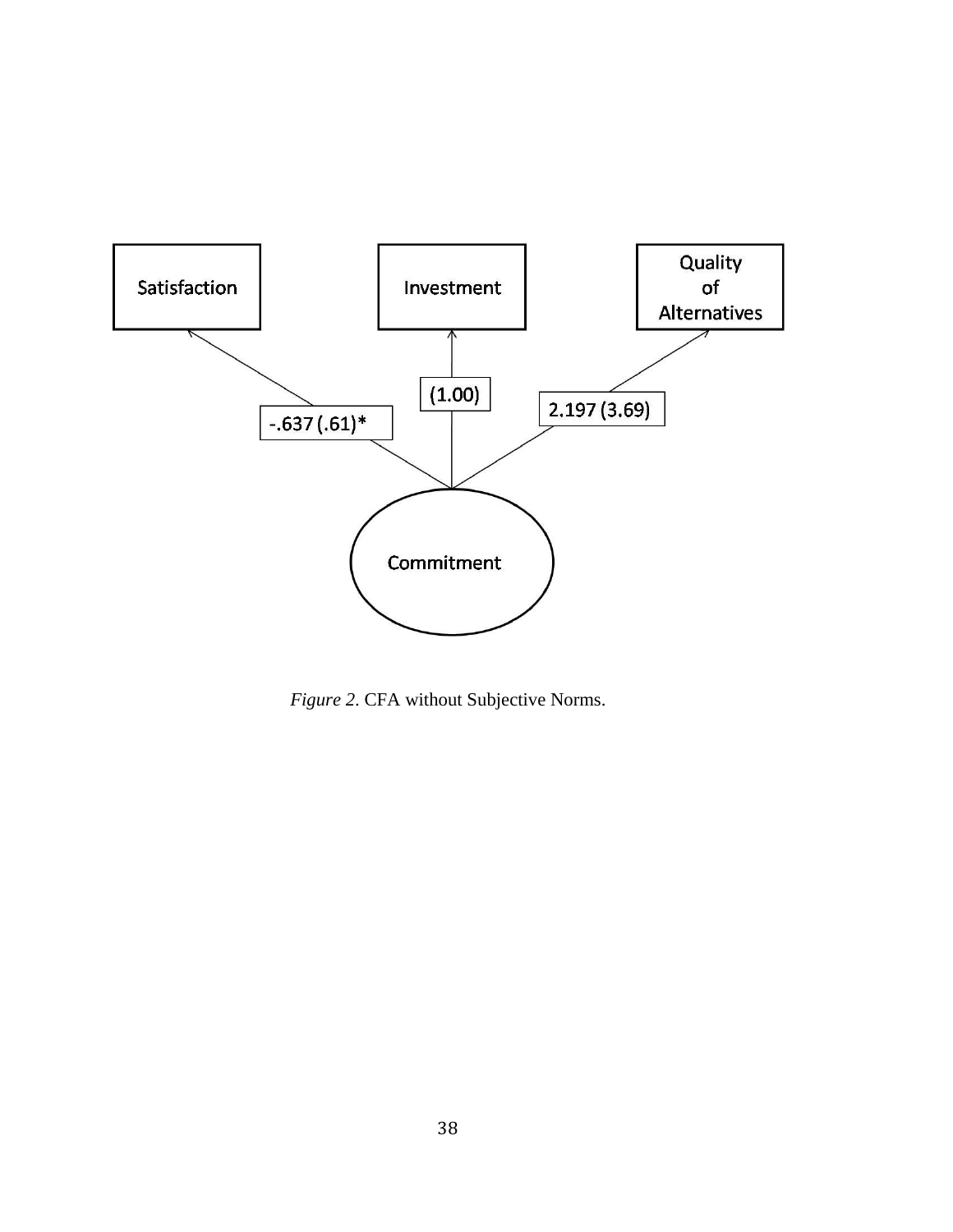

*Figure 2*. CFA without Subjective Norms.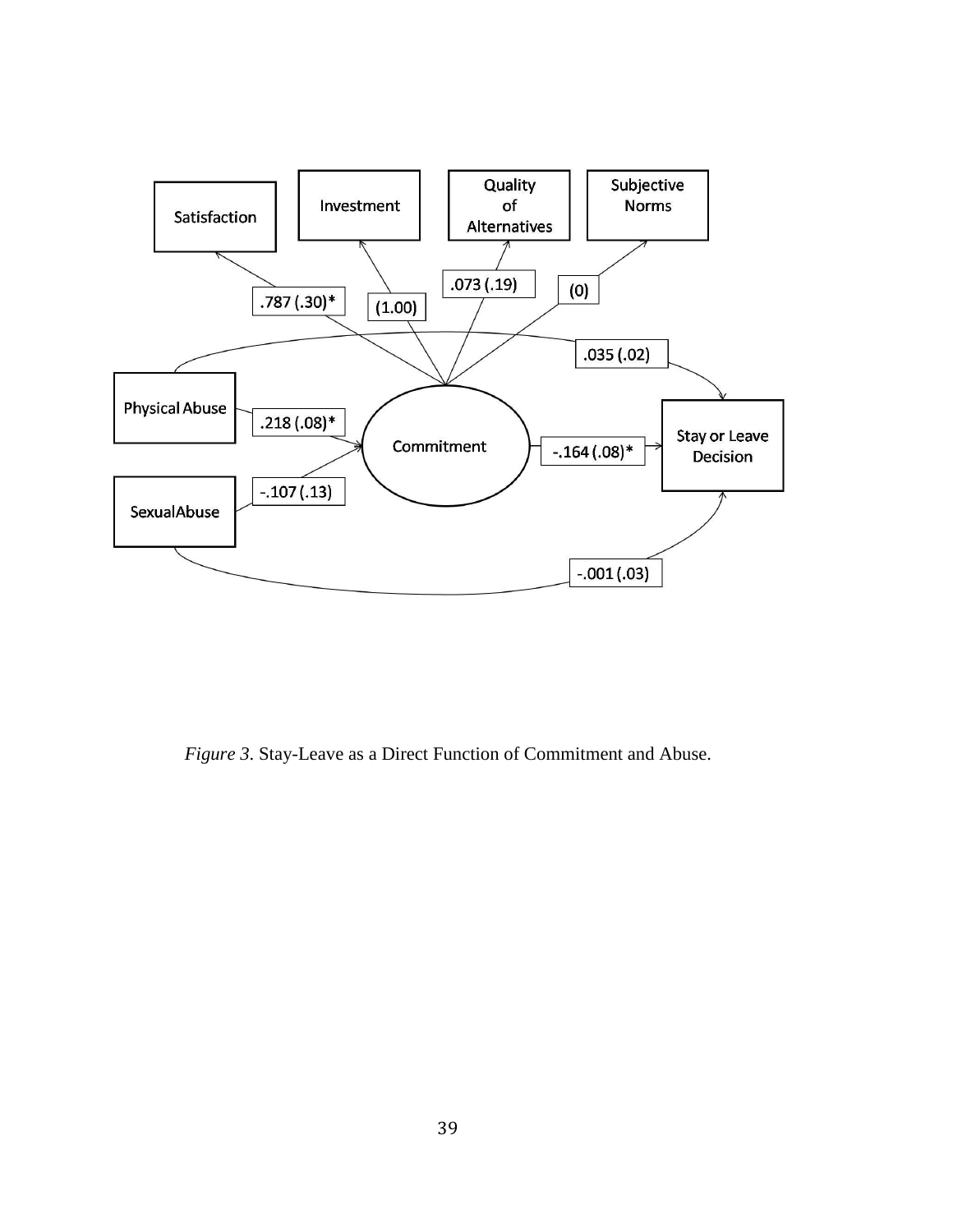

*Figure 3*. Stay-Leave as a Direct Function of Commitment and Abuse.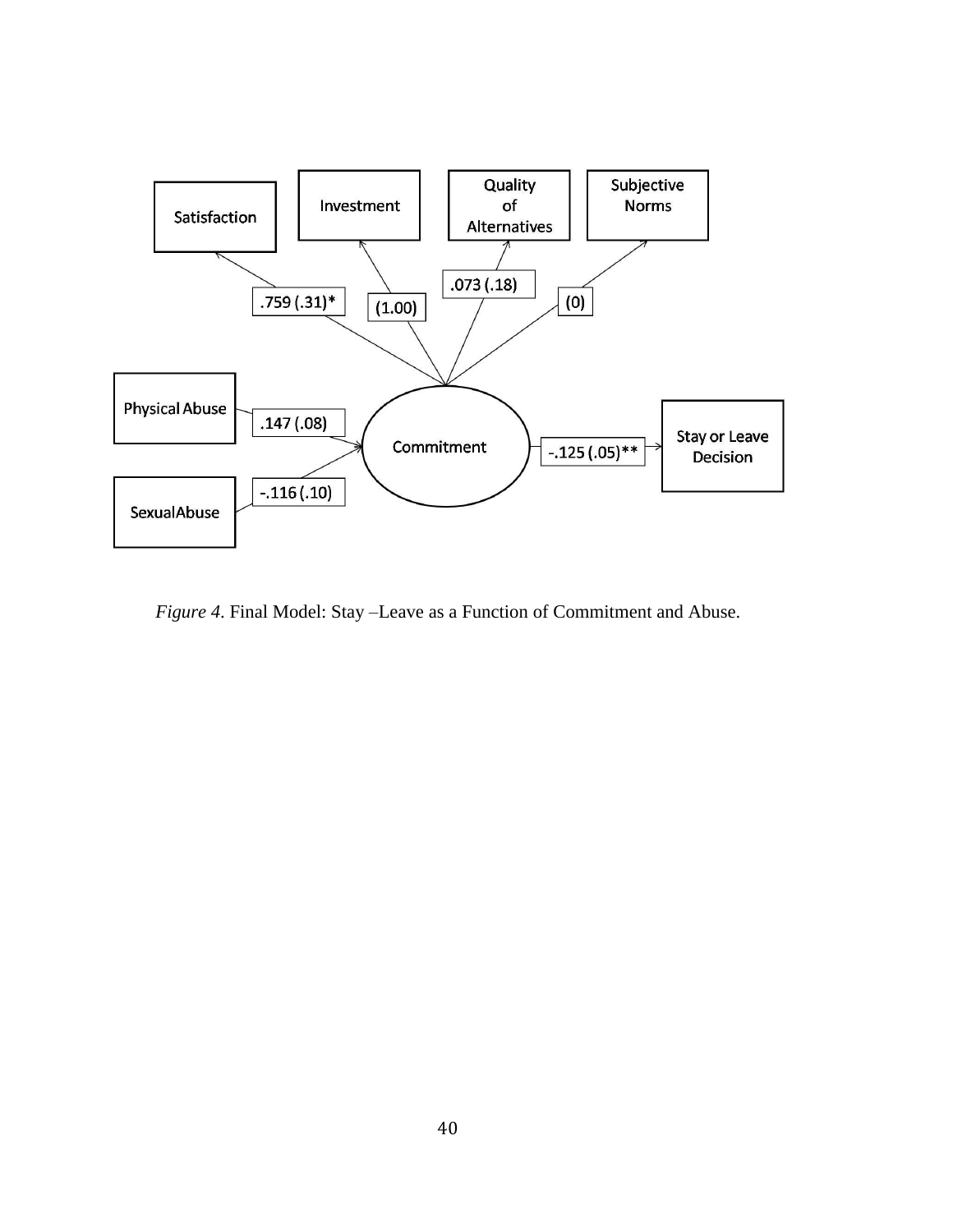

*Figure 4*. Final Model: Stay –Leave as a Function of Commitment and Abuse.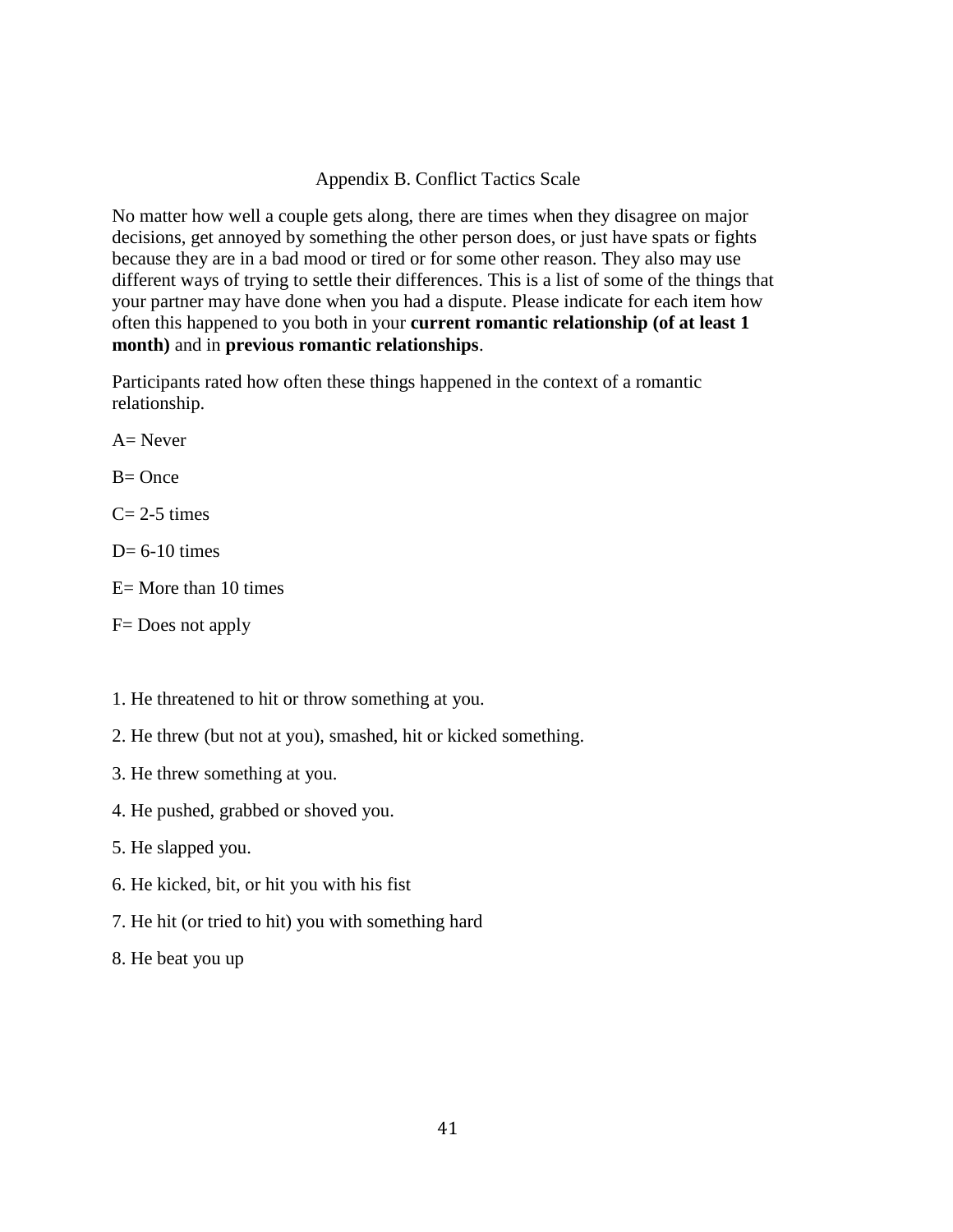### Appendix B. Conflict Tactics Scale

No matter how well a couple gets along, there are times when they disagree on major decisions, get annoyed by something the other person does, or just have spats or fights because they are in a bad mood or tired or for some other reason. They also may use different ways of trying to settle their differences. This is a list of some of the things that your partner may have done when you had a dispute. Please indicate for each item how often this happened to you both in your **current romantic relationship (of at least 1 month)** and in **previous romantic relationships**.

Participants rated how often these things happened in the context of a romantic relationship.

 $A=$  Never

 $B =$  Once

 $C= 2-5$  times

 $D= 6-10$  times

E= More than 10 times

F= Does not apply

- 1. He threatened to hit or throw something at you.
- 2. He threw (but not at you), smashed, hit or kicked something.
- 3. He threw something at you.
- 4. He pushed, grabbed or shoved you.
- 5. He slapped you.
- 6. He kicked, bit, or hit you with his fist
- 7. He hit (or tried to hit) you with something hard
- 8. He beat you up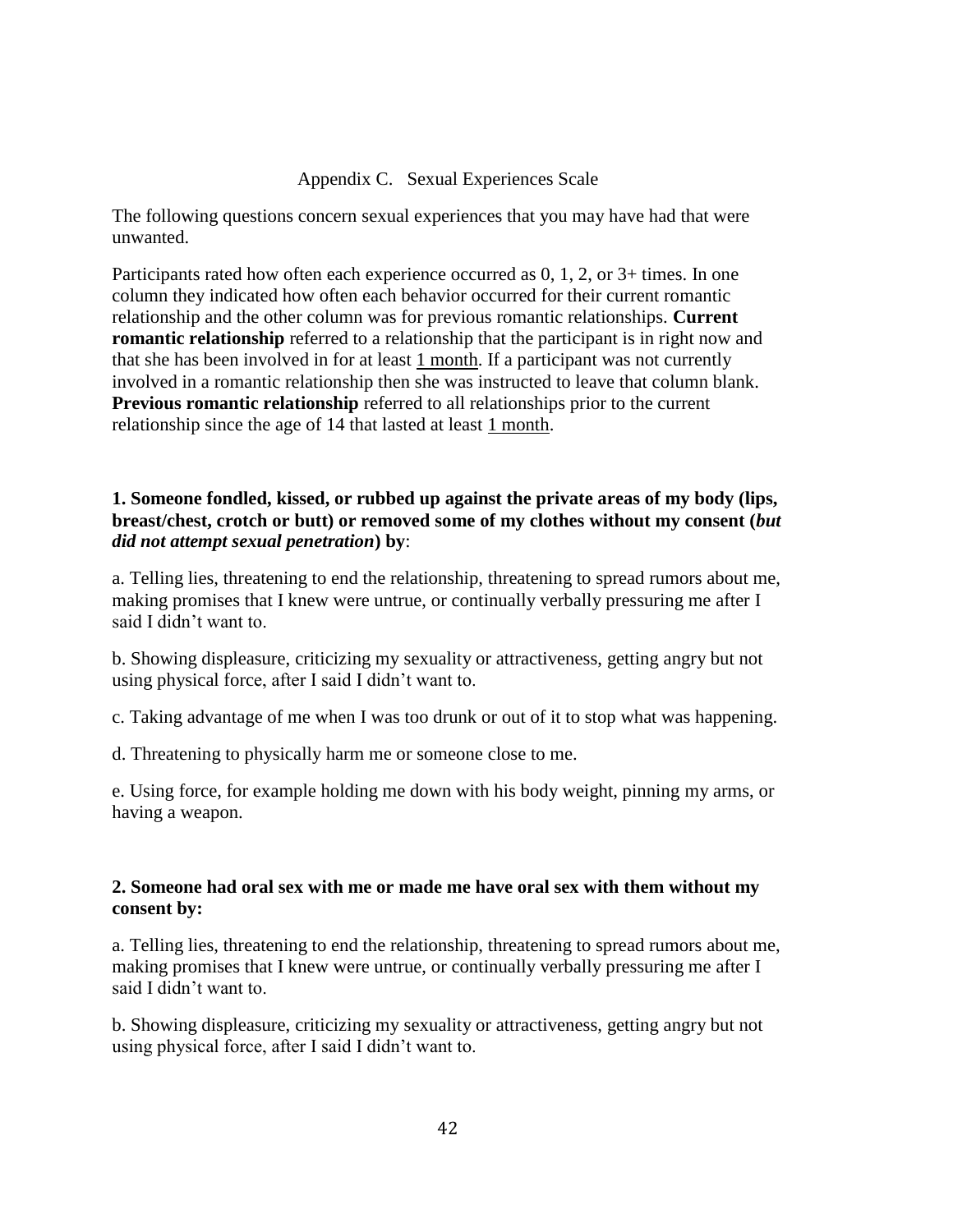### Appendix C. Sexual Experiences Scale

The following questions concern sexual experiences that you may have had that were unwanted.

Participants rated how often each experience occurred as 0, 1, 2, or 3+ times. In one column they indicated how often each behavior occurred for their current romantic relationship and the other column was for previous romantic relationships. **Current romantic relationship** referred to a relationship that the participant is in right now and that she has been involved in for at least 1 month. If a participant was not currently involved in a romantic relationship then she was instructed to leave that column blank. **Previous romantic relationship** referred to all relationships prior to the current relationship since the age of 14 that lasted at least 1 month.

## **1. Someone fondled, kissed, or rubbed up against the private areas of my body (lips, breast/chest, crotch or butt) or removed some of my clothes without my consent (***but did not attempt sexual penetration***) by**:

a. Telling lies, threatening to end the relationship, threatening to spread rumors about me, making promises that I knew were untrue, or continually verbally pressuring me after I said I didn't want to.

b. Showing displeasure, criticizing my sexuality or attractiveness, getting angry but not using physical force, after I said I didn"t want to.

c. Taking advantage of me when I was too drunk or out of it to stop what was happening.

d. Threatening to physically harm me or someone close to me.

e. Using force, for example holding me down with his body weight, pinning my arms, or having a weapon.

## **2. Someone had oral sex with me or made me have oral sex with them without my consent by:**

a. Telling lies, threatening to end the relationship, threatening to spread rumors about me, making promises that I knew were untrue, or continually verbally pressuring me after I said I didn"t want to.

b. Showing displeasure, criticizing my sexuality or attractiveness, getting angry but not using physical force, after I said I didn"t want to.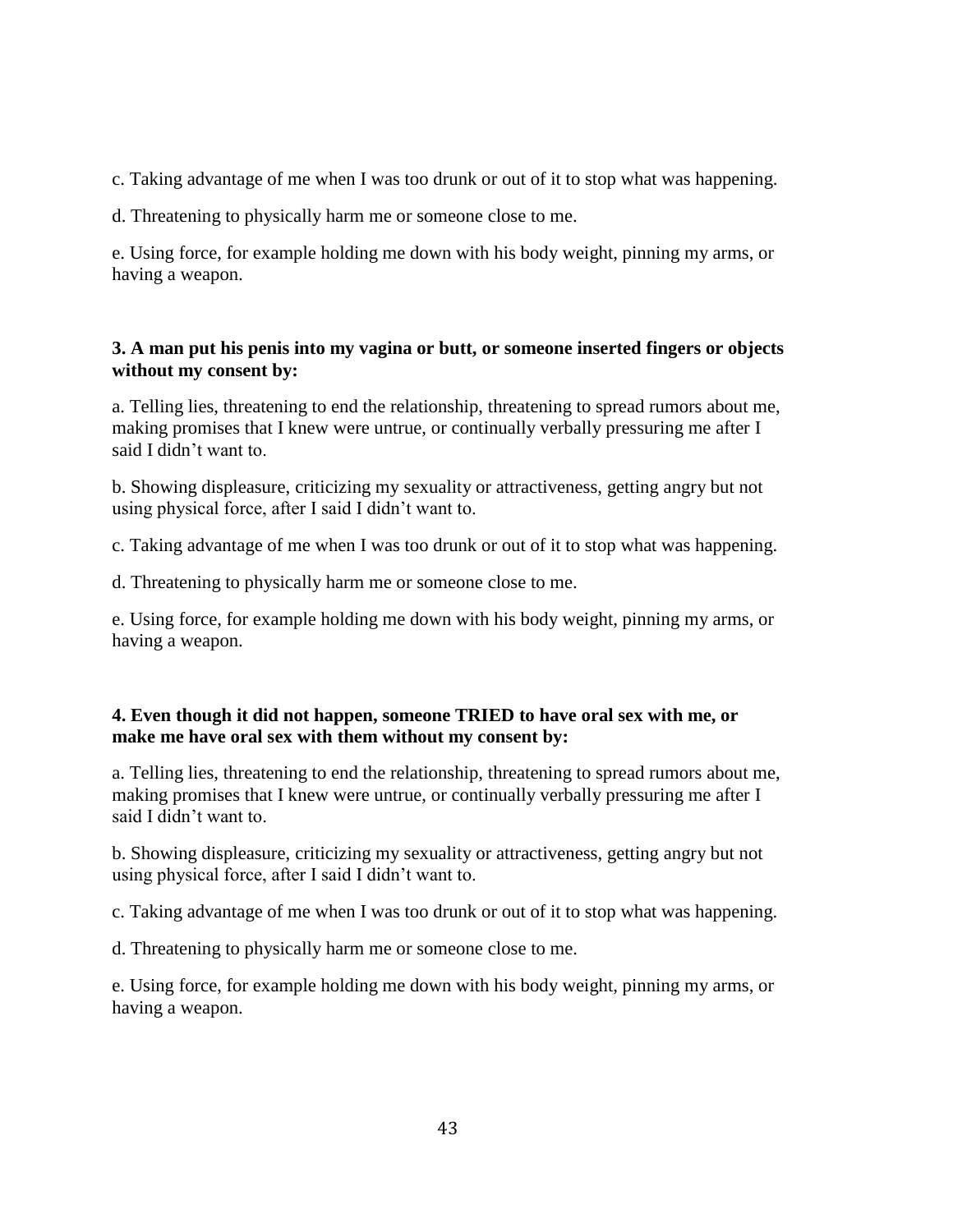c. Taking advantage of me when I was too drunk or out of it to stop what was happening.

d. Threatening to physically harm me or someone close to me.

e. Using force, for example holding me down with his body weight, pinning my arms, or having a weapon.

# **3. A man put his penis into my vagina or butt, or someone inserted fingers or objects without my consent by:**

a. Telling lies, threatening to end the relationship, threatening to spread rumors about me, making promises that I knew were untrue, or continually verbally pressuring me after I said I didn"t want to.

b. Showing displeasure, criticizing my sexuality or attractiveness, getting angry but not using physical force, after I said I didn"t want to.

c. Taking advantage of me when I was too drunk or out of it to stop what was happening.

d. Threatening to physically harm me or someone close to me.

e. Using force, for example holding me down with his body weight, pinning my arms, or having a weapon.

## **4. Even though it did not happen, someone TRIED to have oral sex with me, or make me have oral sex with them without my consent by:**

a. Telling lies, threatening to end the relationship, threatening to spread rumors about me, making promises that I knew were untrue, or continually verbally pressuring me after I said I didn"t want to.

b. Showing displeasure, criticizing my sexuality or attractiveness, getting angry but not using physical force, after I said I didn"t want to.

c. Taking advantage of me when I was too drunk or out of it to stop what was happening.

d. Threatening to physically harm me or someone close to me.

e. Using force, for example holding me down with his body weight, pinning my arms, or having a weapon.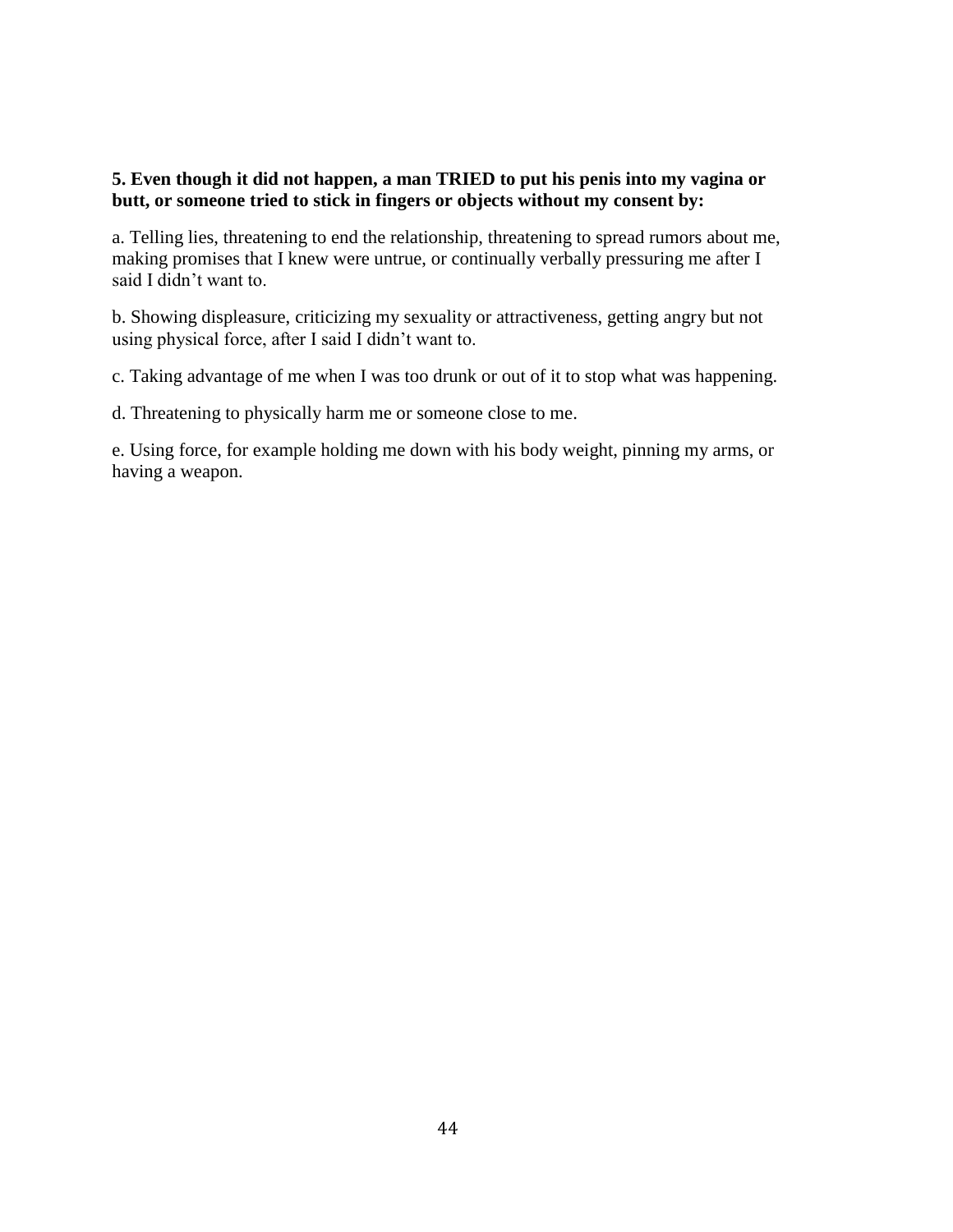### **5. Even though it did not happen, a man TRIED to put his penis into my vagina or butt, or someone tried to stick in fingers or objects without my consent by:**

a. Telling lies, threatening to end the relationship, threatening to spread rumors about me, making promises that I knew were untrue, or continually verbally pressuring me after I said I didn"t want to.

b. Showing displeasure, criticizing my sexuality or attractiveness, getting angry but not using physical force, after I said I didn"t want to.

c. Taking advantage of me when I was too drunk or out of it to stop what was happening.

d. Threatening to physically harm me or someone close to me.

e. Using force, for example holding me down with his body weight, pinning my arms, or having a weapon.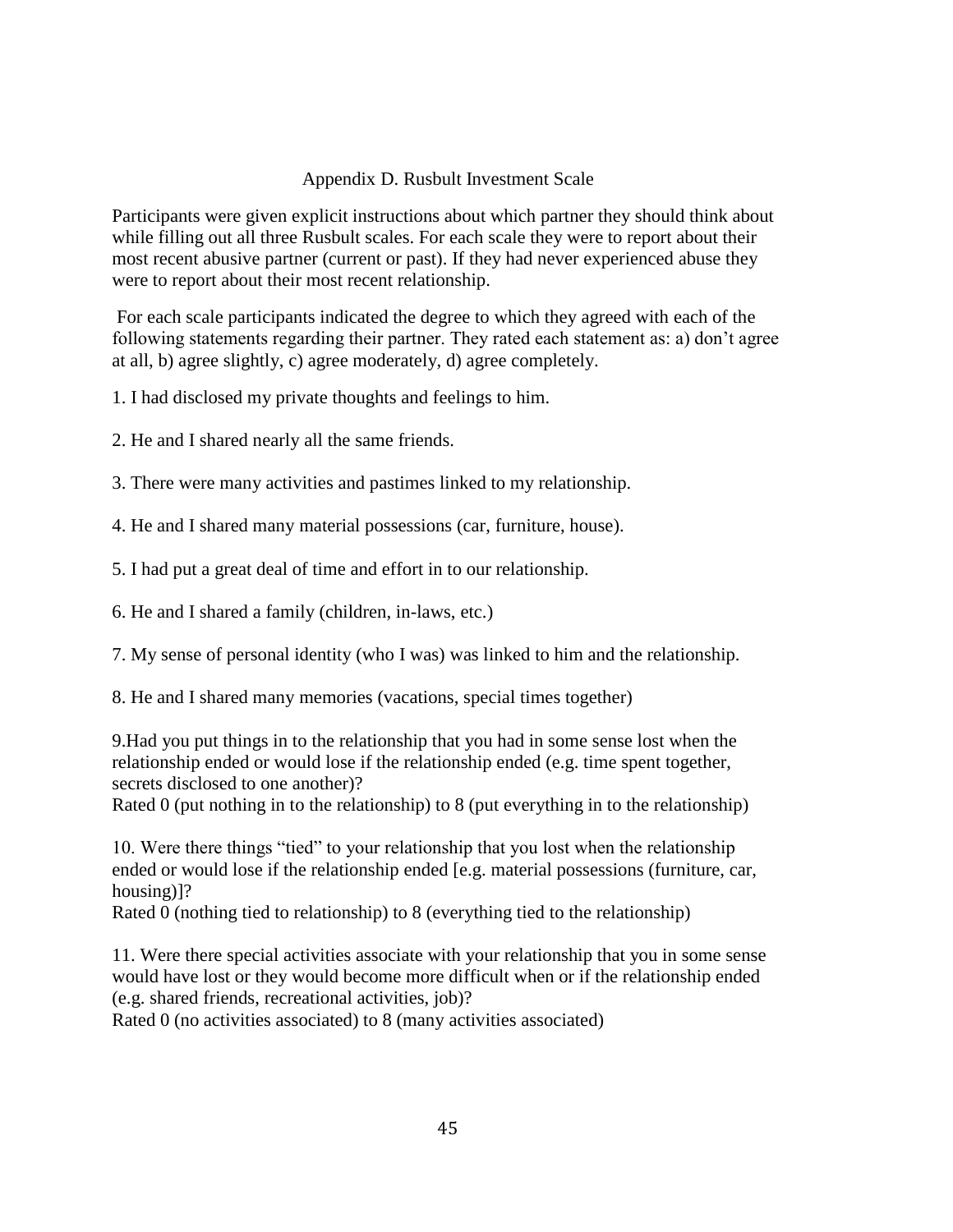### Appendix D. Rusbult Investment Scale

Participants were given explicit instructions about which partner they should think about while filling out all three Rusbult scales. For each scale they were to report about their most recent abusive partner (current or past). If they had never experienced abuse they were to report about their most recent relationship.

For each scale participants indicated the degree to which they agreed with each of the following statements regarding their partner. They rated each statement as: a) don't agree at all, b) agree slightly, c) agree moderately, d) agree completely.

1. I had disclosed my private thoughts and feelings to him.

2. He and I shared nearly all the same friends.

3. There were many activities and pastimes linked to my relationship.

4. He and I shared many material possessions (car, furniture, house).

5. I had put a great deal of time and effort in to our relationship.

6. He and I shared a family (children, in-laws, etc.)

7. My sense of personal identity (who I was) was linked to him and the relationship.

8. He and I shared many memories (vacations, special times together)

9.Had you put things in to the relationship that you had in some sense lost when the relationship ended or would lose if the relationship ended (e.g. time spent together, secrets disclosed to one another)?

Rated 0 (put nothing in to the relationship) to 8 (put everything in to the relationship)

10. Were there things "tied" to your relationship that you lost when the relationship ended or would lose if the relationship ended [e.g. material possessions (furniture, car, housing)<sup>?</sup>

Rated 0 (nothing tied to relationship) to 8 (everything tied to the relationship)

11. Were there special activities associate with your relationship that you in some sense would have lost or they would become more difficult when or if the relationship ended (e.g. shared friends, recreational activities, job)?

Rated 0 (no activities associated) to 8 (many activities associated)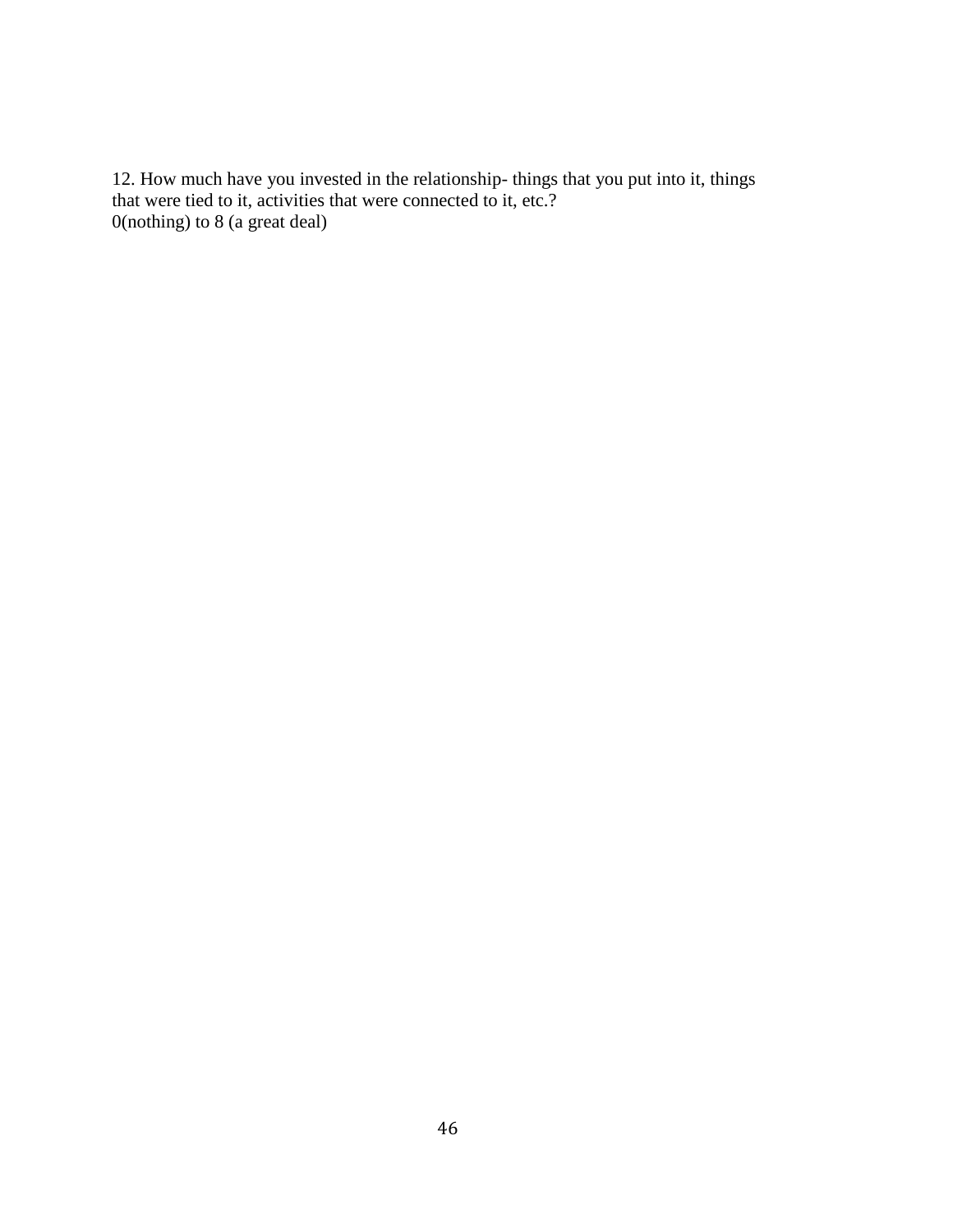12. How much have you invested in the relationship- things that you put into it, things that were tied to it, activities that were connected to it, etc.? 0(nothing) to 8 (a great deal)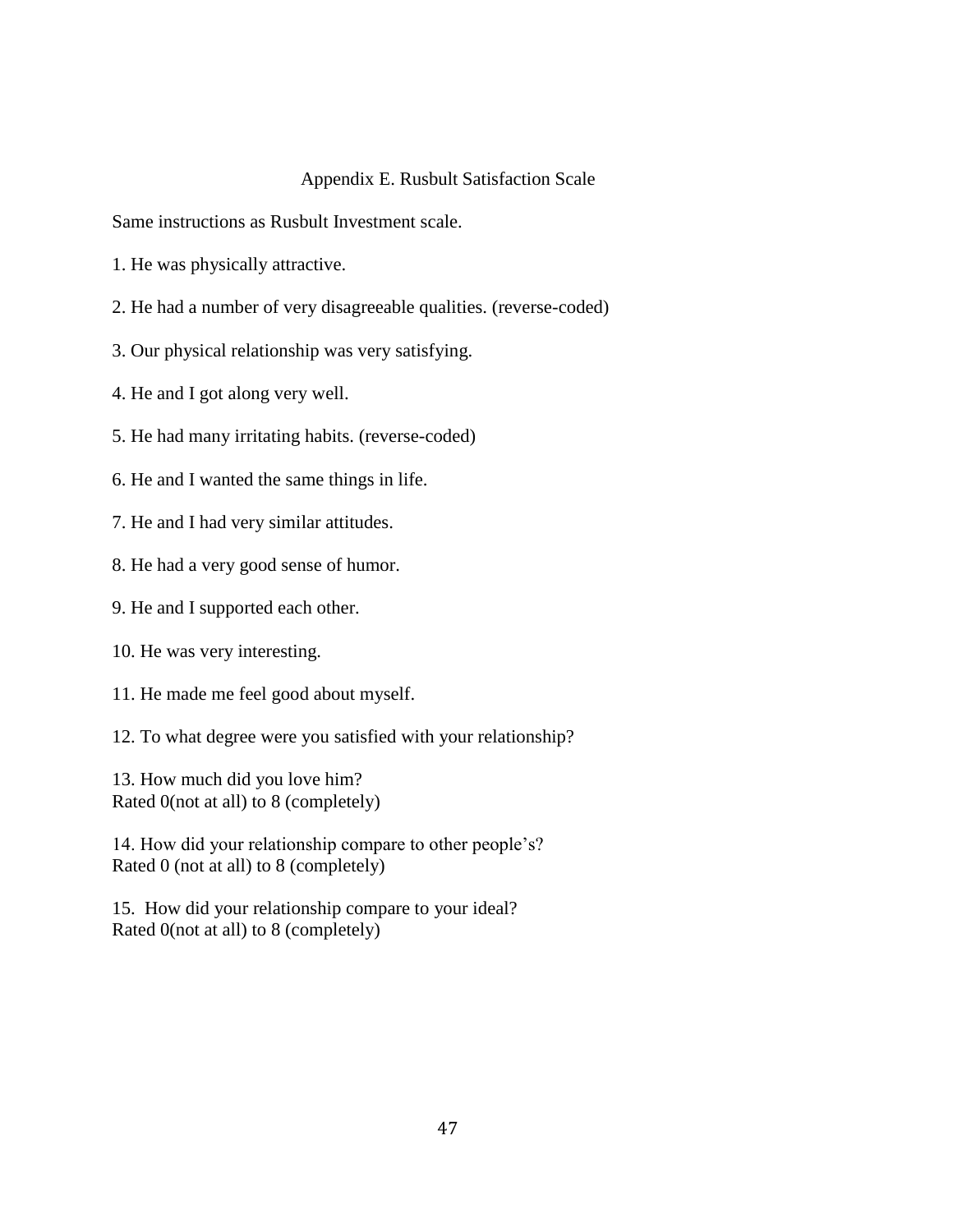### Appendix E. Rusbult Satisfaction Scale

Same instructions as Rusbult Investment scale.

- 1. He was physically attractive.
- 2. He had a number of very disagreeable qualities. (reverse-coded)
- 3. Our physical relationship was very satisfying.
- 4. He and I got along very well.
- 5. He had many irritating habits. (reverse-coded)
- 6. He and I wanted the same things in life.
- 7. He and I had very similar attitudes.
- 8. He had a very good sense of humor.
- 9. He and I supported each other.
- 10. He was very interesting.
- 11. He made me feel good about myself.
- 12. To what degree were you satisfied with your relationship?

13. How much did you love him? Rated 0(not at all) to 8 (completely)

14. How did your relationship compare to other people"s? Rated 0 (not at all) to 8 (completely)

15. How did your relationship compare to your ideal? Rated 0(not at all) to 8 (completely)